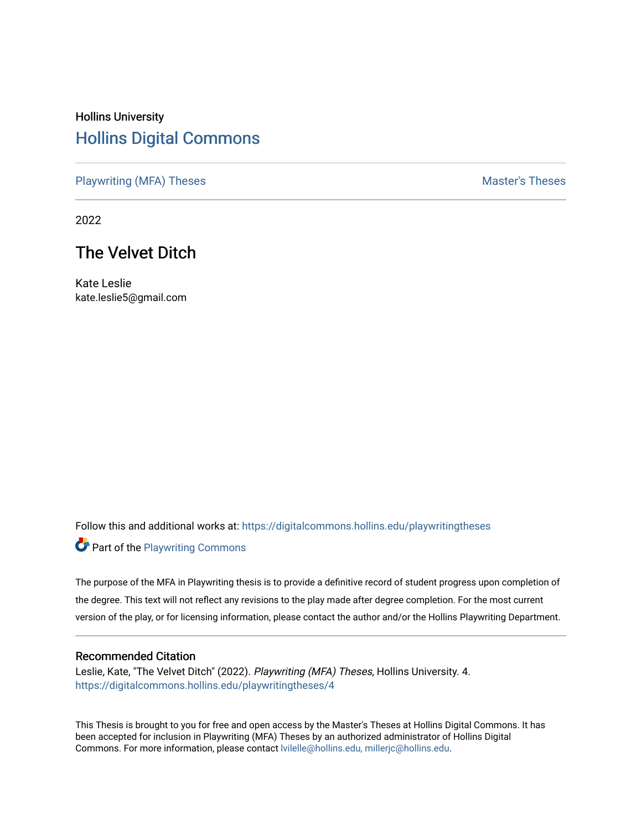# Hollins University [Hollins Digital Commons](https://digitalcommons.hollins.edu/)

[Playwriting \(MFA\) Theses](https://digitalcommons.hollins.edu/playwritingtheses) Master's Theses

2022

# The Velvet Ditch

Kate Leslie kate.leslie5@gmail.com

Follow this and additional works at: [https://digitalcommons.hollins.edu/playwritingtheses](https://digitalcommons.hollins.edu/playwritingtheses?utm_source=digitalcommons.hollins.edu%2Fplaywritingtheses%2F4&utm_medium=PDF&utm_campaign=PDFCoverPages) Part of the [Playwriting Commons](http://network.bepress.com/hgg/discipline/557?utm_source=digitalcommons.hollins.edu%2Fplaywritingtheses%2F4&utm_medium=PDF&utm_campaign=PDFCoverPages) 

The purpose of the MFA in Playwriting thesis is to provide a definitive record of student progress upon completion of the degree. This text will not reflect any revisions to the play made after degree completion. For the most current version of the play, or for licensing information, please contact the author and/or the Hollins Playwriting Department.

#### Recommended Citation

Leslie, Kate, "The Velvet Ditch" (2022). Playwriting (MFA) Theses, Hollins University. 4. [https://digitalcommons.hollins.edu/playwritingtheses/4](https://digitalcommons.hollins.edu/playwritingtheses/4?utm_source=digitalcommons.hollins.edu%2Fplaywritingtheses%2F4&utm_medium=PDF&utm_campaign=PDFCoverPages)

This Thesis is brought to you for free and open access by the Master's Theses at Hollins Digital Commons. It has been accepted for inclusion in Playwriting (MFA) Theses by an authorized administrator of Hollins Digital Commons. For more information, please contact [lvilelle@hollins.edu, millerjc@hollins.edu.](mailto:lvilelle@hollins.edu,%20millerjc@hollins.edu)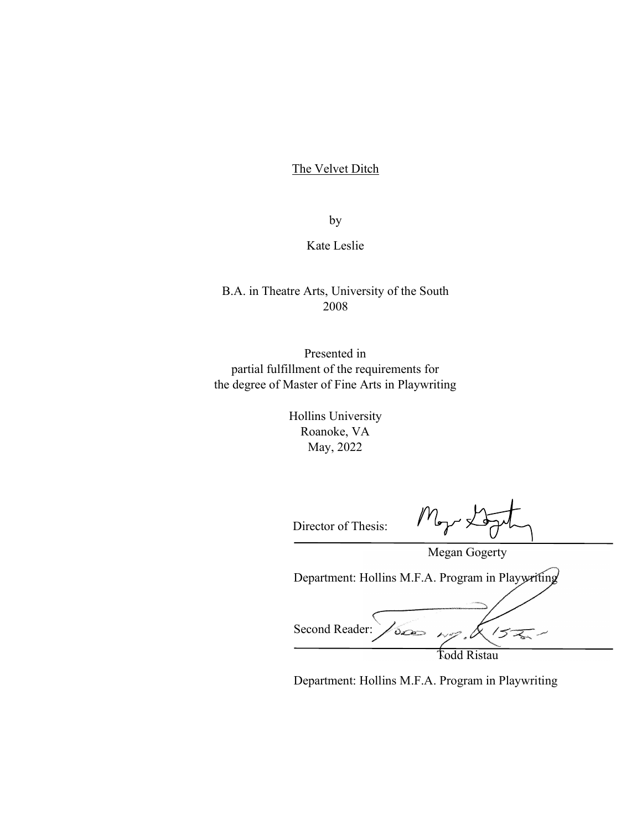# The Velvet Ditch

by

Kate Leslie

# B.A. in Theatre Arts, University of the South 2008

Presented in partial fulfillment of the requirements for the degree of Master of Fine Arts in Playwriting

> Hollins University Roanoke, VA May, 2022

Director of Thesis:

 $M_{\tau}$ 

Megan Gogerty

Department: Hollins M.F.A. Program in Playwriting

Second Reader: 1500  $15$ Todd Ristau

Department: Hollins M.F.A. Program in Playwriting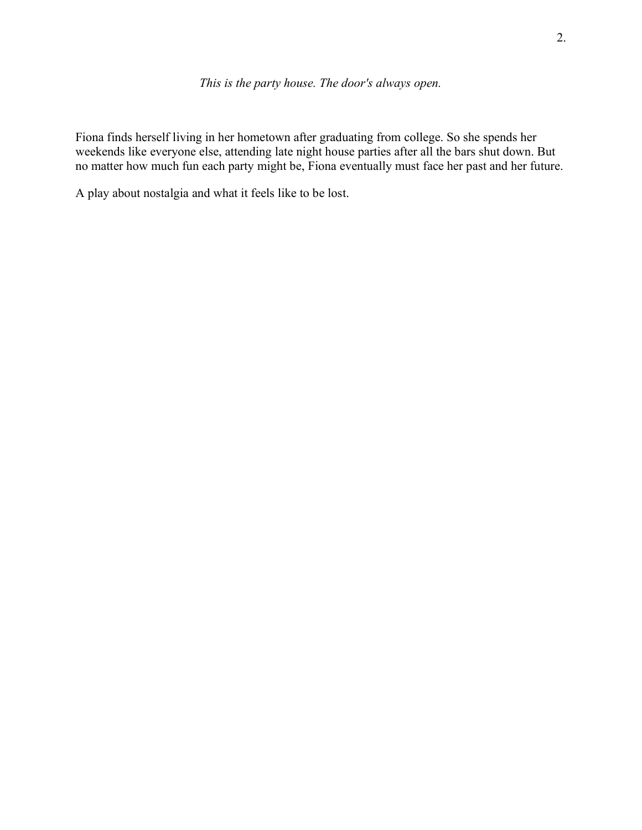Fiona finds herself living in her hometown after graduating from college. So she spends her weekends like everyone else, attending late night house parties after all the bars shut down. But no matter how much fun each party might be, Fiona eventually must face her past and her future.

A play about nostalgia and what it feels like to be lost.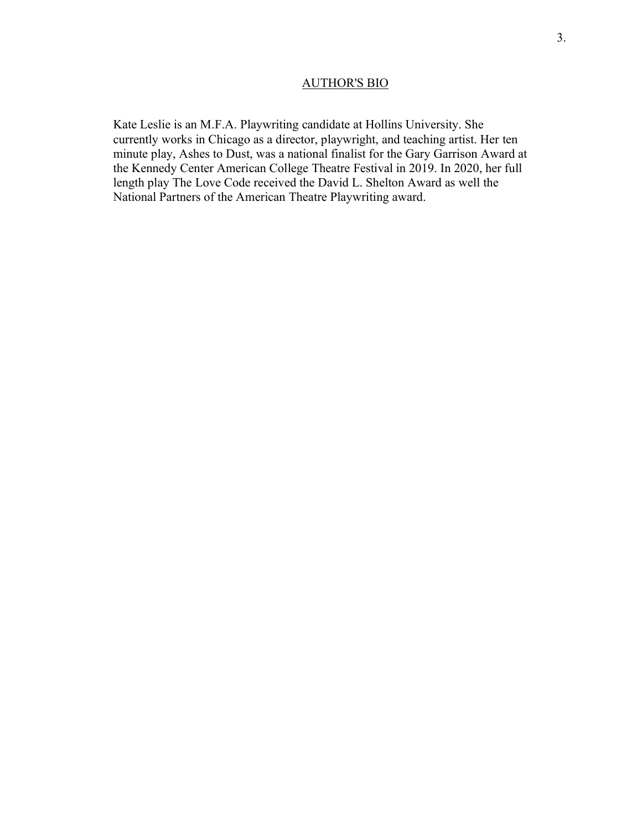# AUTHOR'S BIO

Kate Leslie is an M.F.A. Playwriting candidate at Hollins University. She currently works in Chicago as a director, playwright, and teaching artist. Her ten minute play, Ashes to Dust, was a national finalist for the Gary Garrison Award at the Kennedy Center American College Theatre Festival in 2019. In 2020, her full length play The Love Code received the David L. Shelton Award as well the National Partners of the American Theatre Playwriting award.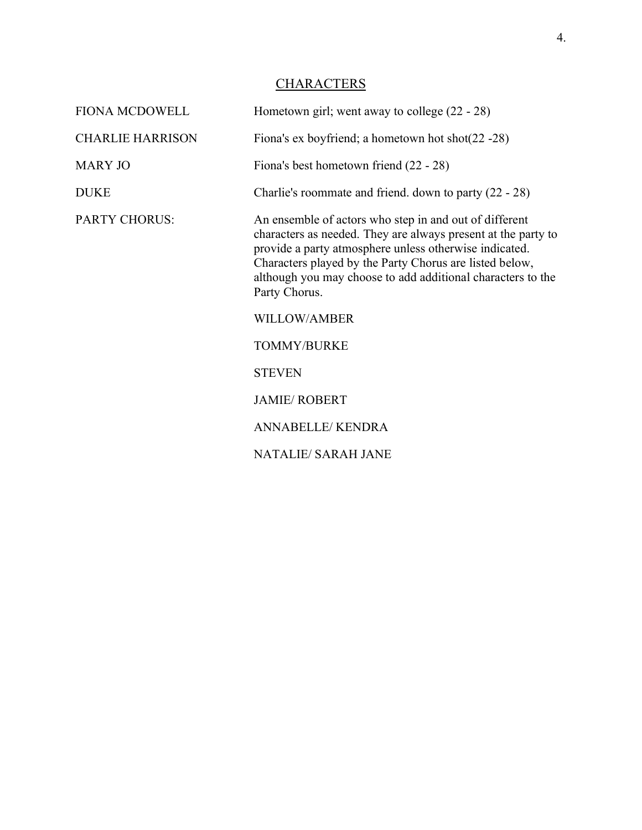# **CHARACTERS**

| <b>FIONA MCDOWELL</b>   | Hometown girl; went away to college $(22 - 28)$                                                                                                                                                                                                                                                                              |  |
|-------------------------|------------------------------------------------------------------------------------------------------------------------------------------------------------------------------------------------------------------------------------------------------------------------------------------------------------------------------|--|
| <b>CHARLIE HARRISON</b> | Fiona's ex boyfriend; a hometown hot shot $(22 - 28)$                                                                                                                                                                                                                                                                        |  |
| <b>MARY JO</b>          | Fiona's best hometown friend (22 - 28)                                                                                                                                                                                                                                                                                       |  |
| <b>DUKE</b>             | Charlie's roommate and friend. down to party (22 - 28)                                                                                                                                                                                                                                                                       |  |
| <b>PARTY CHORUS:</b>    | An ensemble of actors who step in and out of different<br>characters as needed. They are always present at the party to<br>provide a party atmosphere unless otherwise indicated.<br>Characters played by the Party Chorus are listed below,<br>although you may choose to add additional characters to the<br>Party Chorus. |  |
|                         | <b>WILLOW/AMBER</b>                                                                                                                                                                                                                                                                                                          |  |
|                         | <b>TOMMY/BURKE</b>                                                                                                                                                                                                                                                                                                           |  |
|                         | <b>STEVEN</b>                                                                                                                                                                                                                                                                                                                |  |
|                         | <b>JAMIE/ ROBERT</b>                                                                                                                                                                                                                                                                                                         |  |
|                         | <b>ANNABELLE/KENDRA</b>                                                                                                                                                                                                                                                                                                      |  |
|                         | <b>NATALIE/ SARAH JANE</b>                                                                                                                                                                                                                                                                                                   |  |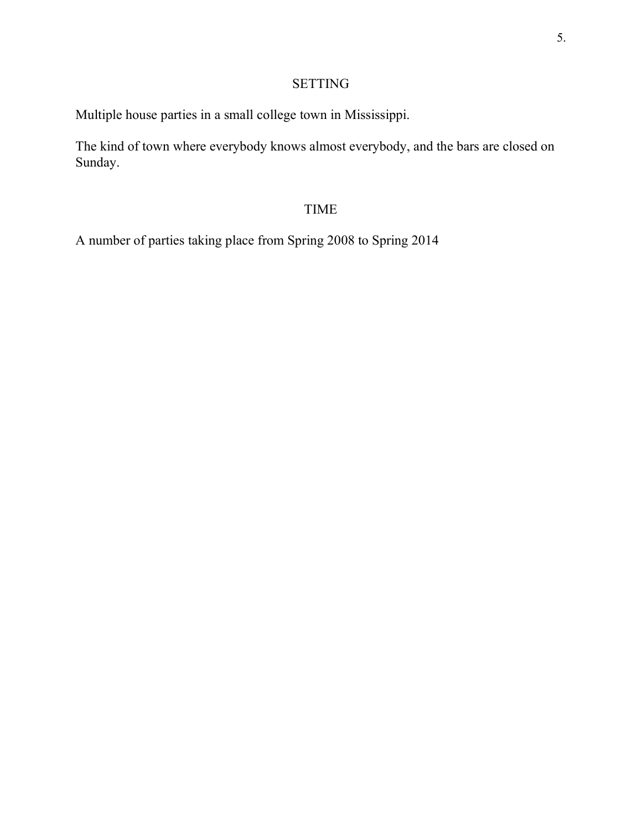# 5.

# SETTING

Multiple house parties in a small college town in Mississippi.

The kind of town where everybody knows almost everybody, and the bars are closed on Sunday.

# TIME

A number of parties taking place from Spring 2008 to Spring 2014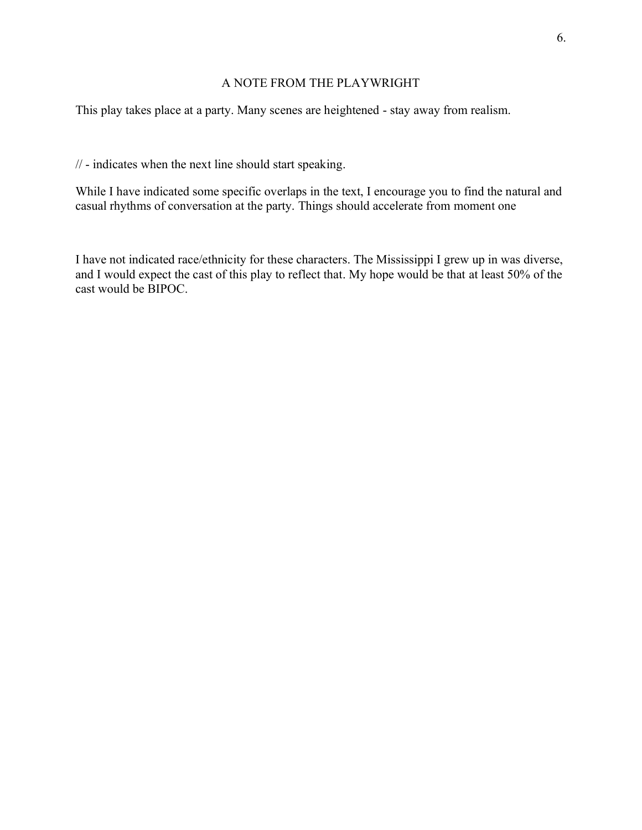# A NOTE FROM THE PLAYWRIGHT

This play takes place at a party. Many scenes are heightened - stay away from realism.

// - indicates when the next line should start speaking.

While I have indicated some specific overlaps in the text, I encourage you to find the natural and casual rhythms of conversation at the party. Things should accelerate from moment one

I have not indicated race/ethnicity for these characters. The Mississippi I grew up in was diverse, and I would expect the cast of this play to reflect that. My hope would be that at least 50% of the cast would be BIPOC.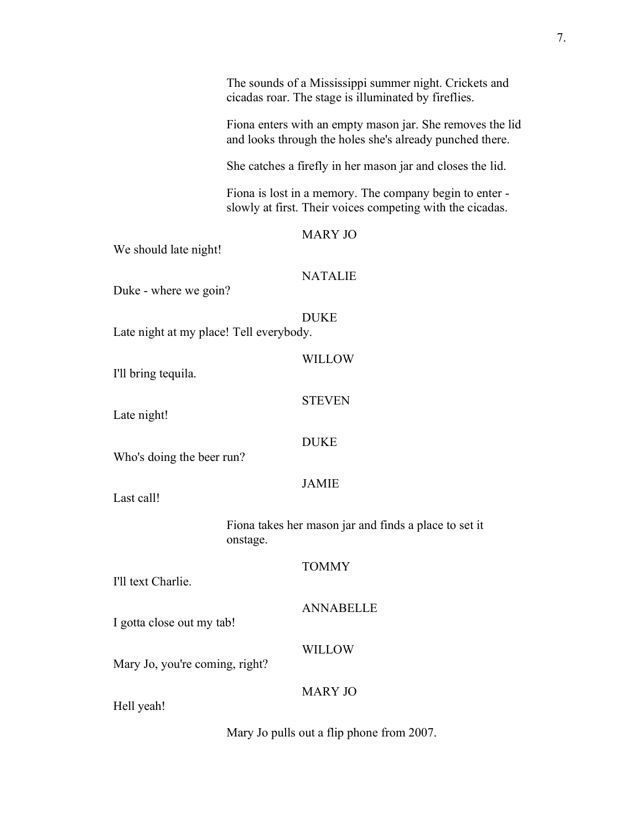|                                                                   | The sounds of a Mississippi summer night. Crickets and<br>cicadas roar. The stage is illuminated by fireflies.        |                  |  |
|-------------------------------------------------------------------|-----------------------------------------------------------------------------------------------------------------------|------------------|--|
|                                                                   | Fiona enters with an empty mason jar. She removes the lid<br>and looks through the holes she's already punched there. |                  |  |
|                                                                   | She catches a firefly in her mason jar and closes the lid.                                                            |                  |  |
|                                                                   | Fiona is lost in a memory. The company begin to enter -<br>slowly at first. Their voices competing with the cicadas.  |                  |  |
| We should late night!                                             |                                                                                                                       | <b>MARY JO</b>   |  |
| Duke - where we goin?                                             |                                                                                                                       | <b>NATALIE</b>   |  |
| Late night at my place! Tell everybody.                           |                                                                                                                       | <b>DUKE</b>      |  |
| I'll bring tequila.                                               |                                                                                                                       | <b>WILLOW</b>    |  |
| Late night!                                                       |                                                                                                                       | <b>STEVEN</b>    |  |
| Who's doing the beer run?                                         |                                                                                                                       | <b>DUKE</b>      |  |
| Last call!                                                        |                                                                                                                       | <b>JAMIE</b>     |  |
| Fiona takes her mason jar and finds a place to set it<br>onstage. |                                                                                                                       |                  |  |
| I'll text Charlie.                                                |                                                                                                                       | <b>TOMMY</b>     |  |
| I gotta close out my tab!                                         |                                                                                                                       | <b>ANNABELLE</b> |  |
| Mary Jo, you're coming, right?                                    |                                                                                                                       | <b>WILLOW</b>    |  |
| Hell yeah!                                                        |                                                                                                                       | <b>MARY JO</b>   |  |

Mary Jo pulls out a flip phone from 2007.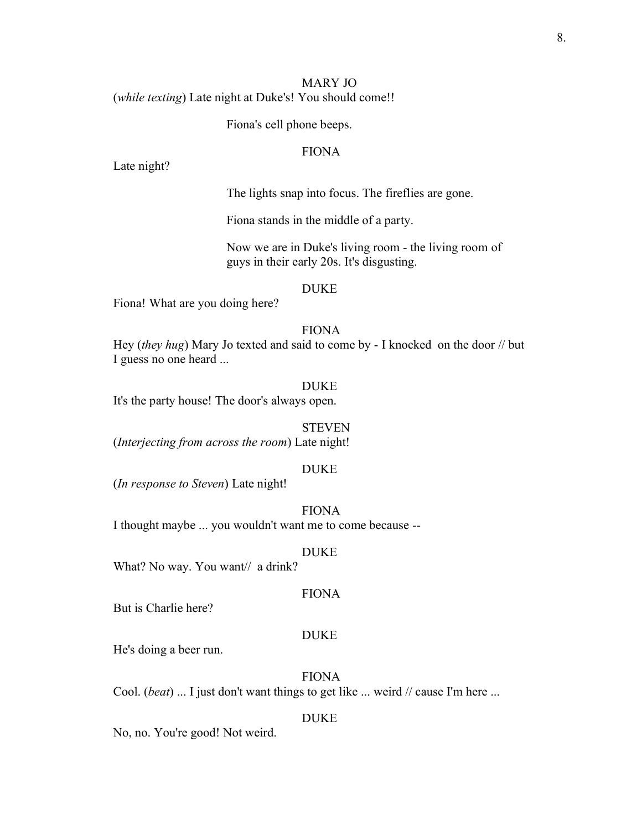# MARY JO (*while texting*) Late night at Duke's! You should come!!

Fiona's cell phone beeps.

# FIONA

Late night?

The lights snap into focus. The fireflies are gone.

Fiona stands in the middle of a party.

Now we are in Duke's living room - the living room of guys in their early 20s. It's disgusting.

#### DUKE

Fiona! What are you doing here?

## FIONA

Hey (*they hug*) Mary Jo texted and said to come by - I knocked on the door // but I guess no one heard ...

#### DUKE

It's the party house! The door's always open.

#### **STEVEN**

(*Interjecting from across the room*) Late night!

#### DUKE

(*In response to Steven*) Late night!

# FIONA

I thought maybe ... you wouldn't want me to come because --

#### DUKE

What? No way. You want// a drink?

#### FIONA

But is Charlie here?

#### DUKE

He's doing a beer run.

FIONA

Cool. (*beat*) ... I just don't want things to get like ... weird // cause I'm here ...

#### DUKE

No, no. You're good! Not weird.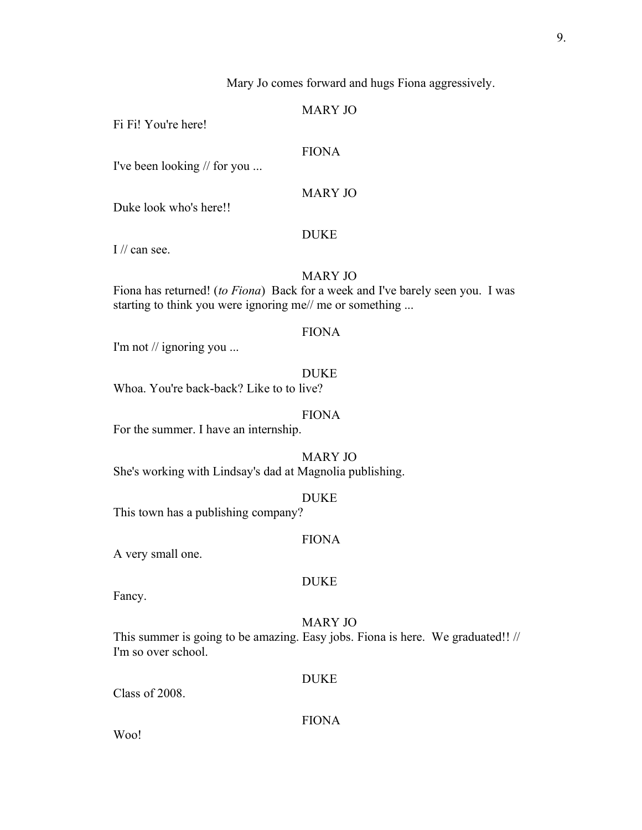Mary Jo comes forward and hugs Fiona aggressively.

# MARY JO

Fi Fi! You're here!

#### FIONA

I've been looking // for you ...

MARY JO

Duke look who's here!!

#### DUKE

I // can see.

# MARY JO

Fiona has returned! (*to Fiona*) Back for a week and I've barely seen you. I was starting to think you were ignoring me// me or something ...

# FIONA

I'm not // ignoring you ...

#### DUKE

Whoa. You're back-back? Like to to live?

# FIONA

For the summer. I have an internship.

MARY JO She's working with Lindsay's dad at Magnolia publishing.

#### DUKE

This town has a publishing company?

#### FIONA

A very small one.

#### DUKE

Fancy.

# MARY JO

This summer is going to be amazing. Easy jobs. Fiona is here. We graduated!! // I'm so over school.

## DUKE

Class of 2008.

# FIONA

Woo!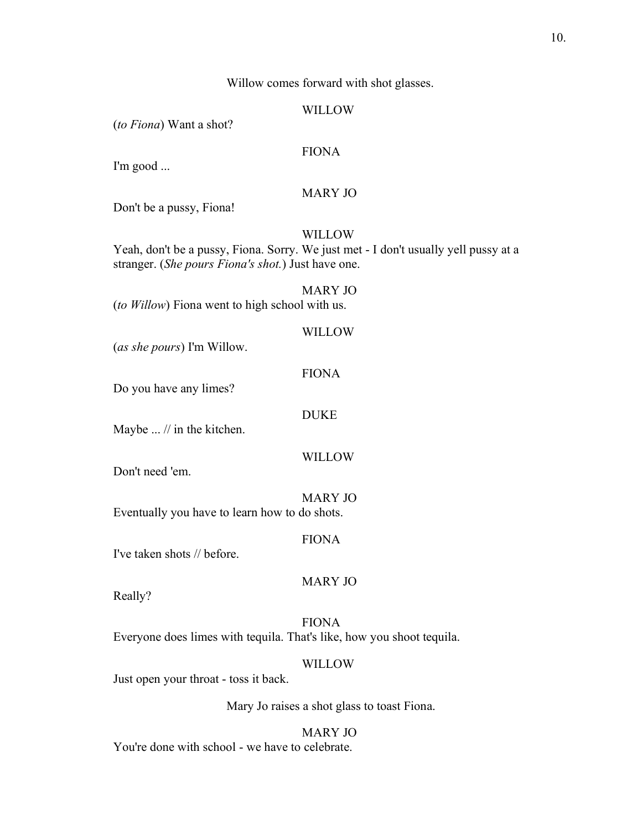Willow comes forward with shot glasses.

#### WILLOW

(*to Fiona*) Want a shot?

## FIONA

I'm good ...

# MARY JO

Don't be a pussy, Fiona!

#### WILLOW

Yeah, don't be a pussy, Fiona. Sorry. We just met - I don't usually yell pussy at a stranger. (*She pours Fiona's shot.*) Just have one.

MARY JO (*to Willow*) Fiona went to high school with us.

#### WILLOW

(*as she pours*) I'm Willow.

#### FIONA

Do you have any limes?

#### DUKE

Maybe ... // in the kitchen.

#### WILLOW

Don't need 'em.

#### MARY JO

Eventually you have to learn how to do shots.

#### FIONA

I've taken shots // before.

#### MARY JO

Really?

# FIONA Everyone does limes with tequila. That's like, how you shoot tequila.

#### WILLOW

Just open your throat - toss it back.

## Mary Jo raises a shot glass to toast Fiona.

# MARY JO

You're done with school - we have to celebrate.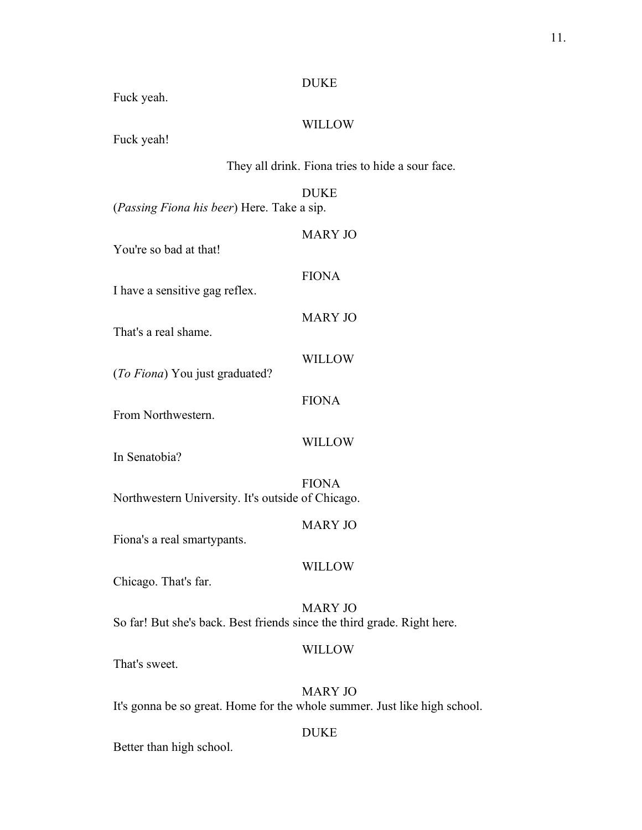# DUKE

Fuck yeah.

# WILLOW

Fuck yeah!

They all drink. Fiona tries to hide a sour face.

DUKE (*Passing Fiona his beer*) Here. Take a sip.

| You're so bad at that!                                                  | <b>MARY JO</b>                                                                              |  |
|-------------------------------------------------------------------------|---------------------------------------------------------------------------------------------|--|
| I have a sensitive gag reflex.                                          | <b>FIONA</b>                                                                                |  |
| That's a real shame.                                                    | <b>MARY JO</b>                                                                              |  |
| (To Fiona) You just graduated?                                          | <b>WILLOW</b>                                                                               |  |
| From Northwestern.                                                      | <b>FIONA</b>                                                                                |  |
|                                                                         | <b>WILLOW</b>                                                                               |  |
| In Senatobia?                                                           | <b>FIONA</b>                                                                                |  |
| Northwestern University. It's outside of Chicago.                       |                                                                                             |  |
| Fiona's a real smartypants.                                             | <b>MARY JO</b>                                                                              |  |
| Chicago. That's far.                                                    | <b>WILLOW</b>                                                                               |  |
| So far! But she's back. Best friends since the third grade. Right here. | <b>MARY JO</b>                                                                              |  |
| That's sweet.                                                           | <b>WILLOW</b>                                                                               |  |
|                                                                         | <b>MARY JO</b><br>It's gonna be so great. Home for the whole summer. Just like high school. |  |
|                                                                         | <b>DUKE</b>                                                                                 |  |

Better than high school.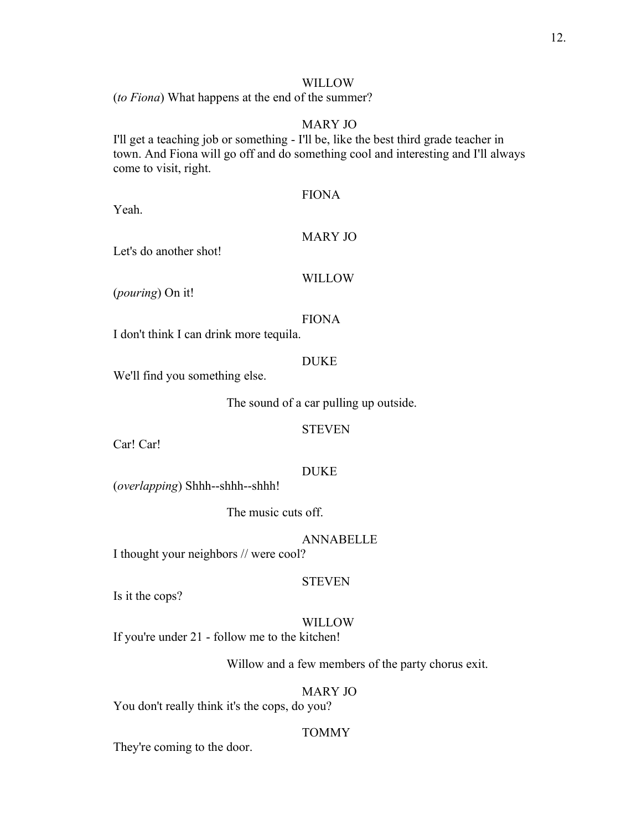# WILLOW

(*to Fiona*) What happens at the end of the summer?

#### MARY JO

I'll get a teaching job or something - I'll be, like the best third grade teacher in town. And Fiona will go off and do something cool and interesting and I'll always come to visit, right.

## FIONA

Yeah.

# MARY JO

Let's do another shot!

# WILLOW

(*pouring*) On it!

# FIONA

I don't think I can drink more tequila.

# DUKE

We'll find you something else.

The sound of a car pulling up outside.

# STEVEN

Car! Car!

## DUKE

(*overlapping*) Shhh--shhh--shhh!

The music cuts off.

## ANNABELLE

I thought your neighbors // were cool?

#### **STEVEN**

Is it the cops?

## WILLOW

If you're under 21 - follow me to the kitchen!

Willow and a few members of the party chorus exit.

#### MARY JO

You don't really think it's the cops, do you?

# TOMMY

They're coming to the door.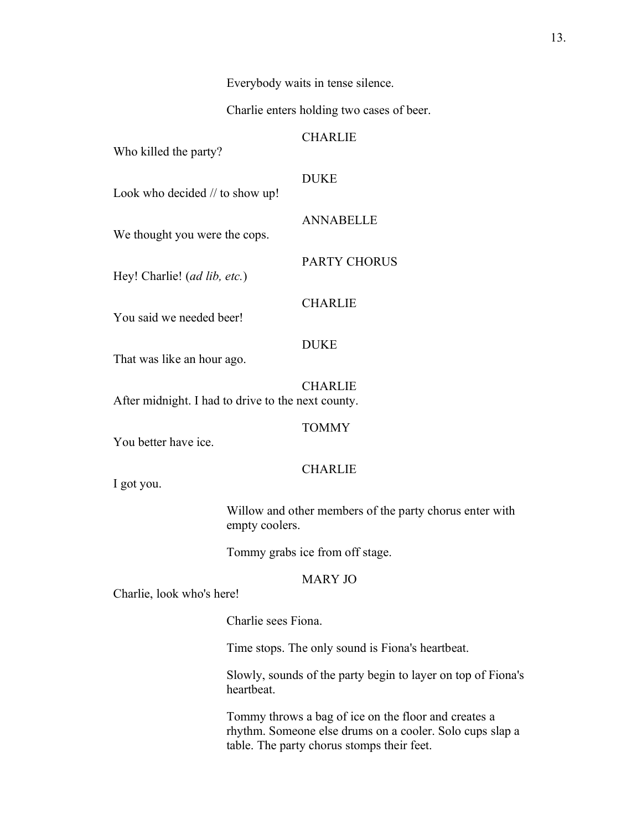Everybody waits in tense silence.

Charlie enters holding two cases of beer.

**CHARLIE** 

Who killed the party?

DUKE

Look who decided // to show up!

ANNABELLE We thought you were the cops.

Hey! Charlie! (*ad lib, etc.*)

**CHARLIE** 

PARTY CHORUS

You said we needed beer!

# DUKE

That was like an hour ago.

CHARLIE After midnight. I had to drive to the next county.

**TOMMY** 

You better have ice.

# CHARLIE

I got you.

Willow and other members of the party chorus enter with empty coolers.

Tommy grabs ice from off stage.

# MARY JO

Charlie, look who's here!

Charlie sees Fiona.

Time stops. The only sound is Fiona's heartbeat.

Slowly, sounds of the party begin to layer on top of Fiona's heartbeat.

Tommy throws a bag of ice on the floor and creates a rhythm. Someone else drums on a cooler. Solo cups slap a table. The party chorus stomps their feet.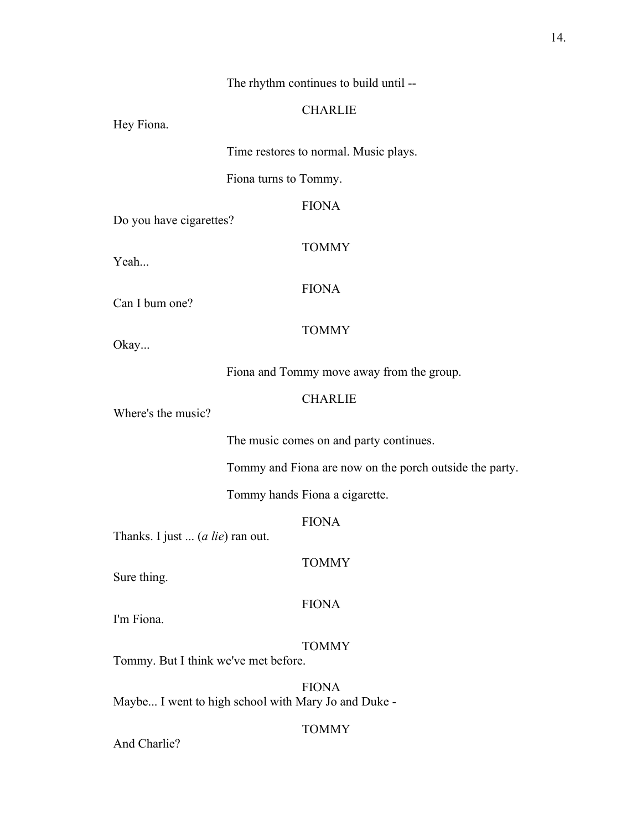# The rhythm continues to build until --

## **CHARLIE**

Hey Fiona.

Time restores to normal. Music plays.

Fiona turns to Tommy.

FIONA

Do you have cigarettes?

Yeah...

Can I bum one?

TOMMY

FIONA

#### **TOMMY**

Okay...

Fiona and Tommy move away from the group.

# **CHARLIE**

Where's the music?

The music comes on and party continues.

Tommy and Fiona are now on the porch outside the party.

Tommy hands Fiona a cigarette.

FIONA

TOMMY

Thanks. I just ... (*a lie*) ran out.

Sure thing.

#### FIONA

I'm Fiona.

# TOMMY

Tommy. But I think we've met before.

FIONA Maybe... I went to high school with Mary Jo and Duke -

# TOMMY

And Charlie?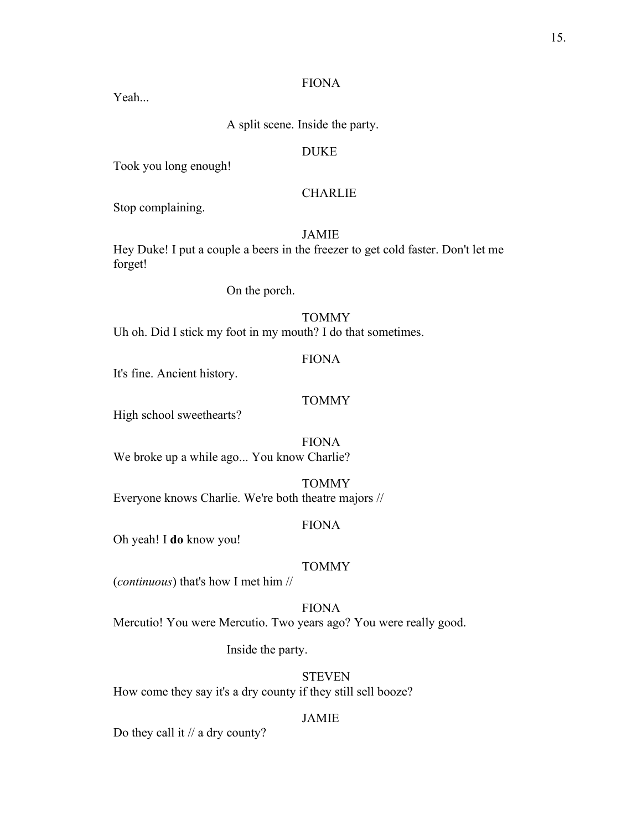## FIONA

Yeah

A split scene. Inside the party.

# DUKE

Took you long enough!

# **CHARLIE**

Stop complaining.

# JAMIE

Hey Duke! I put a couple a beers in the freezer to get cold faster. Don't let me forget!

On the porch.

# **TOMMY**

Uh oh. Did I stick my foot in my mouth? I do that sometimes.

#### FIONA

It's fine. Ancient history.

# TOMMY

High school sweethearts?

FIONA We broke up a while ago... You know Charlie?

TOMMY Everyone knows Charlie. We're both theatre majors //

#### FIONA

Oh yeah! I **do** know you!

#### TOMMY

(*continuous*) that's how I met him //

FIONA Mercutio! You were Mercutio. Two years ago? You were really good.

Inside the party.

**STEVEN** How come they say it's a dry county if they still sell booze?

## JAMIE

Do they call it // a dry county?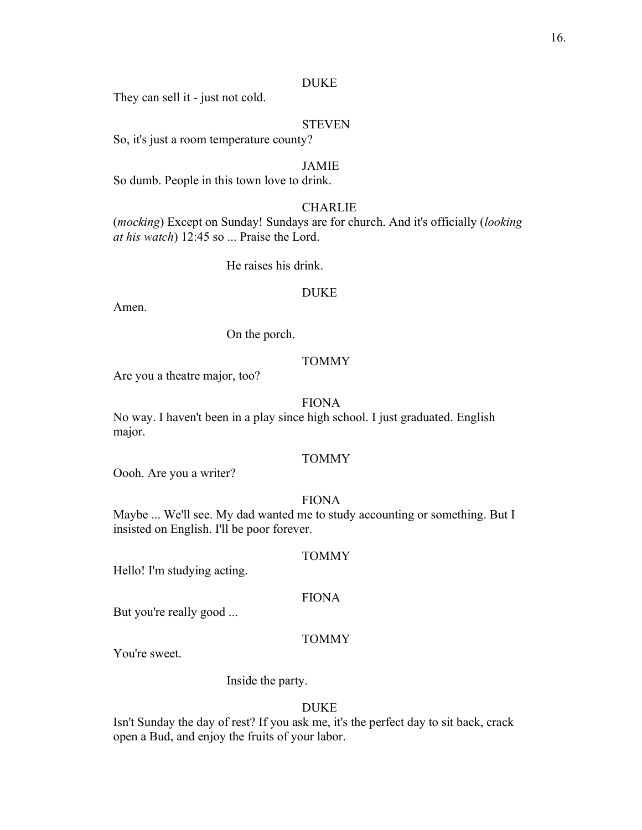#### DUKE

They can sell it - just not cold.

#### STEVEN

So, it's just a room temperature county?

#### JAMIE

So dumb. People in this town love to drink.

# **CHARLIE**

(*mocking*) Except on Sunday! Sundays are for church. And it's officially (*looking at his watch*) 12:45 so ... Praise the Lord.

He raises his drink.

#### DUKE

Amen.

On the porch.

#### TOMMY

Are you a theatre major, too?

## FIONA

No way. I haven't been in a play since high school. I just graduated. English major.

# **TOMMY**

Oooh. Are you a writer?

#### FIONA

Maybe ... We'll see. My dad wanted me to study accounting or something. But I insisted on English. I'll be poor forever.

#### TOMMY

Hello! I'm studying acting.

#### FIONA

But you're really good ...

#### TOMMY

You're sweet.

Inside the party.

#### DUKE

Isn't Sunday the day of rest? If you ask me, it's the perfect day to sit back, crack open a Bud, and enjoy the fruits of your labor.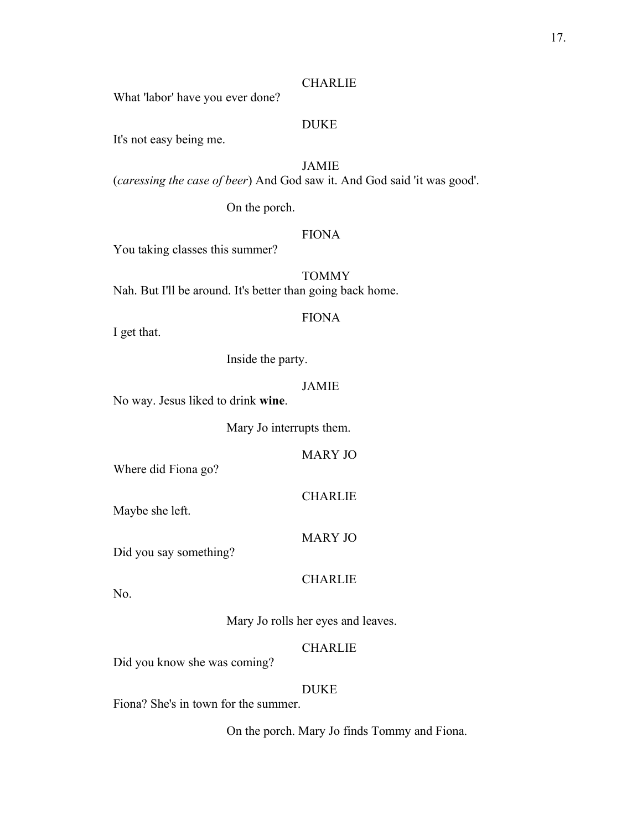#### **CHARLIE**

What 'labor' have you ever done?

# DUKE

It's not easy being me.

# JAMIE

(*caressing the case of beer*) And God saw it. And God said 'it was good'.

On the porch.

# FIONA

You taking classes this summer?

TOMMY Nah. But I'll be around. It's better than going back home.

## FIONA

I get that.

Inside the party.

# JAMIE

No way. Jesus liked to drink **wine**.

Mary Jo interrupts them.

MARY JO

CHARLIE

Where did Fiona go?

Maybe she left.

MARY JO

Did you say something?

# **CHARLIE**

No.

Mary Jo rolls her eyes and leaves.

# CHARLIE

Did you know she was coming?

#### DUKE

Fiona? She's in town for the summer.

On the porch. Mary Jo finds Tommy and Fiona.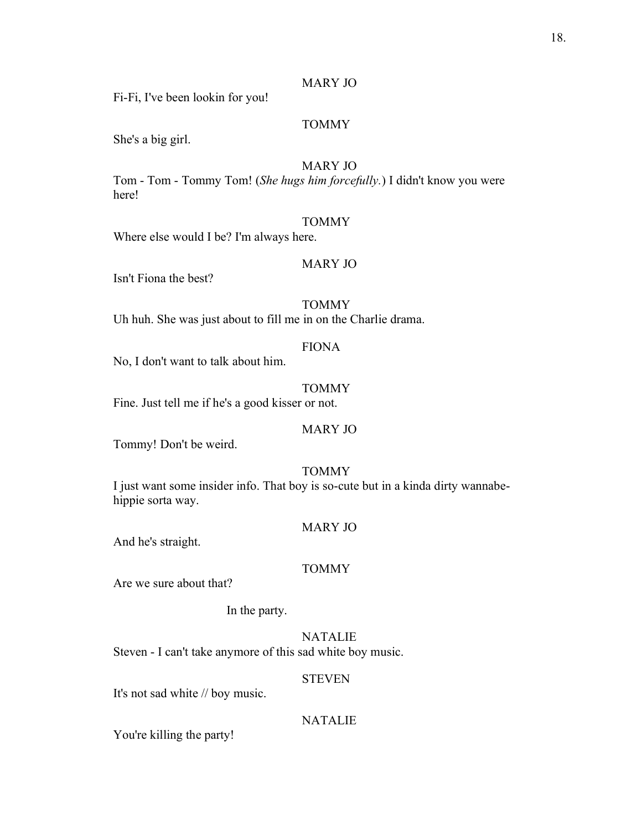#### MARY JO

Fi-Fi, I've been lookin for you!

# TOMMY

She's a big girl.

# MARY JO

Tom - Tom - Tommy Tom! (*She hugs him forcefully.*) I didn't know you were here!

#### TOMMY

Where else would I be? I'm always here.

## MARY JO

Isn't Fiona the best?

## **TOMMY**

Uh huh. She was just about to fill me in on the Charlie drama.

# FIONA

No, I don't want to talk about him.

## TOMMY

Fine. Just tell me if he's a good kisser or not.

# MARY JO

Tommy! Don't be weird.

# TOMMY

I just want some insider info. That boy is so-cute but in a kinda dirty wannabehippie sorta way.

## MARY JO

And he's straight.

#### TOMMY

Are we sure about that?

In the party.

NATALIE

Steven - I can't take anymore of this sad white boy music.

## STEVEN

It's not sad white // boy music.

# NATALIE

You're killing the party!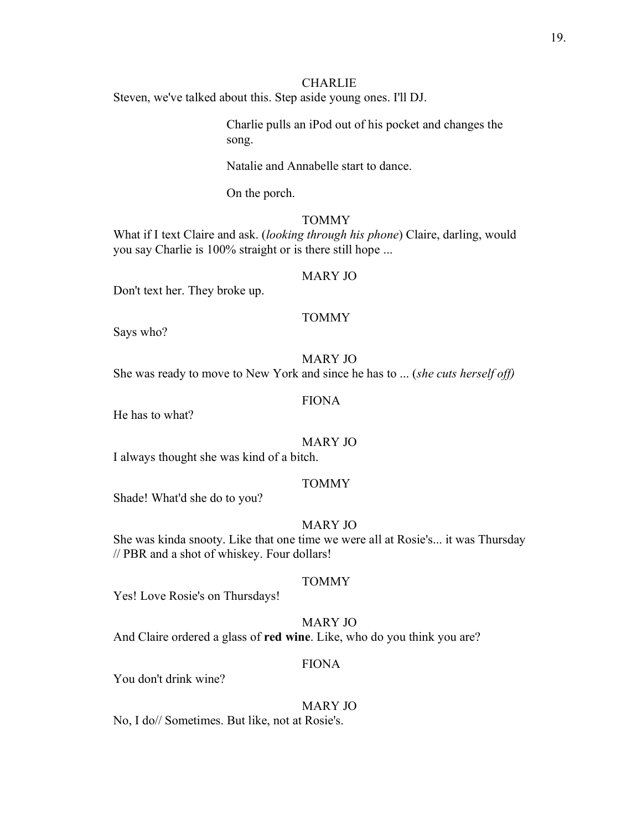# **CHARLIE**

Steven, we've talked about this. Step aside young ones. I'll DJ.

Charlie pulls an iPod out of his pocket and changes the song.

Natalie and Annabelle start to dance.

On the porch.

#### TOMMY

What if I text Claire and ask. (*looking through his phone*) Claire, darling, would you say Charlie is 100% straight or is there still hope ...

#### MARY JO

Don't text her. They broke up.

# **TOMMY**

Says who?

# MARY JO

She was ready to move to New York and since he has to ... (*she cuts herself off)*

## FIONA

He has to what?

# MARY JO

I always thought she was kind of a bitch.

#### TOMMY

Shade! What'd she do to you?

# MARY JO

She was kinda snooty. Like that one time we were all at Rosie's... it was Thursday // PBR and a shot of whiskey. Four dollars!

#### TOMMY

Yes! Love Rosie's on Thursdays!

# MARY JO

And Claire ordered a glass of **red wine**. Like, who do you think you are?

#### FIONA

You don't drink wine?

## MARY JO

No, I do// Sometimes. But like, not at Rosie's.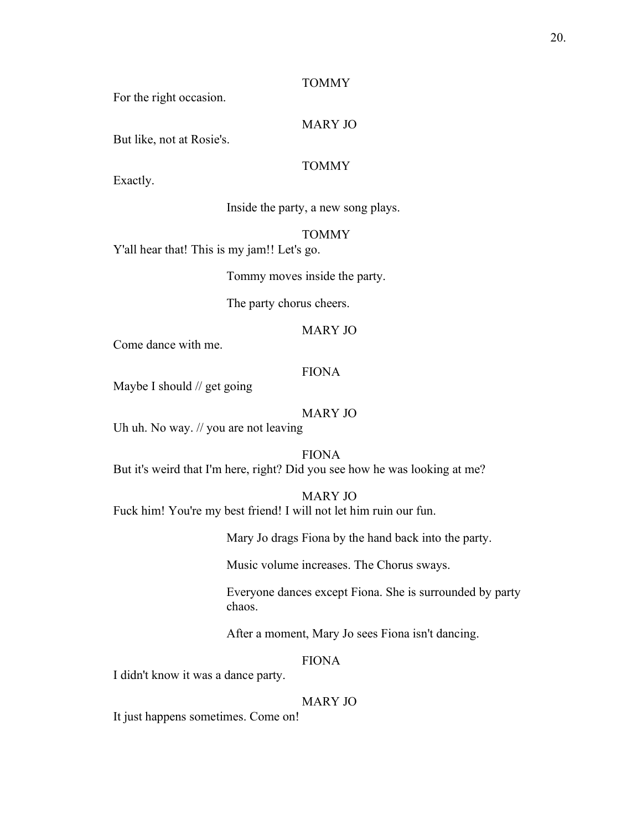#### TOMMY

For the right occasion.

#### MARY JO

But like, not at Rosie's.

# TOMMY

Exactly.

Inside the party, a new song plays.

## TOMMY

Y'all hear that! This is my jam!! Let's go.

Tommy moves inside the party.

The party chorus cheers.

## MARY JO

Come dance with me.

## FIONA

Maybe I should // get going

#### MARY JO

Uh uh. No way. // you are not leaving

#### FIONA

But it's weird that I'm here, right? Did you see how he was looking at me?

# MARY JO

Fuck him! You're my best friend! I will not let him ruin our fun.

Mary Jo drags Fiona by the hand back into the party.

Music volume increases. The Chorus sways.

Everyone dances except Fiona. She is surrounded by party chaos.

After a moment, Mary Jo sees Fiona isn't dancing.

#### FIONA

I didn't know it was a dance party.

#### MARY JO

It just happens sometimes. Come on!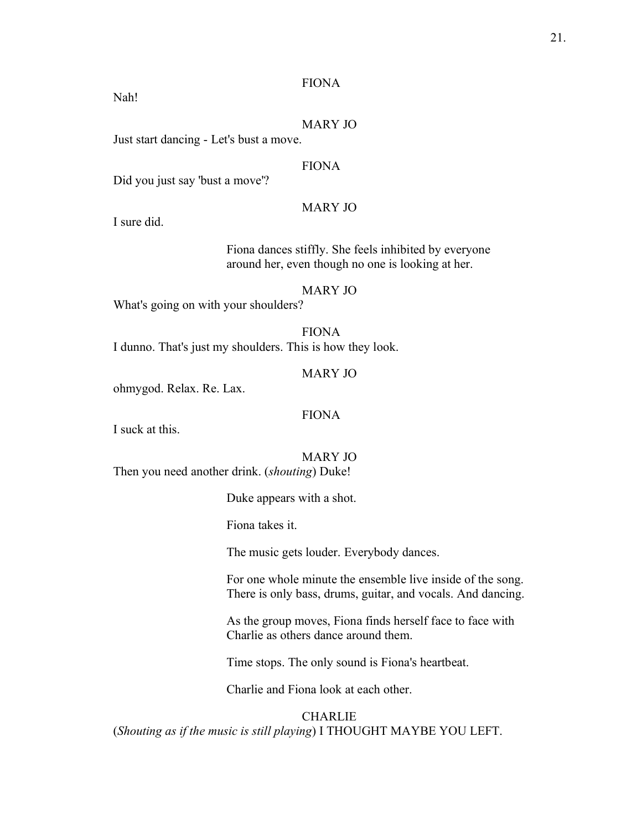## FIONA

Nah!

# MARY JO

Just start dancing - Let's bust a move.

# FIONA

Did you just say 'bust a move'?

# MARY JO

I sure did.

Fiona dances stiffly. She feels inhibited by everyone around her, even though no one is looking at her.

#### MARY JO

What's going on with your shoulders?

FIONA I dunno. That's just my shoulders. This is how they look.

#### MARY JO

ohmygod. Relax. Re. Lax.

# FIONA

I suck at this.

#### MARY JO

Then you need another drink. (*shouting*) Duke!

Duke appears with a shot.

Fiona takes it.

The music gets louder. Everybody dances.

For one whole minute the ensemble live inside of the song. There is only bass, drums, guitar, and vocals. And dancing.

As the group moves, Fiona finds herself face to face with Charlie as others dance around them.

Time stops. The only sound is Fiona's heartbeat.

Charlie and Fiona look at each other.

**CHARLIE** (*Shouting as if the music is still playing*) I THOUGHT MAYBE YOU LEFT.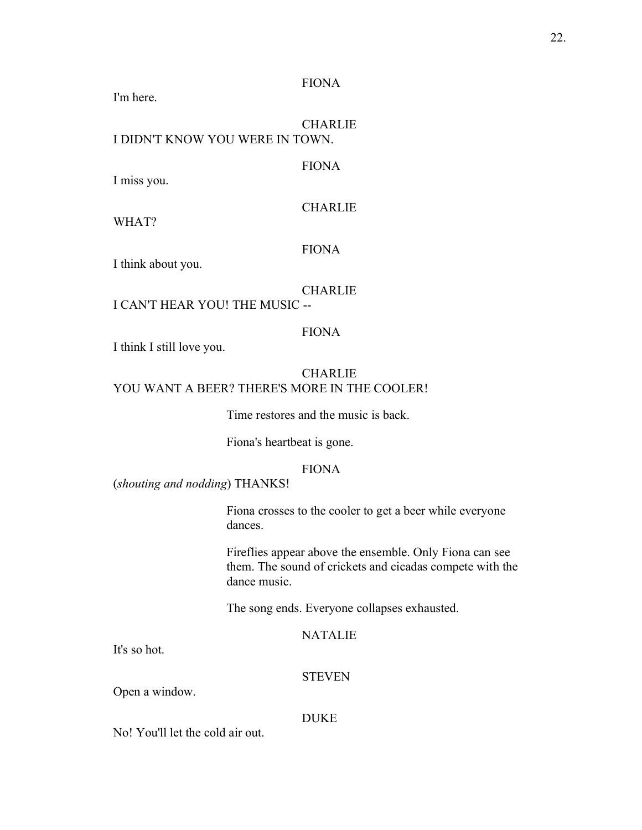## FIONA

I'm here.

**CHARLIE** I DIDN'T KNOW YOU WERE IN TOWN.

# FIONA

I miss you.

# **CHARLIE**

WHAT?

# FIONA

I think about you.

#### **CHARLIE**

# I CAN'T HEAR YOU! THE MUSIC --

# FIONA

I think I still love you.

# **CHARLIE** YOU WANT A BEER? THERE'S MORE IN THE COOLER!

Time restores and the music is back.

Fiona's heartbeat is gone.

# FIONA

(*shouting and nodding*) THANKS!

Fiona crosses to the cooler to get a beer while everyone dances.

Fireflies appear above the ensemble. Only Fiona can see them. The sound of crickets and cicadas compete with the dance music.

The song ends. Everyone collapses exhausted.

# NATALIE

It's so hot.

#### **STEVEN**

Open a window.

#### DUKE

No! You'll let the cold air out.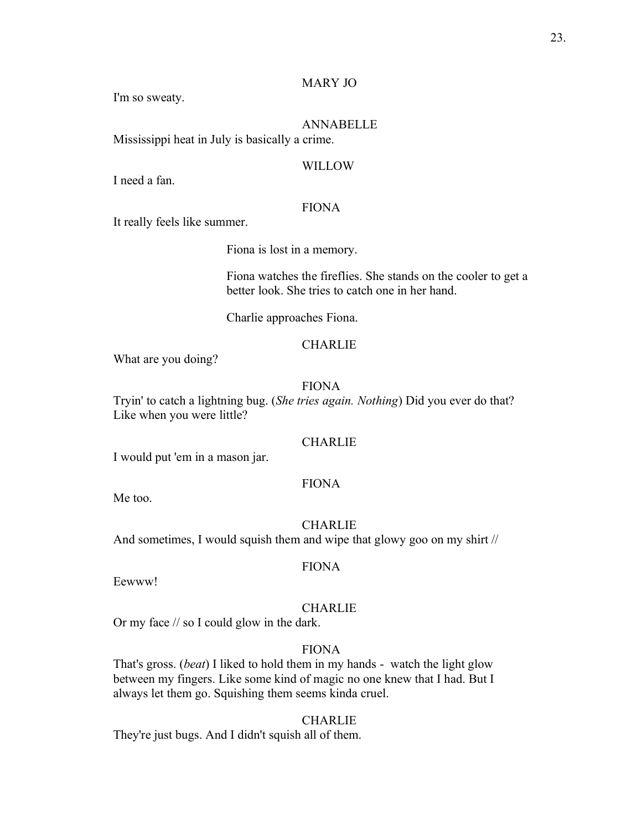# MARY JO

I'm so sweaty.

# ANNABELLE

Mississippi heat in July is basically a crime.

#### WILLOW

I need a fan.

# FIONA

It really feels like summer.

Fiona is lost in a memory.

Fiona watches the fireflies. She stands on the cooler to get a better look. She tries to catch one in her hand.

Charlie approaches Fiona.

# **CHARLIE**

What are you doing?

# FIONA

Tryin' to catch a lightning bug. (*She tries again. Nothing*) Did you ever do that? Like when you were little?

#### **CHARLIE**

I would put 'em in a mason jar.

### FIONA

Me too.

CHARLIE And sometimes, I would squish them and wipe that glowy goo on my shirt //

#### FIONA

Eewww!

# **CHARLIE**

Or my face // so I could glow in the dark.

# FIONA

That's gross. (*beat*) I liked to hold them in my hands - watch the light glow between my fingers. Like some kind of magic no one knew that I had. But I always let them go. Squishing them seems kinda cruel.

## CHARLIE

They're just bugs. And I didn't squish all of them.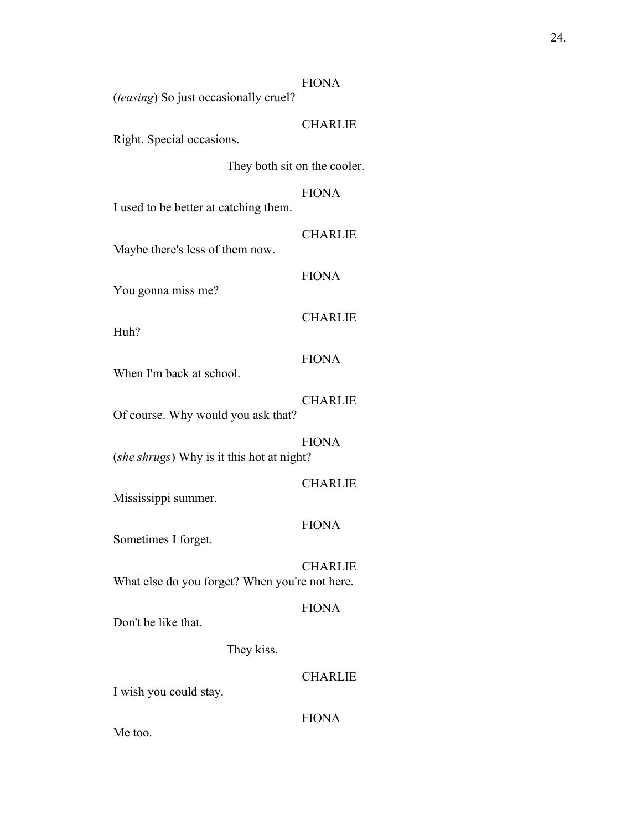## FIONA

(*teasing*) So just occasionally cruel?

# **CHARLIE**

Right. Special occasions.

They both sit on the cooler.

# FIONA

I used to be better at catching them.

# CHARLIE

Maybe there's less of them now.

# FIONA

You gonna miss me?

# **CHARLIE**

Huh?

# FIONA

When I'm back at school.

# **CHARLIE**

Of course. Why would you ask that?

## FIONA

(*she shrugs*) Why is it this hot at night?

# CHARLIE

Mississippi summer.

# FIONA

Sometimes I forget.

# **CHARLIE**

What else do you forget? When you're not here.

# FIONA

Don't be like that.

They kiss.

# **CHARLIE**

I wish you could stay.

#### FIONA

Me too.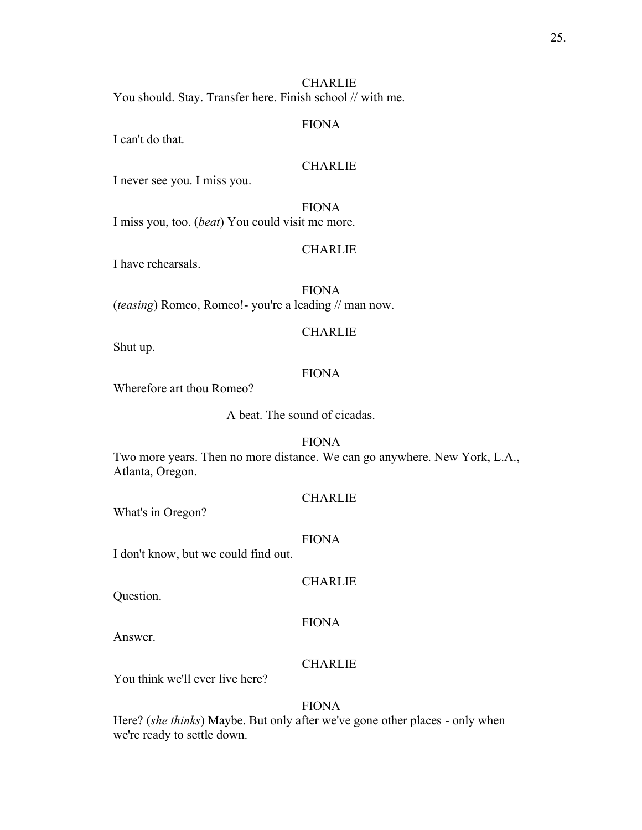# **CHARLIE**

You should. Stay. Transfer here. Finish school // with me.

#### FIONA

I can't do that.

## **CHARLIE**

I never see you. I miss you.

# FIONA

I miss you, too. (*beat*) You could visit me more.

#### **CHARLIE**

I have rehearsals.

FIONA (*teasing*) Romeo, Romeo!- you're a leading // man now.

# **CHARLIE**

Shut up.

## FIONA

Wherefore art thou Romeo?

A beat. The sound of cicadas.

#### FIONA

Two more years. Then no more distance. We can go anywhere. New York, L.A., Atlanta, Oregon.

#### **CHARLIE**

What's in Oregon?

#### FIONA

I don't know, but we could find out.

#### **CHARLIE**

Question.

#### FIONA

Answer.

# **CHARLIE**

You think we'll ever live here?

#### FIONA

Here? (*she thinks*) Maybe. But only after we've gone other places - only when we're ready to settle down.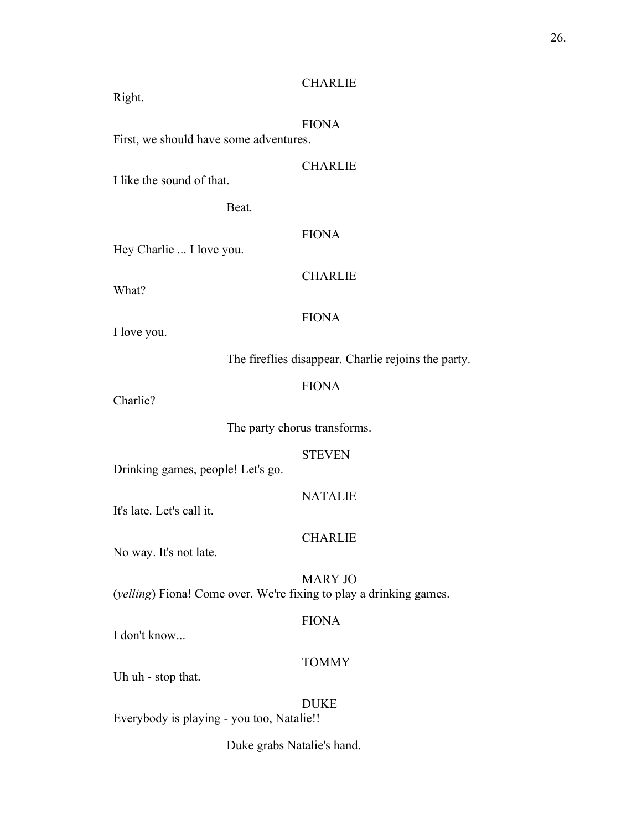# **CHARLIE**

Right.

# FIONA

First, we should have some adventures.

**CHARLIE** 

I like the sound of that.

Beat.

## FIONA

Hey Charlie ... I love you.

What?

CHARLIE

# FIONA

I love you.

The fireflies disappear. Charlie rejoins the party.

# FIONA

Charlie?

The party chorus transforms.

STEVEN

Drinking games, people! Let's go.

## NATALIE

It's late. Let's call it.

# CHARLIE

No way. It's not late.

MARY JO (*yelling*) Fiona! Come over. We're fixing to play a drinking games.

## FIONA

I don't know...

# TOMMY

Uh uh - stop that.

# DUKE

Everybody is playing - you too, Natalie!!

Duke grabs Natalie's hand.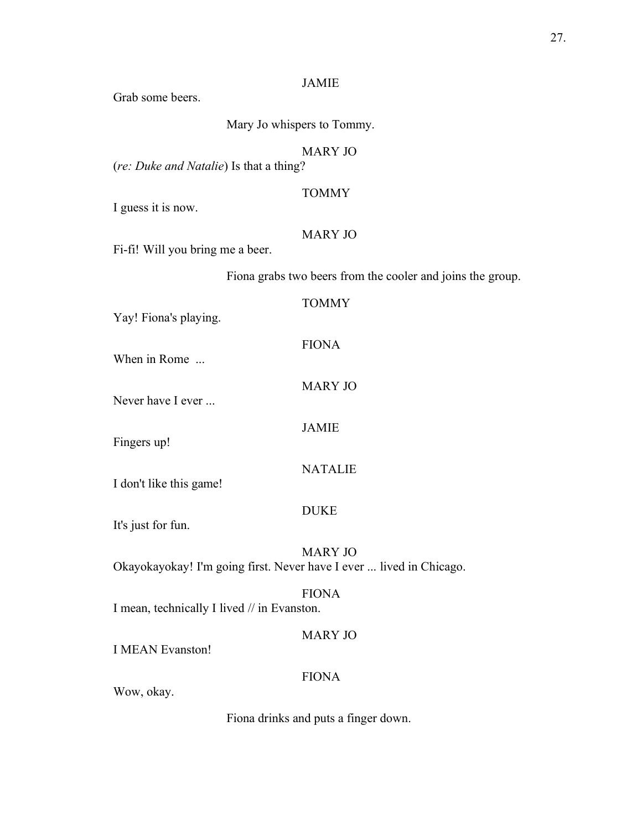# JAMIE

Grab some beers.

Mary Jo whispers to Tommy.

# MARY JO

(*re: Duke and Natalie*) Is that a thing?

# TOMMY

I guess it is now.

# MARY JO

Fi-fi! Will you bring me a beer.

Fiona grabs two beers from the cooler and joins the group.

| Yay! Fiona's playing.                                               | <b>TOMMY</b>   |
|---------------------------------------------------------------------|----------------|
| When in Rome                                                        | <b>FIONA</b>   |
| Never have I ever                                                   | <b>MARY JO</b> |
| Fingers up!                                                         | <b>JAMIE</b>   |
| I don't like this game!                                             | <b>NATALIE</b> |
| It's just for fun.                                                  | <b>DUKE</b>    |
| Okayokayokay! I'm going first. Never have I ever  lived in Chicago. | <b>MARY JO</b> |
| I mean, technically I lived // in Evanston.                         | <b>FIONA</b>   |
| <b>I MEAN Evanston!</b>                                             | <b>MARY JO</b> |
| Wow, okay.                                                          | <b>FIONA</b>   |

Fiona drinks and puts a finger down.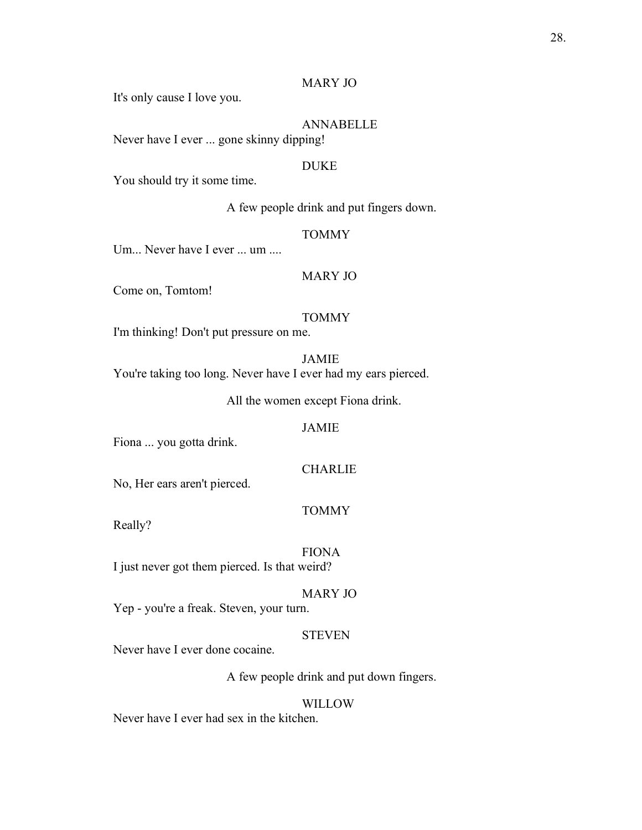## MARY JO

It's only cause I love you.

ANNABELLE Never have I ever ... gone skinny dipping!

### DUKE

You should try it some time.

A few people drink and put fingers down.

## TOMMY

Um... Never have I ever ... um ....

# MARY JO

Come on, Tomtom!

## TOMMY

I'm thinking! Don't put pressure on me.

JAMIE

You're taking too long. Never have I ever had my ears pierced.

All the women except Fiona drink.

## JAMIE

Fiona ... you gotta drink.

# CHARLIE

No, Her ears aren't pierced.

#### TOMMY

Really?

# FIONA

I just never got them pierced. Is that weird?

# MARY JO

Yep - you're a freak. Steven, your turn.

# **STEVEN**

Never have I ever done cocaine.

A few people drink and put down fingers.

#### **WILLOW**

Never have I ever had sex in the kitchen.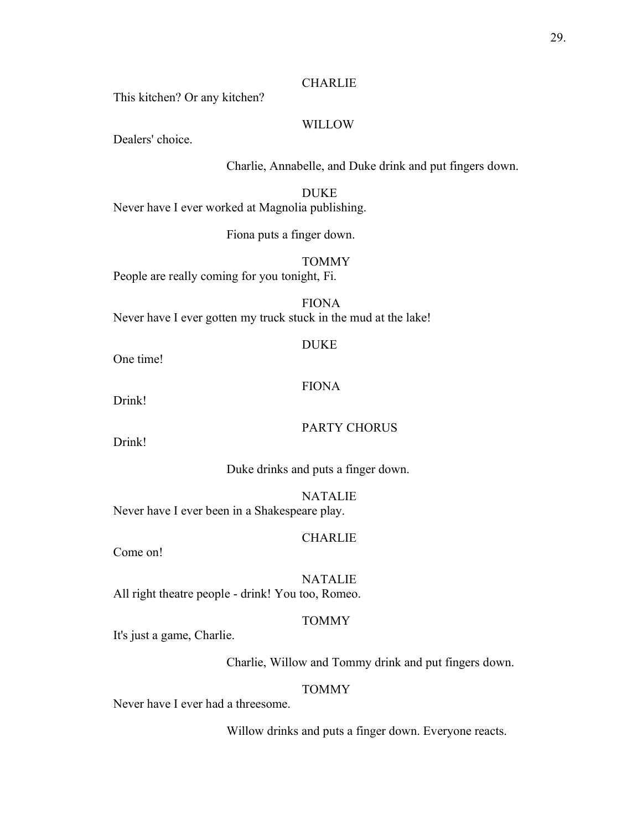#### **CHARLIE**

This kitchen? Or any kitchen?

## WILLOW

Dealers' choice.

Charlie, Annabelle, and Duke drink and put fingers down.

DUKE Never have I ever worked at Magnolia publishing.

Fiona puts a finger down.

TOMMY

People are really coming for you tonight, Fi.

FIONA Never have I ever gotten my truck stuck in the mud at the lake!

One time!

## FIONA

DUKE

Drink!

## PARTY CHORUS

Drink!

Duke drinks and puts a finger down.

NATALIE Never have I ever been in a Shakespeare play.

# CHARLIE

Come on!

**NATALIE** All right theatre people - drink! You too, Romeo.

#### TOMMY

It's just a game, Charlie.

Charlie, Willow and Tommy drink and put fingers down.

#### TOMMY

Never have I ever had a threesome.

Willow drinks and puts a finger down. Everyone reacts.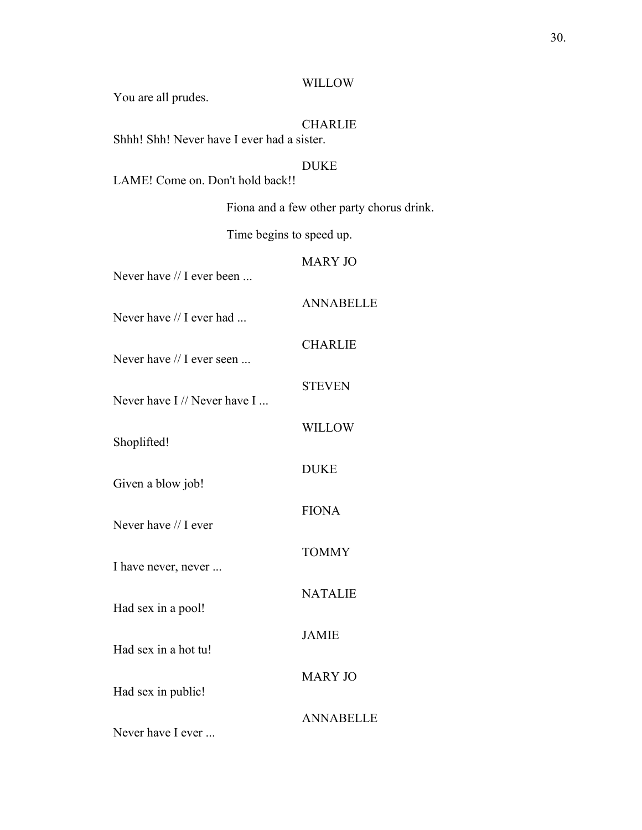#### WILLOW

You are all prudes.

# **CHARLIE**

Shhh! Shh! Never have I ever had a sister.

#### DUKE

LAME! Come on. Don't hold back!!

Fiona and a few other party chorus drink.

Time begins to speed up.

# MARY JO

CHARLIE

**STEVEN** 

WILLOW

DUKE

FIONA

TOMMY

NATALIE

JAMIE

ANNABELLE

Never have // I ever been ...

Never have // I ever had ...

Never have // I ever seen ...

Never have I // Never have I ...

Shoplifted!

Given a blow job!

Never have // I ever

I have never, never ...

Had sex in a pool!

Had sex in a hot tu!

Had sex in public!

ANNABELLE

MARY JO

Never have I ever ...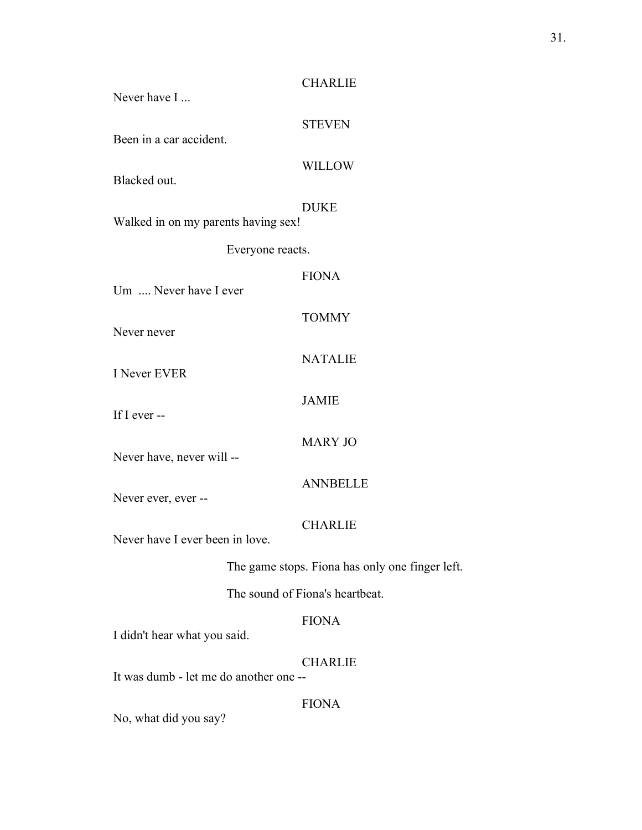| Never have I                        | <b>CHARLIE</b>                                  |  |  |
|-------------------------------------|-------------------------------------------------|--|--|
| Been in a car accident.             | <b>STEVEN</b>                                   |  |  |
| Blacked out.                        | <b>WILLOW</b>                                   |  |  |
| Walked in on my parents having sex! | <b>DUKE</b>                                     |  |  |
| Everyone reacts.                    |                                                 |  |  |
| Um  Never have I ever               | <b>FIONA</b>                                    |  |  |
| Never never                         | <b>TOMMY</b>                                    |  |  |
| <b>I</b> Never EVER                 | <b>NATALIE</b>                                  |  |  |
| If I ever --                        | <b>JAMIE</b>                                    |  |  |
| Never have, never will --           | <b>MARY JO</b>                                  |  |  |
| Never ever, ever --                 | <b>ANNBELLE</b>                                 |  |  |
| Never have I ever been in love.     | <b>CHARLIE</b>                                  |  |  |
|                                     | The game stops. Fiona has only one finger left. |  |  |
| The sound of Fiona's heartbeat.     |                                                 |  |  |
| I didn't hear what you said.        | <b>FIONA</b>                                    |  |  |
|                                     | <b>CHARLIE</b>                                  |  |  |

It was dumb - let me do another one --

FIONA

No, what did you say?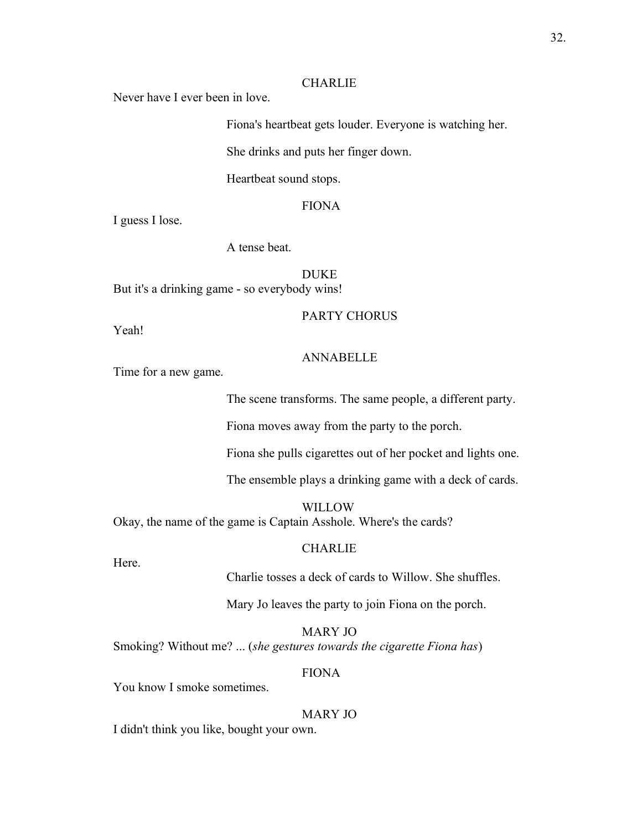#### **CHARLIE**

Never have I ever been in love.

Fiona's heartbeat gets louder. Everyone is watching her.

She drinks and puts her finger down.

Heartbeat sound stops.

# FIONA

I guess I lose.

A tense beat.

DUKE But it's a drinking game - so everybody wins!

#### PARTY CHORUS

Yeah!

# ANNABELLE

Time for a new game.

The scene transforms. The same people, a different party.

Fiona moves away from the party to the porch.

Fiona she pulls cigarettes out of her pocket and lights one.

The ensemble plays a drinking game with a deck of cards.

**WILLOW** Okay, the name of the game is Captain Asshole. Where's the cards?

#### **CHARLIE**

Here.

Charlie tosses a deck of cards to Willow. She shuffles.

Mary Jo leaves the party to join Fiona on the porch.

MARY JO Smoking? Without me? ... (*she gestures towards the cigarette Fiona has*)

# FIONA

You know I smoke sometimes.

# MARY JO

I didn't think you like, bought your own.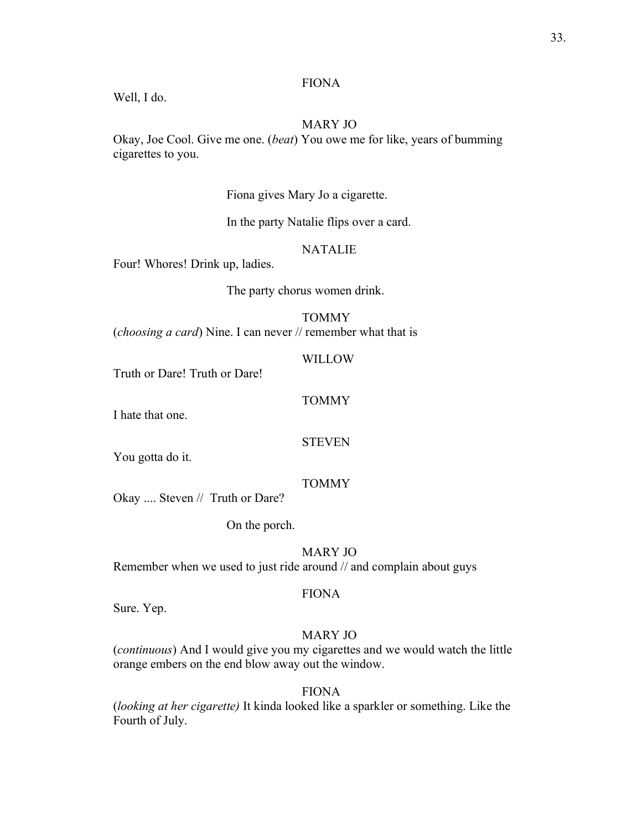# FIONA

Well, I do.

# MARY JO

Okay, Joe Cool. Give me one. (*beat*) You owe me for like, years of bumming cigarettes to you.

# Fiona gives Mary Jo a cigarette.

In the party Natalie flips over a card.

# NATALIE

Four! Whores! Drink up, ladies.

The party chorus women drink.

# **TOMMY**

(*choosing a card*) Nine. I can never // remember what that is

#### WILLOW

Truth or Dare! Truth or Dare!

# TOMMY

I hate that one.

#### **STEVEN**

You gotta do it.

## TOMMY

Okay .... Steven // Truth or Dare?

On the porch.

# MARY JO

Remember when we used to just ride around // and complain about guys

# FIONA

Sure. Yep.

# MARY JO

(*continuous*) And I would give you my cigarettes and we would watch the little orange embers on the end blow away out the window.

# FIONA

(*looking at her cigarette)* It kinda looked like a sparkler or something. Like the Fourth of July.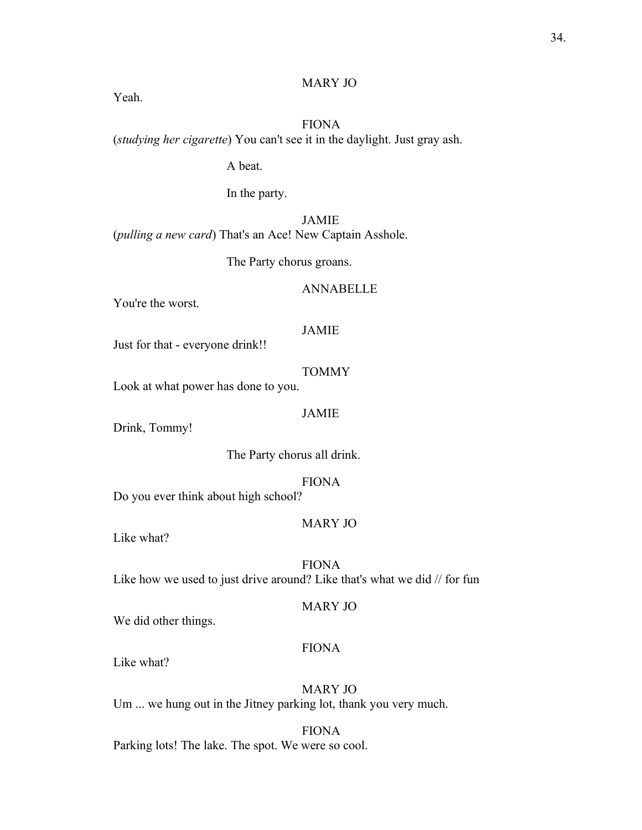## MARY JO

Yeah.

# FIONA (*studying her cigarette*) You can't see it in the daylight. Just gray ash.

A beat.

In the party.

JAMIE (*pulling a new card*) That's an Ace! New Captain Asshole.

The Party chorus groans.

# ANNABELLE

You're the worst.

#### JAMIE

Just for that - everyone drink!!

#### TOMMY

Look at what power has done to you.

#### JAMIE

Drink, Tommy!

The Party chorus all drink.

FIONA

Do you ever think about high school?

## MARY JO

Like what?

FIONA Like how we used to just drive around? Like that's what we did // for fun

## MARY JO

We did other things.

# FIONA

Like what?

MARY JO Um ... we hung out in the Jitney parking lot, thank you very much.

FIONA Parking lots! The lake. The spot. We were so cool.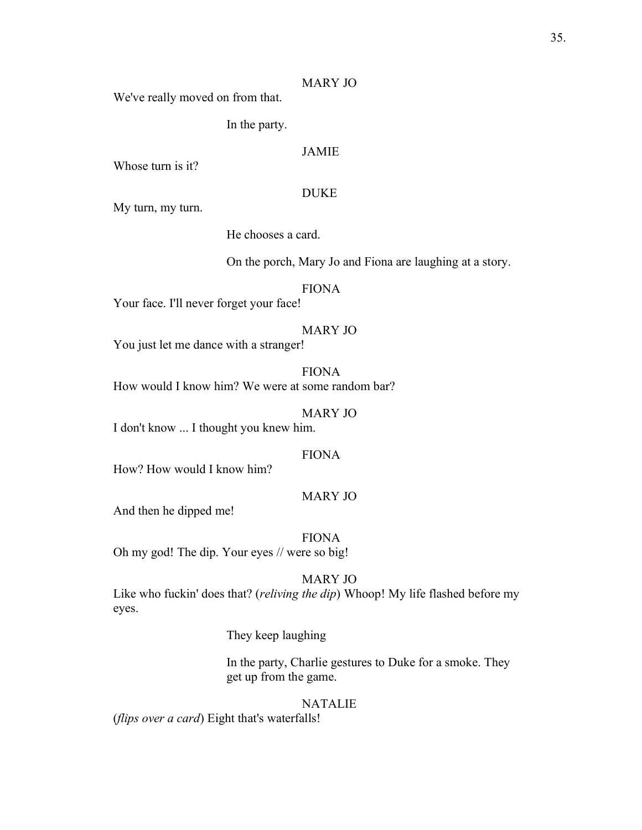#### MARY JO

We've really moved on from that.

In the party.

# JAMIE

Whose turn is it?

#### DUKE

My turn, my turn.

He chooses a card.

On the porch, Mary Jo and Fiona are laughing at a story.

#### FIONA

Your face. I'll never forget your face!

## MARY JO

You just let me dance with a stranger!

FIONA How would I know him? We were at some random bar?

MARY JO

I don't know ... I thought you knew him.

# FIONA

How? How would I know him?

# MARY JO

And then he dipped me!

FIONA

Oh my god! The dip. Your eyes // were so big!

# MARY JO

Like who fuckin' does that? (*reliving the dip*) Whoop! My life flashed before my eyes.

They keep laughing

In the party, Charlie gestures to Duke for a smoke. They get up from the game.

#### NATALIE

(*flips over a card*) Eight that's waterfalls!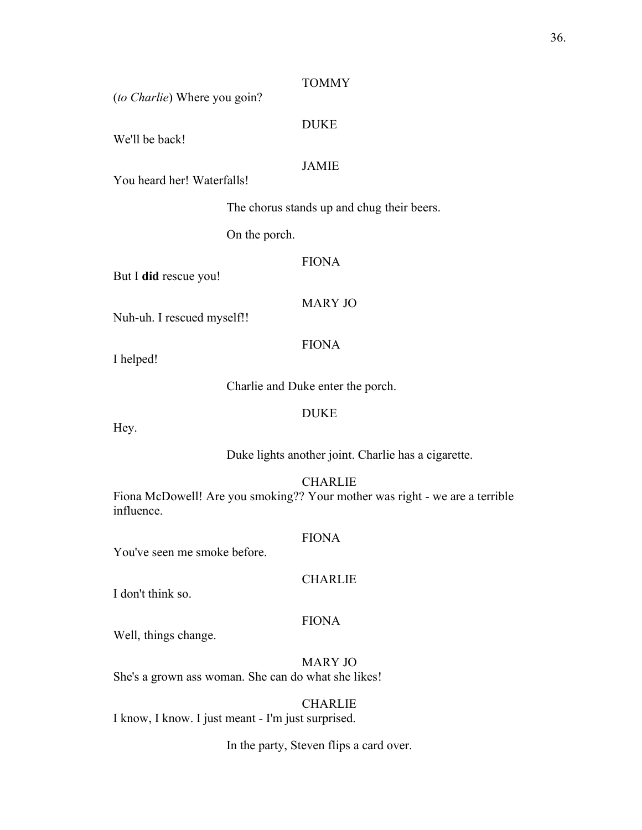#### TOMMY

(*to Charlie*) Where you goin?

## DUKE

We'll be back!

## JAMIE

You heard her! Waterfalls!

The chorus stands up and chug their beers.

On the porch.

## FIONA

But I **did** rescue you!

#### MARY JO

Nuh-uh. I rescued myself!!

## FIONA

I helped!

Charlie and Duke enter the porch.

#### DUKE

Hey.

Duke lights another joint. Charlie has a cigarette.

#### CHARLIE

Fiona McDowell! Are you smoking?? Your mother was right - we are a terrible influence.

## FIONA

You've seen me smoke before.

#### **CHARLIE**

I don't think so.

#### FIONA

Well, things change.

MARY JO She's a grown ass woman. She can do what she likes!

# CHARLIE

I know, I know. I just meant - I'm just surprised.

## In the party, Steven flips a card over.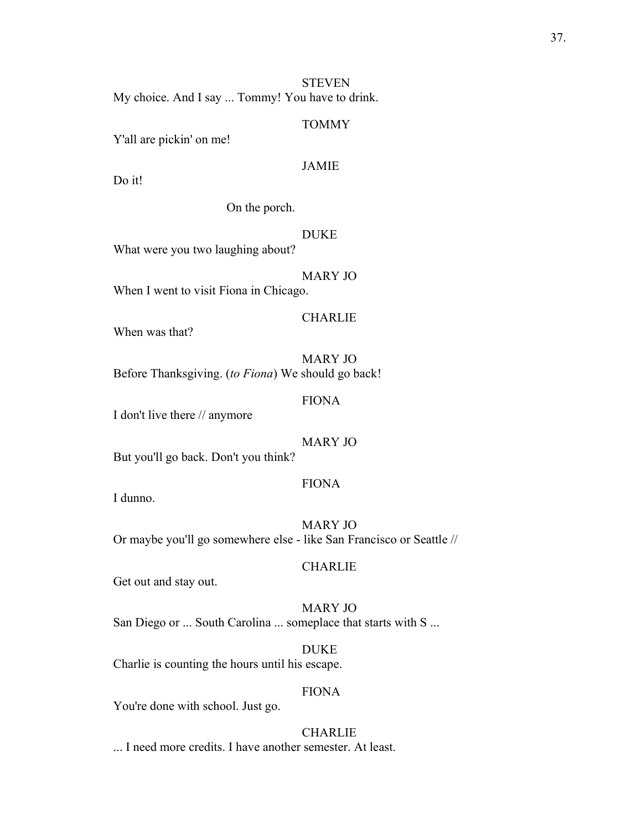## **STEVEN**

My choice. And I say ... Tommy! You have to drink.

#### TOMMY

Y'all are pickin' on me!

## JAMIE

Do it!

On the porch.

#### DUKE

What were you two laughing about?

MARY JO

When I went to visit Fiona in Chicago.

## **CHARLIE**

When was that?

MARY JO Before Thanksgiving. (*to Fiona*) We should go back!

#### FIONA

I don't live there // anymore

## MARY JO

But you'll go back. Don't you think?

#### FIONA

I dunno.

MARY JO Or maybe you'll go somewhere else - like San Francisco or Seattle //

## **CHARLIE**

Get out and stay out.

MARY JO San Diego or ... South Carolina ... someplace that starts with S ...

DUKE Charlie is counting the hours until his escape.

#### FIONA

You're done with school. Just go.

## **CHARLIE**

... I need more credits. I have another semester. At least.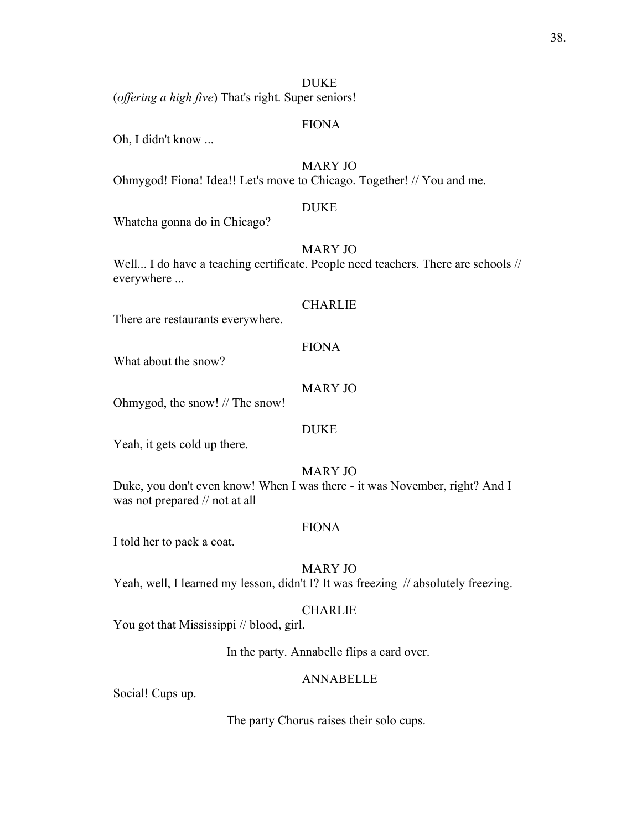#### DUKE

(*offering a high five*) That's right. Super seniors!

#### FIONA

Oh, I didn't know ...

## MARY JO

Ohmygod! Fiona! Idea!! Let's move to Chicago. Together! // You and me.

#### DUKE

Whatcha gonna do in Chicago?

## MARY JO

Well... I do have a teaching certificate. People need teachers. There are schools // everywhere ...

#### **CHARLIE**

There are restaurants everywhere.

## FIONA

What about the snow?

#### MARY JO

Ohmygod, the snow! // The snow!

#### DUKE

Yeah, it gets cold up there.

## MARY JO

Duke, you don't even know! When I was there - it was November, right? And I was not prepared // not at all

#### FIONA

I told her to pack a coat.

#### MARY JO

Yeah, well, I learned my lesson, didn't I? It was freezing // absolutely freezing.

## CHARLIE

You got that Mississippi // blood, girl.

In the party. Annabelle flips a card over.

#### ANNABELLE

Social! Cups up.

The party Chorus raises their solo cups.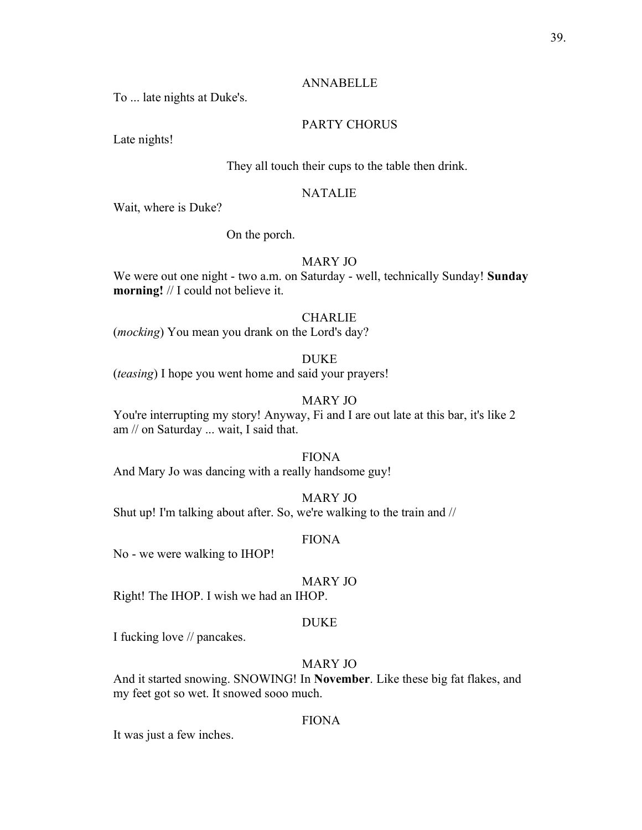#### ANNABELLE

To ... late nights at Duke's.

## PARTY CHORUS

Late nights!

#### They all touch their cups to the table then drink.

## NATALIE

Wait, where is Duke?

On the porch.

## MARY JO

We were out one night - two a.m. on Saturday - well, technically Sunday! **Sunday morning!** // I could not believe it.

## **CHARLIE**

(*mocking*) You mean you drank on the Lord's day?

## DUKE

(*teasing*) I hope you went home and said your prayers!

## MARY JO

You're interrupting my story! Anyway, Fi and I are out late at this bar, it's like 2 am // on Saturday ... wait, I said that.

## FIONA

And Mary Jo was dancing with a really handsome guy!

#### MARY JO

Shut up! I'm talking about after. So, we're walking to the train and //

#### FIONA

No - we were walking to IHOP!

## MARY JO

Right! The IHOP. I wish we had an IHOP.

#### DUKE

I fucking love // pancakes.

## MARY JO

And it started snowing. SNOWING! In **November**. Like these big fat flakes, and my feet got so wet. It snowed sooo much.

## FIONA

It was just a few inches.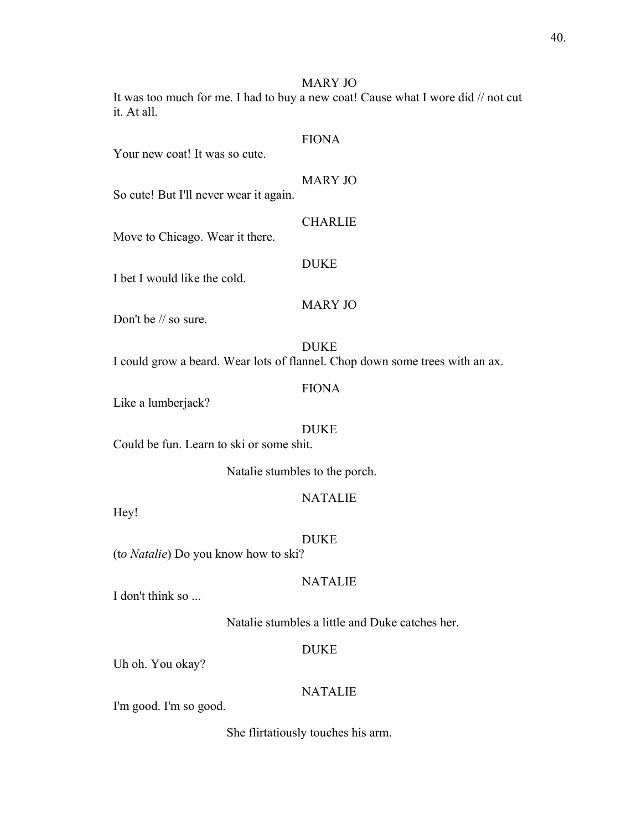MARY JO

It was too much for me. I had to buy a new coat! Cause what I wore did // not cut it. At all.

| Your new coat! It was so cute.           | <b>FIONA</b>                                                                                |
|------------------------------------------|---------------------------------------------------------------------------------------------|
| So cute! But I'll never wear it again.   | <b>MARY JO</b>                                                                              |
| Move to Chicago. Wear it there.          | <b>CHARLIE</b>                                                                              |
| I bet I would like the cold.             | <b>DUKE</b>                                                                                 |
| Don't be // so sure.                     | <b>MARY JO</b>                                                                              |
|                                          | <b>DUKE</b><br>I could grow a beard. Wear lots of flannel. Chop down some trees with an ax. |
| Like a lumberjack?                       | <b>FIONA</b>                                                                                |
| Could be fun. Learn to ski or some shit. | <b>DUKE</b>                                                                                 |
| Natalie stumbles to the porch.           |                                                                                             |
| Hey!                                     | <b>NATALIE</b>                                                                              |
| (to Natalie) Do you know how to ski?     | <b>DUKE</b>                                                                                 |
| I don't think so                         | <b>NATALIE</b>                                                                              |
|                                          | Natalie stumbles a little and Duke catches her.                                             |

## DUKE

Uh oh. You okay?

## NATALIE

I'm good. I'm so good.

She flirtatiously touches his arm.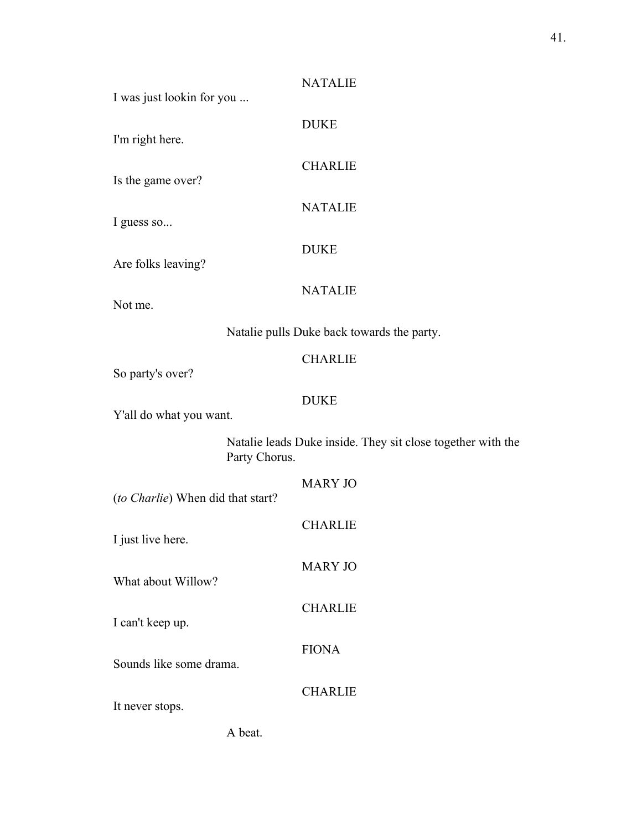| <b>NATALIE</b>                                                               |
|------------------------------------------------------------------------------|
| <b>DUKE</b>                                                                  |
| <b>CHARLIE</b>                                                               |
| <b>NATALIE</b>                                                               |
| <b>DUKE</b>                                                                  |
| <b>NATALIE</b>                                                               |
| Natalie pulls Duke back towards the party.                                   |
| <b>CHARLIE</b>                                                               |
| <b>DUKE</b>                                                                  |
| Natalie leads Duke inside. They sit close together with the<br>Party Chorus. |
| <b>MARY JO</b>                                                               |
| <b>CHARLIE</b>                                                               |
| <b>MARY JO</b>                                                               |
| <b>CHARLIE</b>                                                               |
| <b>FIONA</b>                                                                 |
| <b>CHARLIE</b>                                                               |
|                                                                              |
|                                                                              |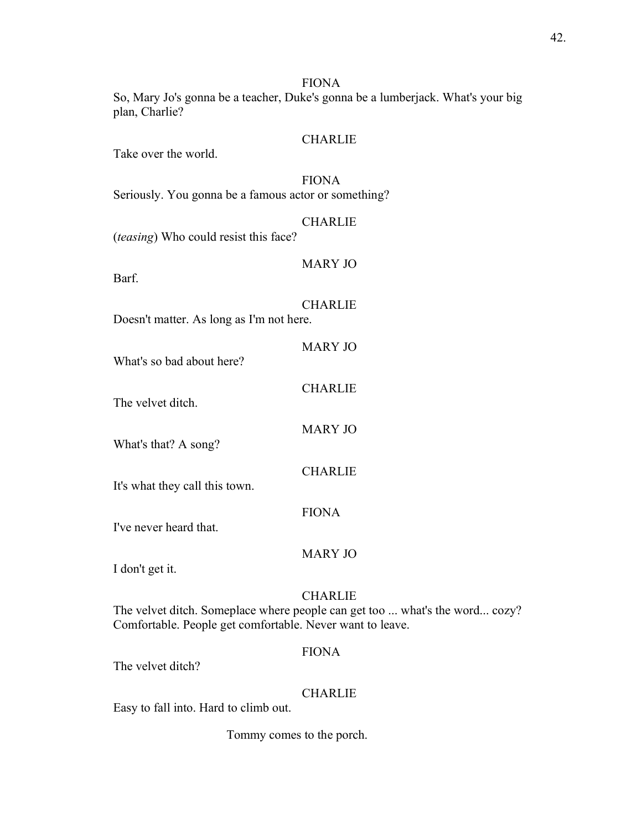So, Mary Jo's gonna be a teacher, Duke's gonna be a lumberjack. What's your big plan, Charlie?

## **CHARLIE**

Take over the world.

## FIONA

Seriously. You gonna be a famous actor or something?

## CHARLIE

(*teasing*) Who could resist this face?

## MARY JO

Barf.

## CHARLIE

MARY JO

**CHARLIE** 

MARY JO

CHARLIE

Doesn't matter. As long as I'm not here.

- What's so bad about here?
	-

The velvet ditch.

What's that? A song?

It's what they call this town.

## FIONA

I've never heard that.

## MARY JO

I don't get it.

## **CHARLIE**

The velvet ditch. Someplace where people can get too ... what's the word... cozy? Comfortable. People get comfortable. Never want to leave.

## FIONA

The velvet ditch?

## **CHARLIE**

Easy to fall into. Hard to climb out.

Tommy comes to the porch.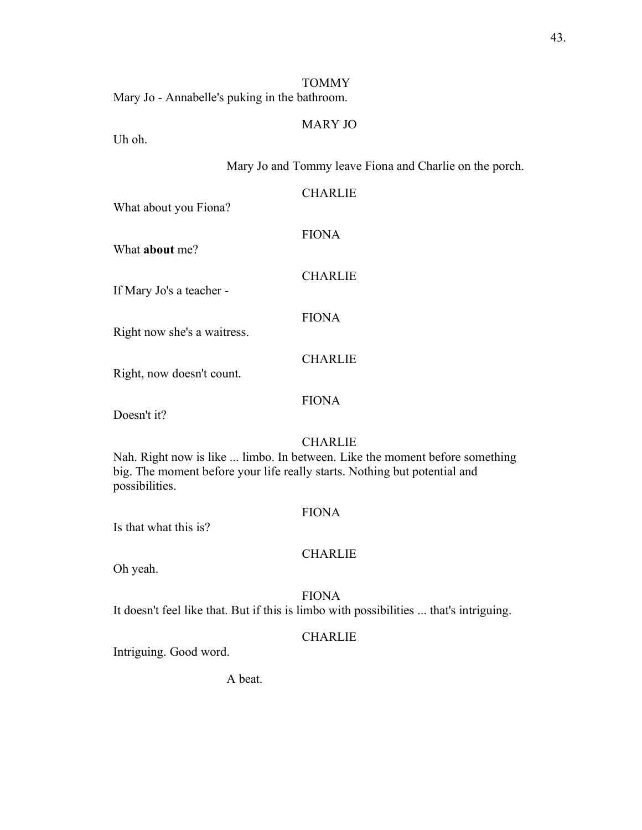## TOMMY

Mary Jo - Annabelle's puking in the bathroom.

## MARY JO

Uh oh.

## Mary Jo and Tommy leave Fiona and Charlie on the porch.

| What about you Fiona?       | <b>CHARLIE</b> |
|-----------------------------|----------------|
| What <b>about</b> me?       | <b>FIONA</b>   |
| If Mary Jo's a teacher -    | <b>CHARLIE</b> |
| Right now she's a waitress. | <b>FIONA</b>   |
| Right, now doesn't count.   | <b>CHARLIE</b> |
|                             |                |

FIONA

Doesn't it?

## CHARLIE

Nah. Right now is like ... limbo. In between. Like the moment before something big. The moment before your life really starts. Nothing but potential and possibilities.

## FIONA

Is that what this is?

#### CHARLIE

Oh yeah.

## FIONA

It doesn't feel like that. But if this is limbo with possibilities ... that's intriguing.

## CHARLIE

Intriguing. Good word.

A beat.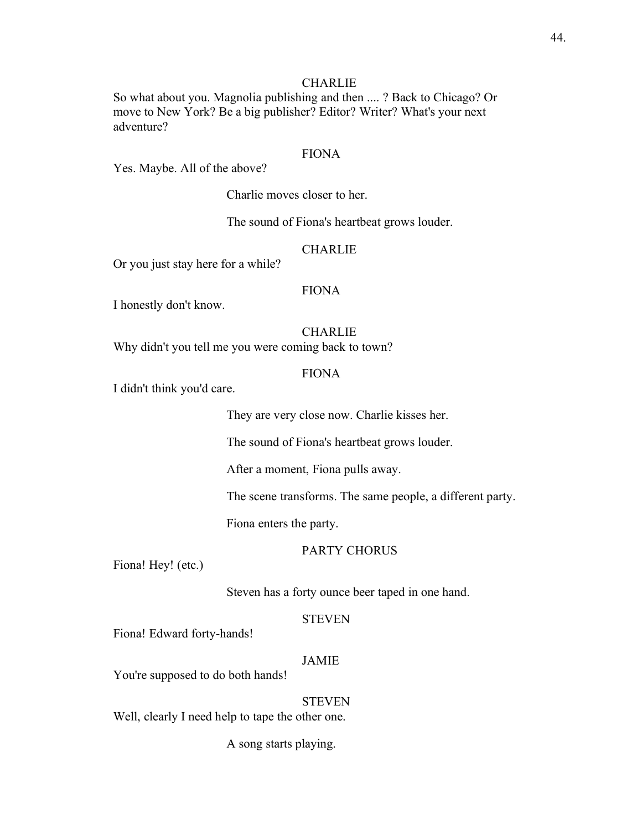## **CHARLIE**

So what about you. Magnolia publishing and then .... ? Back to Chicago? Or move to New York? Be a big publisher? Editor? Writer? What's your next adventure?

#### FIONA

Yes. Maybe. All of the above?

Charlie moves closer to her.

The sound of Fiona's heartbeat grows louder.

#### **CHARLIE**

Or you just stay here for a while?

#### FIONA

I honestly don't know.

## **CHARLIE**

Why didn't you tell me you were coming back to town?

#### FIONA

I didn't think you'd care.

They are very close now. Charlie kisses her.

The sound of Fiona's heartbeat grows louder.

After a moment, Fiona pulls away.

The scene transforms. The same people, a different party.

Fiona enters the party.

#### PARTY CHORUS

Fiona! Hey! (etc.)

Steven has a forty ounce beer taped in one hand.

#### STEVEN

Fiona! Edward forty-hands!

## JAMIE

You're supposed to do both hands!

#### **STEVEN**

Well, clearly I need help to tape the other one.

A song starts playing.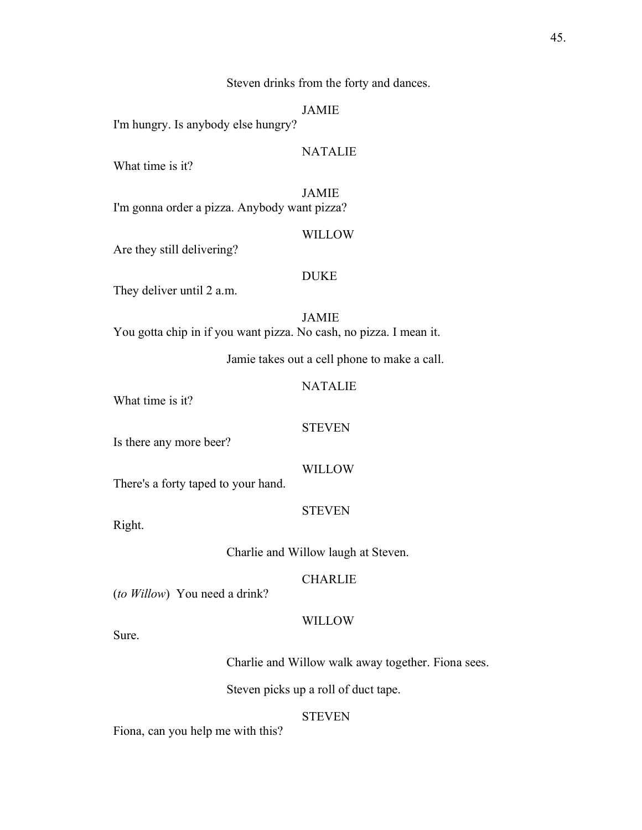Steven drinks from the forty and dances.

JAMIE

I'm hungry. Is anybody else hungry?

## **NATALIE**

What time is it?

JAMIE I'm gonna order a pizza. Anybody want pizza?

#### WILLOW

Are they still delivering?

## DUKE

They deliver until 2 a.m.

JAMIE You gotta chip in if you want pizza. No cash, no pizza. I mean it.

Jamie takes out a cell phone to make a call.

## NATALIE

What time is it?

#### **STEVEN**

Is there any more beer?

#### WILLOW

There's a forty taped to your hand.

STEVEN

Right.

Charlie and Willow laugh at Steven.

## CHARLIE

(*to Willow*) You need a drink?

#### **WILLOW**

Sure.

Charlie and Willow walk away together. Fiona sees.

Steven picks up a roll of duct tape.

#### **STEVEN**

Fiona, can you help me with this?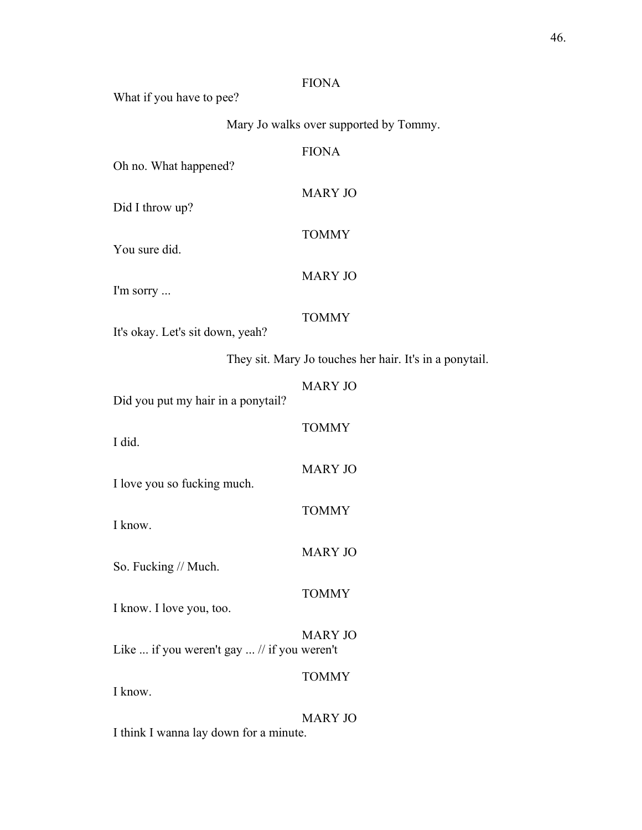What if you have to pee?

Mary Jo walks over supported by Tommy.

| Oh no. What happened?                       | <b>FIONA</b>                                            |
|---------------------------------------------|---------------------------------------------------------|
| Did I throw up?                             | <b>MARY JO</b>                                          |
| You sure did.                               | <b>TOMMY</b>                                            |
| I'm sorry                                   | <b>MARY JO</b>                                          |
| It's okay. Let's sit down, yeah?            | <b>TOMMY</b>                                            |
|                                             | They sit. Mary Jo touches her hair. It's in a ponytail. |
| Did you put my hair in a ponytail?          | <b>MARY JO</b>                                          |
| I did.                                      | <b>TOMMY</b>                                            |
| I love you so fucking much.                 | <b>MARY JO</b>                                          |
| I know.                                     | <b>TOMMY</b>                                            |
| So. Fucking // Much.                        | <b>MARY JO</b>                                          |
| I know. I love you, too.                    | <b>TOMMY</b>                                            |
| Like  if you weren't gay  // if you weren't | <b>MARY JO</b>                                          |
| I know.                                     | <b>TOMMY</b>                                            |
| I think I wanna lay down for a minute.      | <b>MARY JO</b>                                          |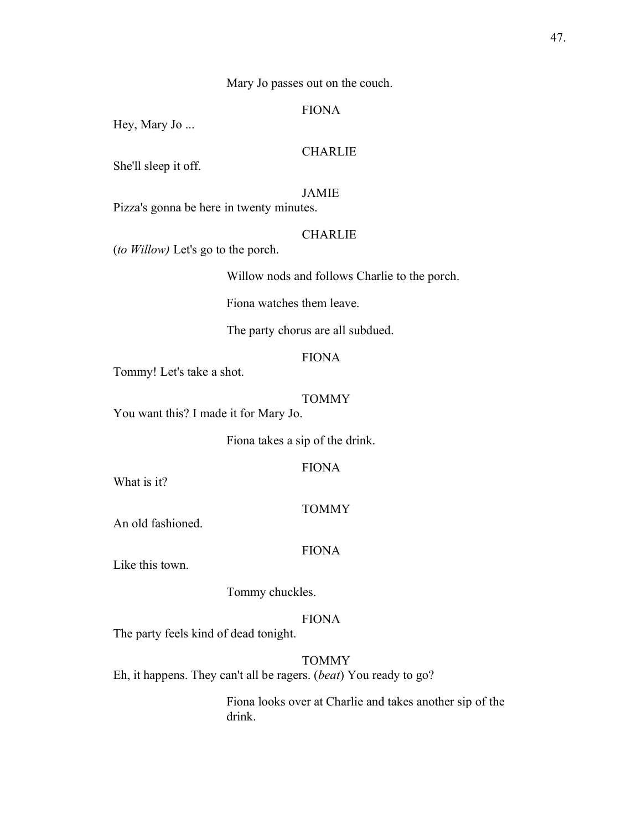Mary Jo passes out on the couch.

## FIONA

Hey, Mary Jo ...

## **CHARLIE**

She'll sleep it off.

## JAMIE

Pizza's gonna be here in twenty minutes.

#### **CHARLIE**

(*to Willow)* Let's go to the porch.

Willow nods and follows Charlie to the porch.

Fiona watches them leave.

The party chorus are all subdued.

## FIONA

Tommy! Let's take a shot.

#### TOMMY

You want this? I made it for Mary Jo.

Fiona takes a sip of the drink.

FIONA

What is it?

#### TOMMY

An old fashioned.

#### FIONA

Like this town.

Tommy chuckles.

#### FIONA

The party feels kind of dead tonight.

TOMMY

Eh, it happens. They can't all be ragers. (*beat*) You ready to go?

Fiona looks over at Charlie and takes another sip of the drink.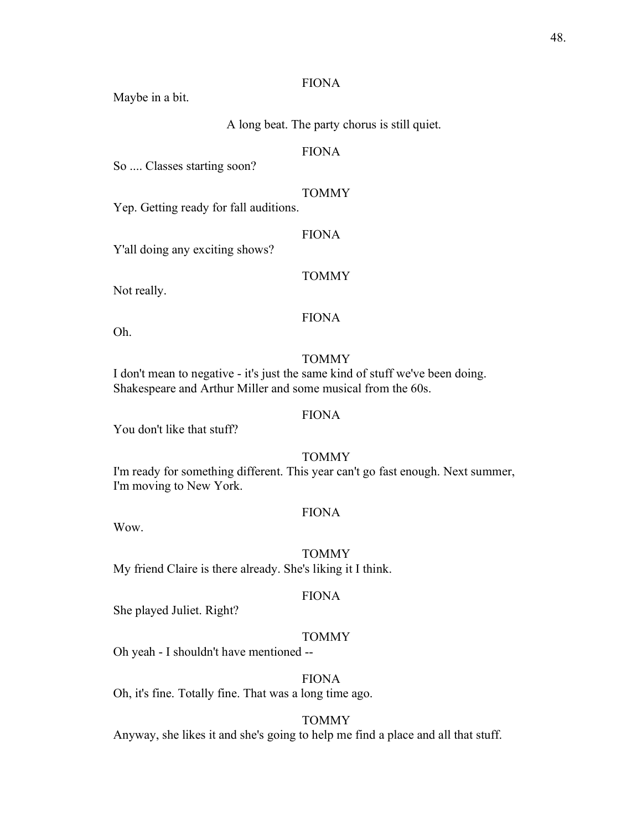Maybe in a bit.

A long beat. The party chorus is still quiet.

## FIONA

So .... Classes starting soon?

## TOMMY

Yep. Getting ready for fall auditions.

#### FIONA

Y'all doing any exciting shows?

## TOMMY

Not really.

## FIONA

Oh.

## **TOMMY**

I don't mean to negative - it's just the same kind of stuff we've been doing. Shakespeare and Arthur Miller and some musical from the 60s.

## FIONA

You don't like that stuff?

## TOMMY

I'm ready for something different. This year can't go fast enough. Next summer, I'm moving to New York.

## FIONA

Wow.

#### **TOMMY**

My friend Claire is there already. She's liking it I think.

#### FIONA

She played Juliet. Right?

#### TOMMY

Oh yeah - I shouldn't have mentioned --

## FIONA

Oh, it's fine. Totally fine. That was a long time ago.

## TOMMY

Anyway, she likes it and she's going to help me find a place and all that stuff.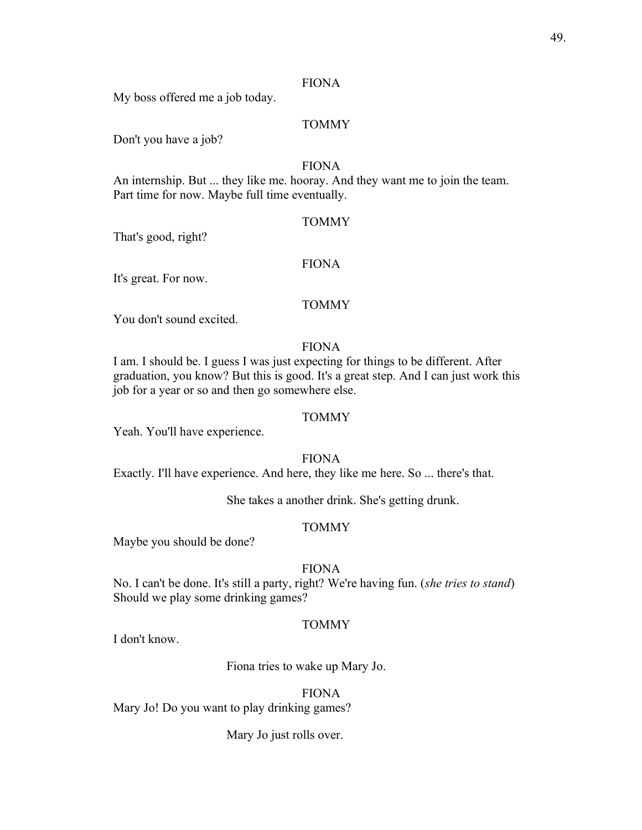My boss offered me a job today.

#### TOMMY

Don't you have a job?

#### FIONA

An internship. But ... they like me. hooray. And they want me to join the team. Part time for now. Maybe full time eventually.

#### TOMMY

That's good, right?

#### FIONA

It's great. For now.

#### TOMMY

You don't sound excited.

#### FIONA

I am. I should be. I guess I was just expecting for things to be different. After graduation, you know? But this is good. It's a great step. And I can just work this job for a year or so and then go somewhere else.

## TOMMY

Yeah. You'll have experience.

FIONA

Exactly. I'll have experience. And here, they like me here. So ... there's that.

She takes a another drink. She's getting drunk.

#### TOMMY

Maybe you should be done?

#### FIONA

No. I can't be done. It's still a party, right? We're having fun. (*she tries to stand*) Should we play some drinking games?

## TOMMY

I don't know.

Fiona tries to wake up Mary Jo.

## FIONA

Mary Jo! Do you want to play drinking games?

Mary Jo just rolls over.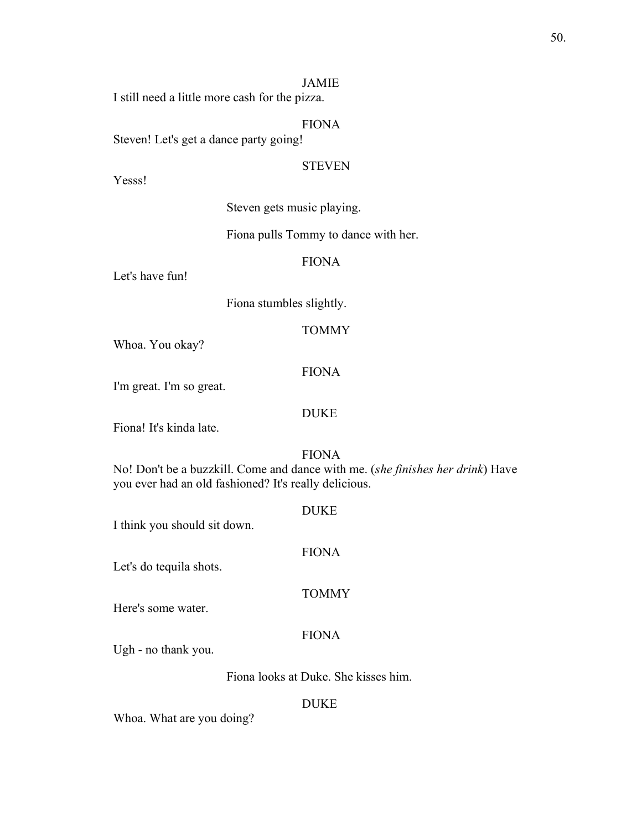#### JAMIE

I still need a little more cash for the pizza.

#### FIONA

Steven! Let's get a dance party going!

#### **STEVEN**

Yesss!

Steven gets music playing.

#### Fiona pulls Tommy to dance with her.

## FIONA

Let's have fun!

Fiona stumbles slightly.

## **TOMMY**

Whoa. You okay?

#### FIONA

I'm great. I'm so great.

#### DUKE

Fiona! It's kinda late.

#### FIONA

No! Don't be a buzzkill. Come and dance with me. (*she finishes her drink*) Have you ever had an old fashioned? It's really delicious.

DUKE I think you should sit down. FIONA Let's do tequila shots. TOMMY Here's some water. FIONA Ugh - no thank you.

Fiona looks at Duke. She kisses him.

#### DUKE

Whoa. What are you doing?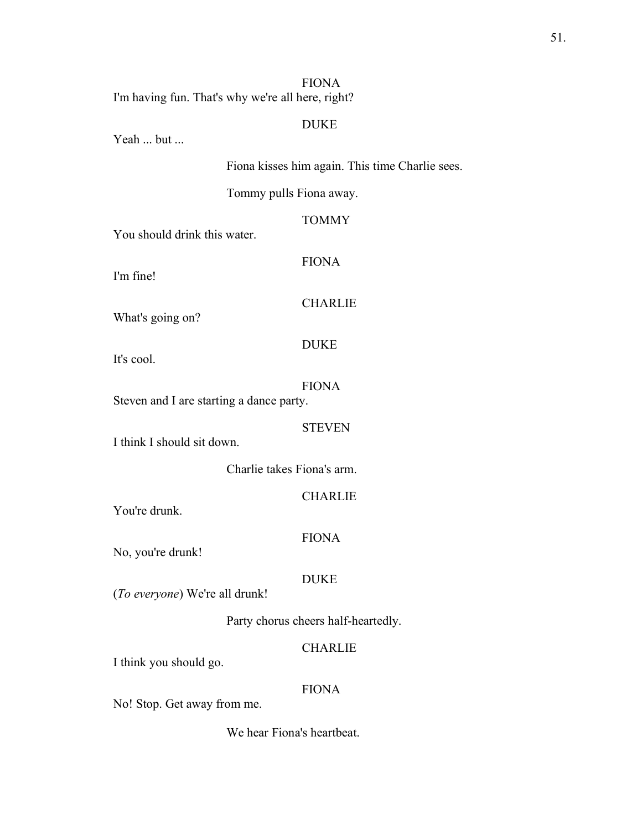I'm having fun. That's why we're all here, right?

## DUKE

Yeah ... but ...

Fiona kisses him again. This time Charlie sees.

Tommy pulls Fiona away.

**TOMMY** 

You should drink this water.

I'm fine!

FIONA

#### CHARLIE

What's going on?

It's cool.

## FIONA

DUKE

Steven and I are starting a dance party.

### **STEVEN**

I think I should sit down.

Charlie takes Fiona's arm.

**CHARLIE** 

You're drunk.

## FIONA

No, you're drunk!

#### DUKE

(*To everyone*) We're all drunk!

Party chorus cheers half-heartedly.

## CHARLIE

I think you should go.

## FIONA

No! Stop. Get away from me.

We hear Fiona's heartbeat.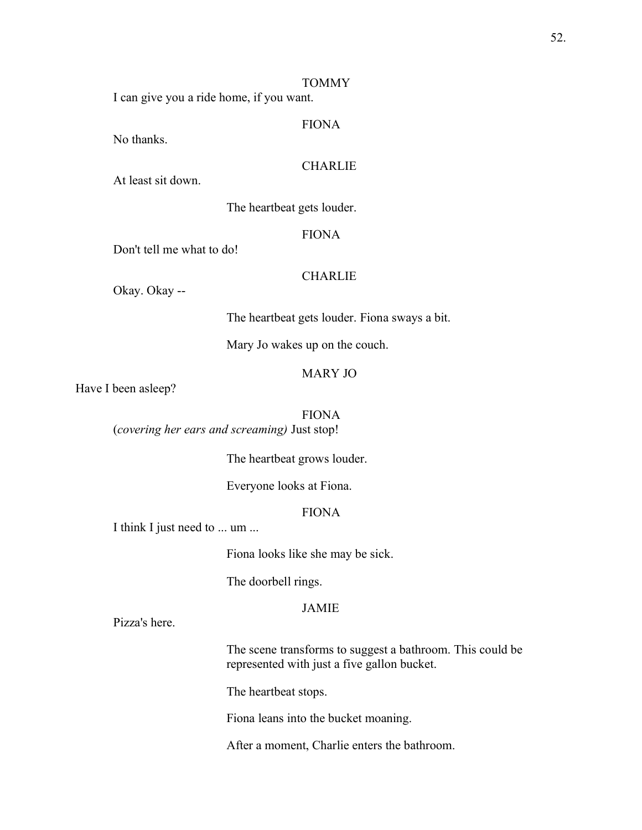#### TOMMY

I can give you a ride home, if you want.

## FIONA

No thanks.

## CHARLIE

At least sit down.

The heartbeat gets louder.

#### FIONA

Don't tell me what to do!

## **CHARLIE**

Okay. Okay --

The heartbeat gets louder. Fiona sways a bit.

Mary Jo wakes up on the couch.

#### MARY JO

Have I been asleep?

FIONA

(*covering her ears and screaming)* Just stop!

The heartbeat grows louder.

Everyone looks at Fiona.

## FIONA

I think I just need to ... um ...

Fiona looks like she may be sick.

The doorbell rings.

## JAMIE

Pizza's here.

The scene transforms to suggest a bathroom. This could be represented with just a five gallon bucket.

The heartbeat stops.

Fiona leans into the bucket moaning.

After a moment, Charlie enters the bathroom.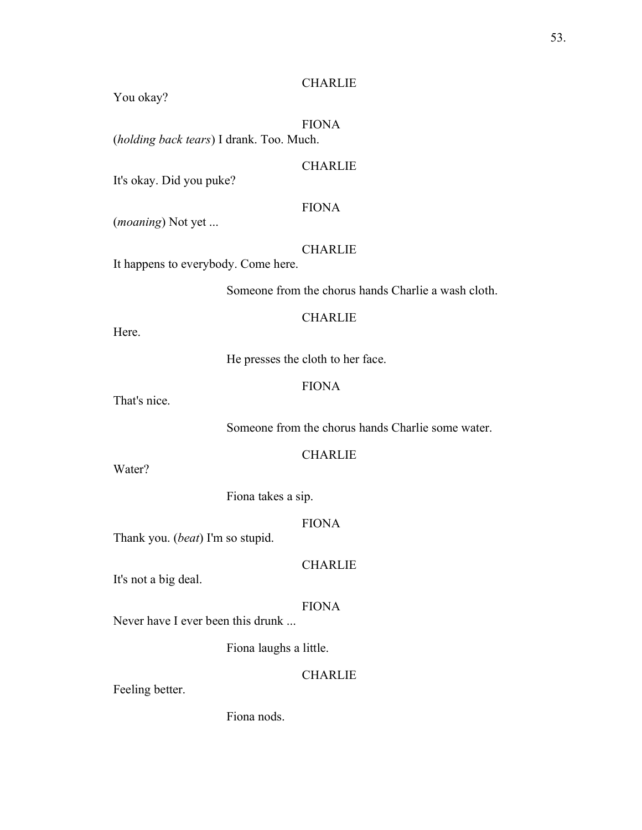## CHARLIE

You okay?

# FIONA

(*holding back tears*) I drank. Too. Much.

## CHARLIE

It's okay. Did you puke?

## FIONA

(*moaning*) Not yet ...

## **CHARLIE**

It happens to everybody. Come here.

Someone from the chorus hands Charlie a wash cloth.

## **CHARLIE**

Here.

He presses the cloth to her face.

## FIONA

That's nice.

Someone from the chorus hands Charlie some water.

## CHARLIE

Water?

Fiona takes a sip.

#### FIONA

Thank you. (*beat*) I'm so stupid.

# CHARLIE

It's not a big deal.

## FIONA

Never have I ever been this drunk ...

Fiona laughs a little.

## **CHARLIE**

Feeling better.

## Fiona nods.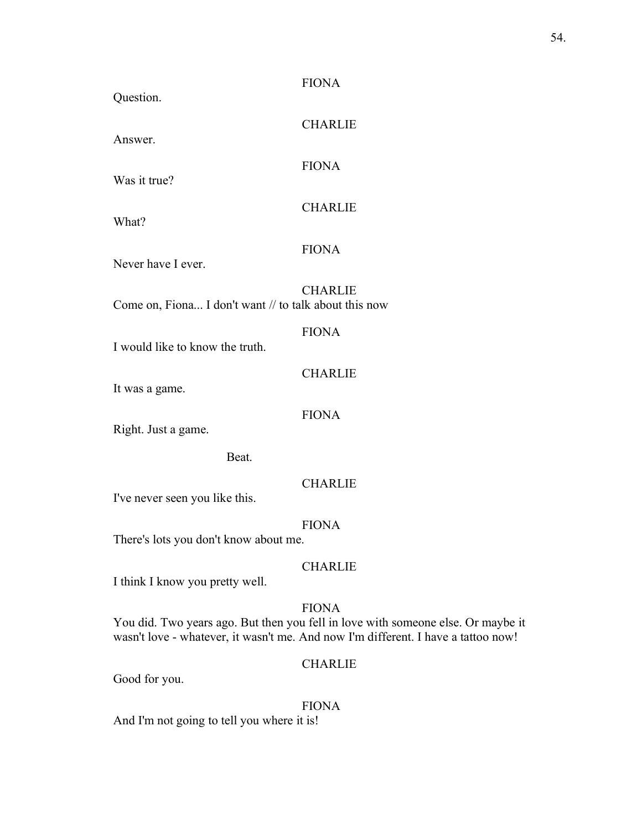| Question.                                             | <b>FIONA</b>                                                                                                                                                                          |
|-------------------------------------------------------|---------------------------------------------------------------------------------------------------------------------------------------------------------------------------------------|
| Answer.                                               | <b>CHARLIE</b>                                                                                                                                                                        |
| Was it true?                                          | <b>FIONA</b>                                                                                                                                                                          |
| What?                                                 | <b>CHARLIE</b>                                                                                                                                                                        |
| Never have I ever.                                    | <b>FIONA</b>                                                                                                                                                                          |
| Come on, Fiona I don't want // to talk about this now | <b>CHARLIE</b>                                                                                                                                                                        |
| I would like to know the truth.                       | <b>FIONA</b>                                                                                                                                                                          |
| It was a game.                                        | <b>CHARLIE</b>                                                                                                                                                                        |
| Right. Just a game.                                   | <b>FIONA</b>                                                                                                                                                                          |
| Beat.                                                 |                                                                                                                                                                                       |
| I've never seen you like this.                        | <b>CHARLIE</b>                                                                                                                                                                        |
| <b>FIONA</b><br>There's lots you don't know about me. |                                                                                                                                                                                       |
| I think I know you pretty well.                       | <b>CHARLIE</b>                                                                                                                                                                        |
|                                                       | <b>FIONA</b><br>You did. Two years ago. But then you fell in love with someone else. Or maybe it<br>wasn't love - whatever, it wasn't me. And now I'm different. I have a tattoo now! |
|                                                       | <b>CHARLIE</b>                                                                                                                                                                        |

Good for you.

## FIONA

And I'm not going to tell you where it is!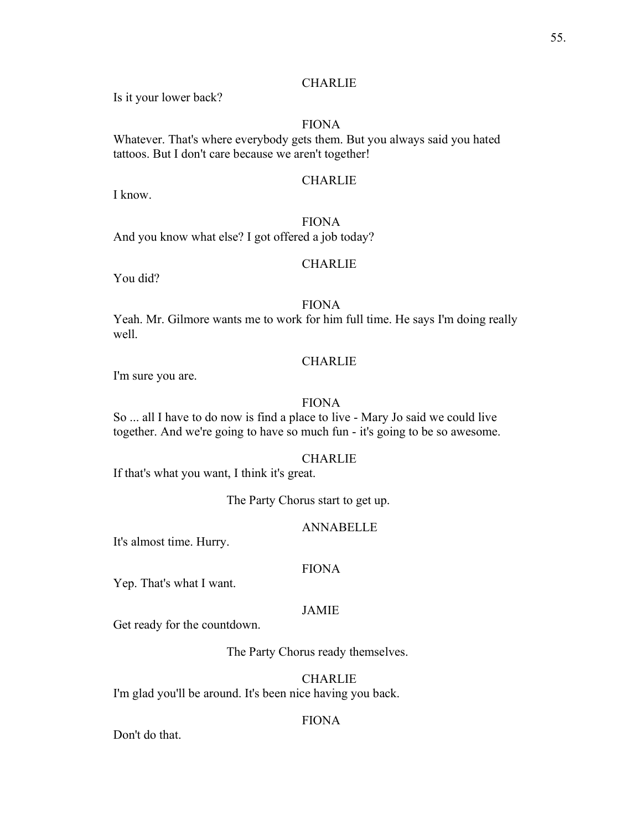## **CHARLIE**

Is it your lower back?

## FIONA

Whatever. That's where everybody gets them. But you always said you hated tattoos. But I don't care because we aren't together!

## **CHARLIE**

I know.

## FIONA

And you know what else? I got offered a job today?

## **CHARLIE**

You did?

## FIONA

Yeah. Mr. Gilmore wants me to work for him full time. He says I'm doing really well.

## CHARLIE

I'm sure you are.

## FIONA

So ... all I have to do now is find a place to live - Mary Jo said we could live together. And we're going to have so much fun - it's going to be so awesome.

#### **CHARLIE**

If that's what you want, I think it's great.

The Party Chorus start to get up.

## ANNABELLE

It's almost time. Hurry.

## FIONA

Yep. That's what I want.

#### JAMIE

Get ready for the countdown.

The Party Chorus ready themselves.

CHARLIE

I'm glad you'll be around. It's been nice having you back.

## FIONA

Don't do that.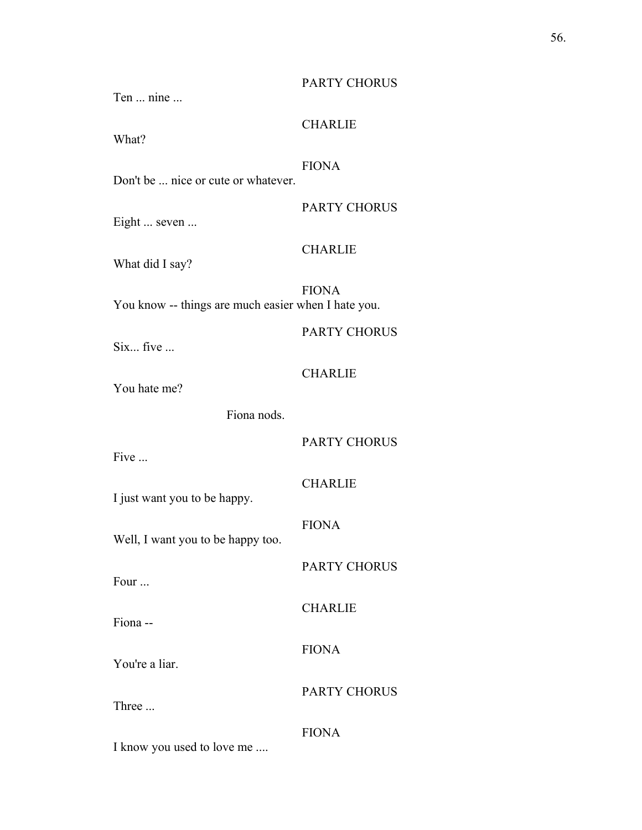## PARTY CHORUS

Ten ... nine ...

## CHARLIE

What?

## FIONA

Don't be ... nice or cute or whatever.

PARTY CHORUS

Eight ... seven ...

## **CHARLIE**

What did I say?

FIONA You know -- things are much easier when I hate you.

Six... five ...

## CHARLIE

You hate me?

Fiona nods.

PARTY CHORUS

PARTY CHORUS

PARTY CHORUS

Five ...

CHARLIE

I just want you to be happy.

FIONA

CHARLIE

FIONA

Well, I want you to be happy too.

Four ...

Fiona --

You're a liar.

Three ...

FIONA

I know you used to love me ....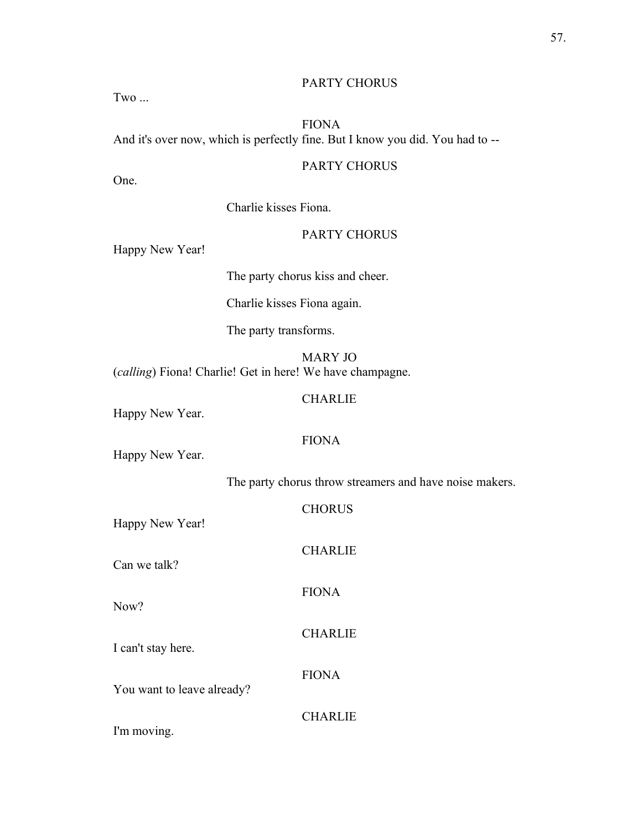## PARTY CHORUS

Two ...

## FIONA And it's over now, which is perfectly fine. But I know you did. You had to --

## PARTY CHORUS

One.

Charlie kisses Fiona.

## PARTY CHORUS

Happy New Year!

The party chorus kiss and cheer.

Charlie kisses Fiona again.

The party transforms.

MARY JO (*calling*) Fiona! Charlie! Get in here! We have champagne.

## **CHARLIE**

Happy New Year.

## FIONA

Happy New Year.

The party chorus throw streamers and have noise makers.

| Happy New Year!            | <b>CHORUS</b>  |
|----------------------------|----------------|
| Can we talk?               | <b>CHARLIE</b> |
| Now?                       | <b>FIONA</b>   |
| I can't stay here.         | <b>CHARLIE</b> |
| You want to leave already? | <b>FIONA</b>   |
| I'm moving.                | <b>CHARLIE</b> |
|                            |                |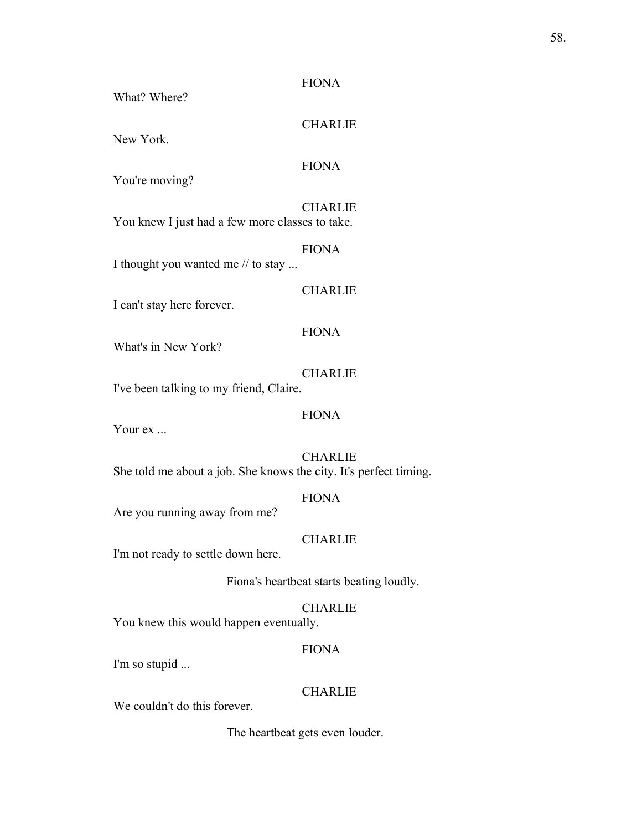What? Where?

## **CHARLIE**

New York.

## FIONA

You're moving?

## **CHARLIE**

You knew I just had a few more classes to take.

## FIONA

I thought you wanted me // to stay ...

## **CHARLIE**

I can't stay here forever.

#### FIONA

What's in New York?

#### CHARLIE

I've been talking to my friend, Claire.

## FIONA

Your ex ...

CHARLIE She told me about a job. She knows the city. It's perfect timing.

#### FIONA

Are you running away from me?

## **CHARLIE**

I'm not ready to settle down here.

Fiona's heartbeat starts beating loudly.

## CHARLIE

You knew this would happen eventually.

#### FIONA

I'm so stupid ...

## **CHARLIE**

We couldn't do this forever.

The heartbeat gets even louder.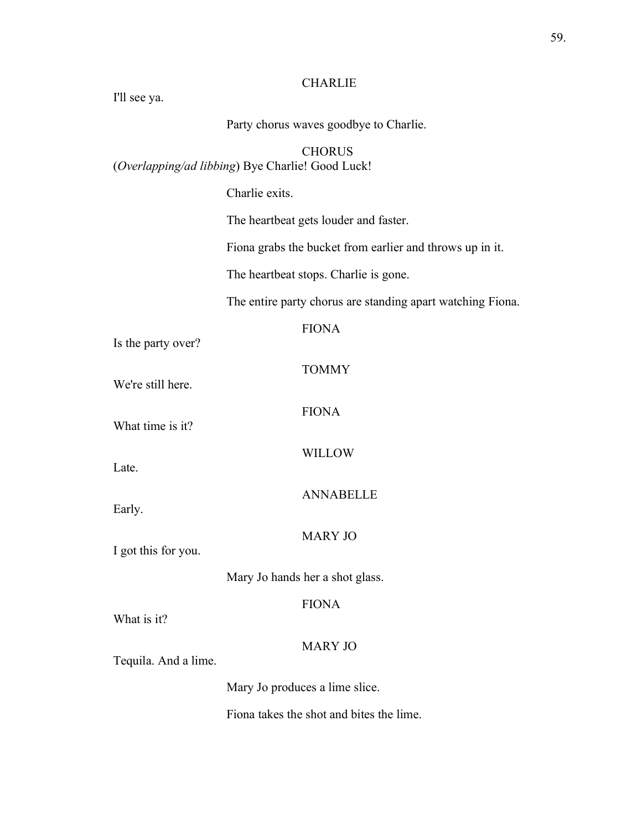# **CHARLIE**

| I'll see ya.                                                      |                                                            |  |
|-------------------------------------------------------------------|------------------------------------------------------------|--|
|                                                                   | Party chorus waves goodbye to Charlie.                     |  |
| <b>CHORUS</b><br>(Overlapping/ad libbing) Bye Charlie! Good Luck! |                                                            |  |
|                                                                   | Charlie exits.                                             |  |
|                                                                   | The heartbeat gets louder and faster.                      |  |
|                                                                   | Fiona grabs the bucket from earlier and throws up in it.   |  |
|                                                                   | The heartbeat stops. Charlie is gone.                      |  |
|                                                                   | The entire party chorus are standing apart watching Fiona. |  |
| Is the party over?                                                | <b>FIONA</b>                                               |  |
| We're still here.                                                 | <b>TOMMY</b>                                               |  |
| What time is it?                                                  | <b>FIONA</b>                                               |  |
| Late.                                                             | <b>WILLOW</b>                                              |  |
| Early.                                                            | <b>ANNABELLE</b>                                           |  |
| I got this for you.                                               | <b>MARY JO</b>                                             |  |
|                                                                   | Mary Jo hands her a shot glass.                            |  |
| What is it?                                                       | <b>FIONA</b>                                               |  |
| Tequila. And a lime.                                              | <b>MARY JO</b>                                             |  |
|                                                                   | Mary Jo produces a lime slice.                             |  |
|                                                                   | Fiona takes the shot and bites the lime.                   |  |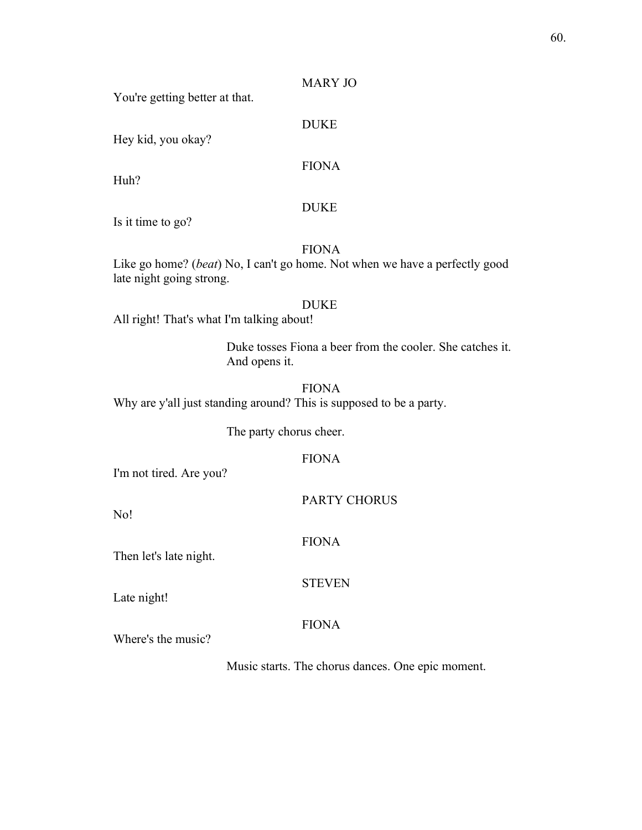## MARY JO

You're getting better at that.

Hey kid, you okay?

FIONA

DUKE

Huh?

## DUKE

Is it time to go?

## FIONA

Like go home? (*beat*) No, I can't go home. Not when we have a perfectly good late night going strong.

#### DUKE

All right! That's what I'm talking about!

Duke tosses Fiona a beer from the cooler. She catches it. And opens it.

FIONA Why are y'all just standing around? This is supposed to be a party.

The party chorus cheer.

## FIONA

I'm not tired. Are you?

PARTY CHORUS

No!

FIONA

STEVEN

Then let's late night.

Late night!

## FIONA

Where's the music?

Music starts. The chorus dances. One epic moment.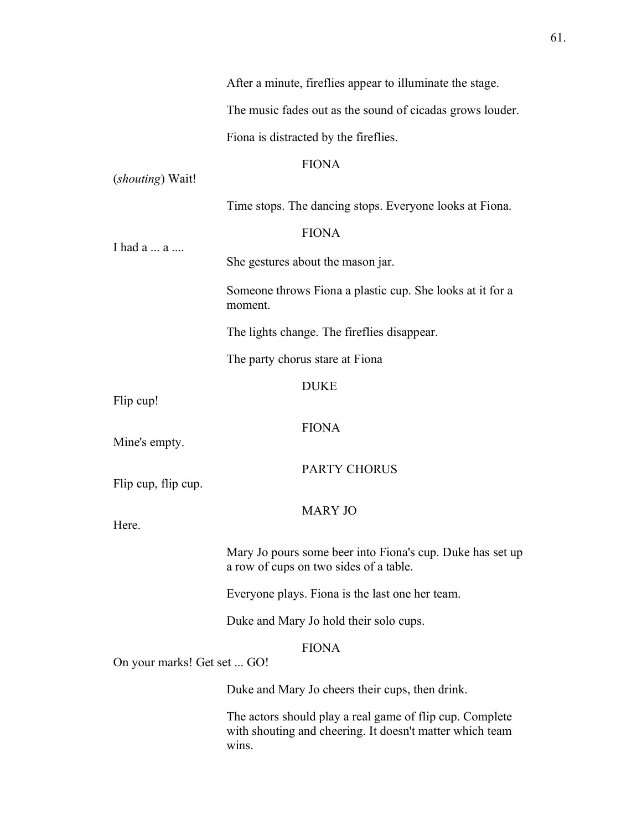|                                                 | After a minute, fireflies appear to illuminate the stage.                                                                     |
|-------------------------------------------------|-------------------------------------------------------------------------------------------------------------------------------|
|                                                 | The music fades out as the sound of cicadas grows louder.                                                                     |
|                                                 | Fiona is distracted by the fireflies.                                                                                         |
|                                                 | <b>FIONA</b>                                                                                                                  |
| (shouting) Wait!                                |                                                                                                                               |
|                                                 | Time stops. The dancing stops. Everyone looks at Fiona.                                                                       |
| I had a  a                                      | <b>FIONA</b>                                                                                                                  |
|                                                 | She gestures about the mason jar.                                                                                             |
|                                                 | Someone throws Fiona a plastic cup. She looks at it for a<br>moment.                                                          |
|                                                 | The lights change. The fireflies disappear.                                                                                   |
|                                                 | The party chorus stare at Fiona                                                                                               |
|                                                 | <b>DUKE</b>                                                                                                                   |
| Flip cup!                                       |                                                                                                                               |
| Mine's empty.                                   | <b>FIONA</b>                                                                                                                  |
|                                                 | <b>PARTY CHORUS</b>                                                                                                           |
| Flip cup, flip cup.                             |                                                                                                                               |
| Here.                                           | <b>MARY JO</b>                                                                                                                |
|                                                 |                                                                                                                               |
|                                                 | Mary Jo pours some beer into Fiona's cup. Duke has set up<br>a row of cups on two sides of a table.                           |
|                                                 | Everyone plays. Fiona is the last one her team.                                                                               |
|                                                 | Duke and Mary Jo hold their solo cups.                                                                                        |
| <b>FIONA</b><br>On your marks! Get set  GO!     |                                                                                                                               |
| Duke and Mary Jo cheers their cups, then drink. |                                                                                                                               |
|                                                 | The actors should play a real game of flip cup. Complete<br>with shouting and cheering. It doesn't matter which team<br>wins. |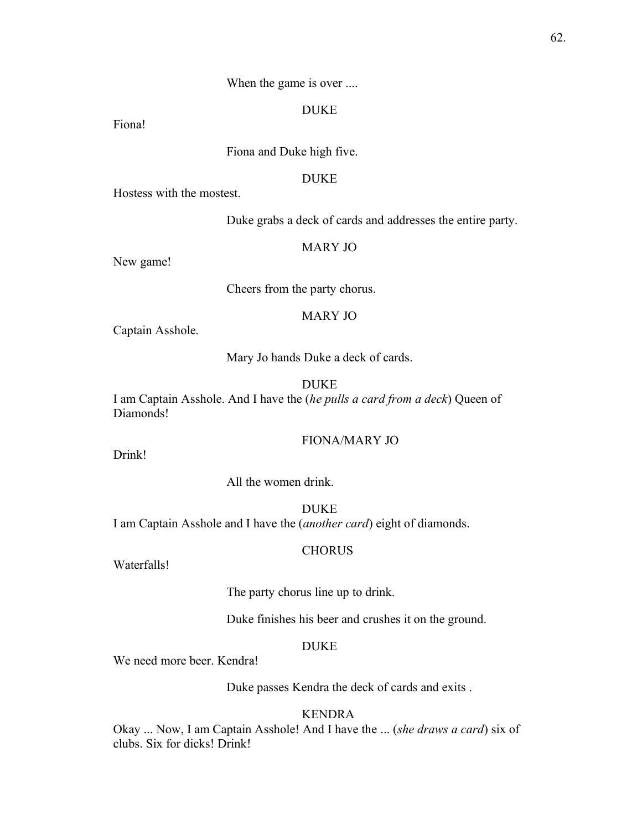#### When the game is over ....

## DUKE

Fiona!

Fiona and Duke high five.

## DUKE

Hostess with the mostest.

Duke grabs a deck of cards and addresses the entire party.

#### MARY JO

New game!

Cheers from the party chorus.

#### MARY JO

Captain Asshole.

Mary Jo hands Duke a deck of cards.

DUKE

I am Captain Asshole. And I have the (*he pulls a card from a deck*) Queen of Diamonds!

## FIONA/MARY JO

Drink!

All the women drink.

**DUKE** I am Captain Asshole and I have the (*another card*) eight of diamonds.

#### CHORUS

Waterfalls!

The party chorus line up to drink.

Duke finishes his beer and crushes it on the ground.

## DUKE

We need more beer. Kendra!

Duke passes Kendra the deck of cards and exits .

## KENDRA

Okay ... Now, I am Captain Asshole! And I have the ... (*she draws a card*) six of clubs. Six for dicks! Drink!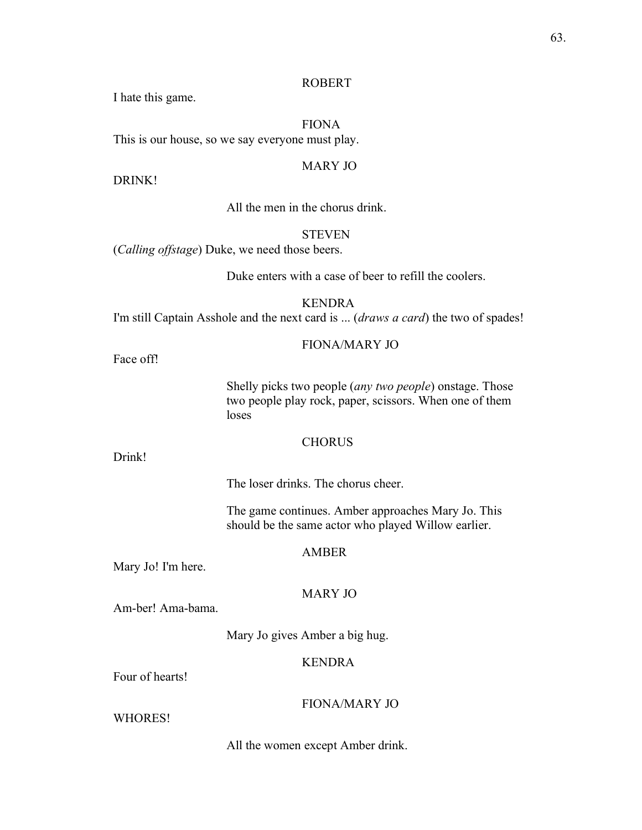#### ROBERT

I hate this game.

FIONA This is our house, so we say everyone must play.

#### MARY JO

DRINK!

All the men in the chorus drink.

## STEVEN

(*Calling offstage*) Duke, we need those beers.

Duke enters with a case of beer to refill the coolers.

KENDRA I'm still Captain Asshole and the next card is ... (*draws a card*) the two of spades!

#### FIONA/MARY JO

Face off!

Shelly picks two people (*any two people*) onstage. Those two people play rock, paper, scissors. When one of them loses

#### **CHORUS**

Drink!

The loser drinks. The chorus cheer.

The game continues. Amber approaches Mary Jo. This should be the same actor who played Willow earlier.

#### AMBER

Mary Jo! I'm here.

## MARY JO

Am-ber! Ama-bama.

Mary Jo gives Amber a big hug.

## KENDRA

Four of hearts!

## FIONA/MARY JO

WHORES!

All the women except Amber drink.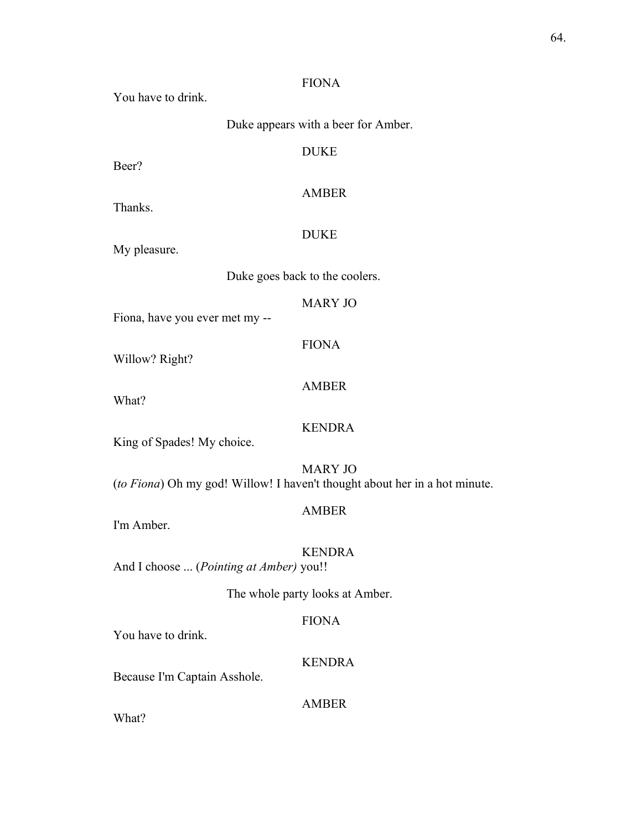You have to drink.

Duke appears with a beer for Amber.

## DUKE

Beer?

AMBER

Thanks.

## DUKE

My pleasure.

Duke goes back to the coolers.

## MARY JO

Fiona, have you ever met my --

FIONA

Willow? Right?

## AMBER

What?

## KENDRA

King of Spades! My choice.

MARY JO (*to Fiona*) Oh my god! Willow! I haven't thought about her in a hot minute.

## AMBER

I'm Amber.

KENDRA

And I choose ... (*Pointing at Amber)* you!!

The whole party looks at Amber.

## FIONA

You have to drink.

## KENDRA

Because I'm Captain Asshole.

## AMBER

What?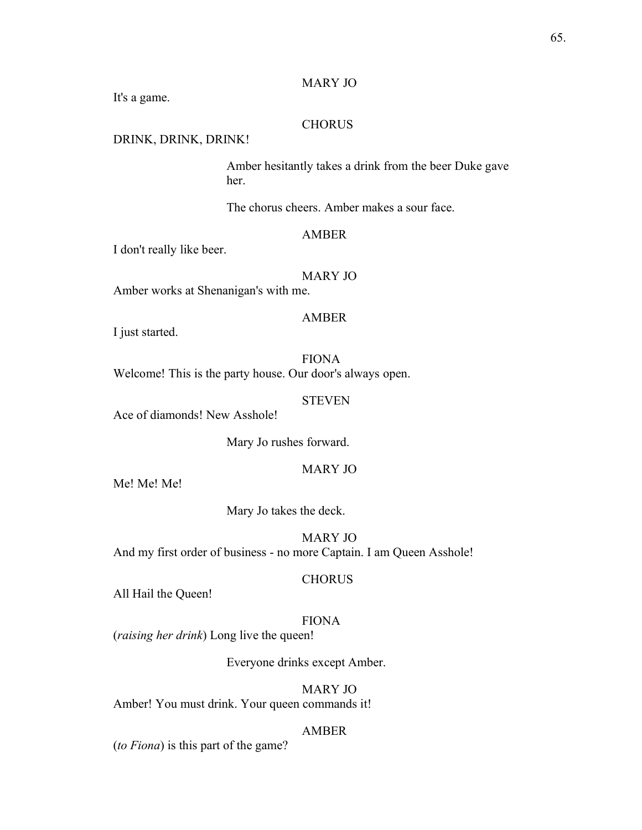## MARY JO

It's a game.

#### CHORUS

## DRINK, DRINK, DRINK!

Amber hesitantly takes a drink from the beer Duke gave her.

The chorus cheers. Amber makes a sour face.

#### AMBER

I don't really like beer.

MARY JO

Amber works at Shenanigan's with me.

## AMBER

I just started.

FIONA Welcome! This is the party house. Our door's always open.

**STEVEN** 

Ace of diamonds! New Asshole!

Mary Jo rushes forward.

## MARY JO

Me! Me! Me!

Mary Jo takes the deck.

MARY JO And my first order of business - no more Captain. I am Queen Asshole!

#### **CHORUS**

All Hail the Queen!

#### FIONA

(*raising her drink*) Long live the queen!

Everyone drinks except Amber.

## MARY JO

Amber! You must drink. Your queen commands it!

#### AMBER

(*to Fiona*) is this part of the game?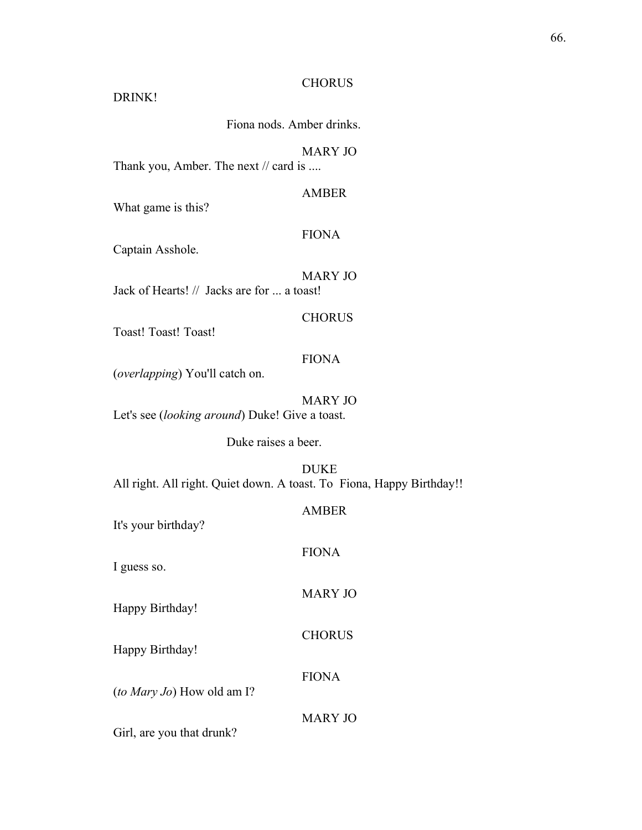#### **CHORUS**

#### DRINK!

Fiona nods. Amber drinks.

MARY JO

Thank you, Amber. The next // card is ....

AMBER

What game is this?

#### FIONA

Captain Asshole.

MARY JO Jack of Hearts! // Jacks are for ... a toast!

**CHORUS** 

Toast! Toast! Toast!

## FIONA

(*overlapping*) You'll catch on.

MARY JO Let's see (*looking around*) Duke! Give a toast.

Duke raises a beer.

DUKE All right. All right. Quiet down. A toast. To Fiona, Happy Birthday!!

FIONA

It's your birthday?

I guess so.

MARY JO

CHORUS

FIONA

Happy Birthday!

Happy Birthday!

(*to Mary Jo*) How old am I?

MARY JO

Girl, are you that drunk?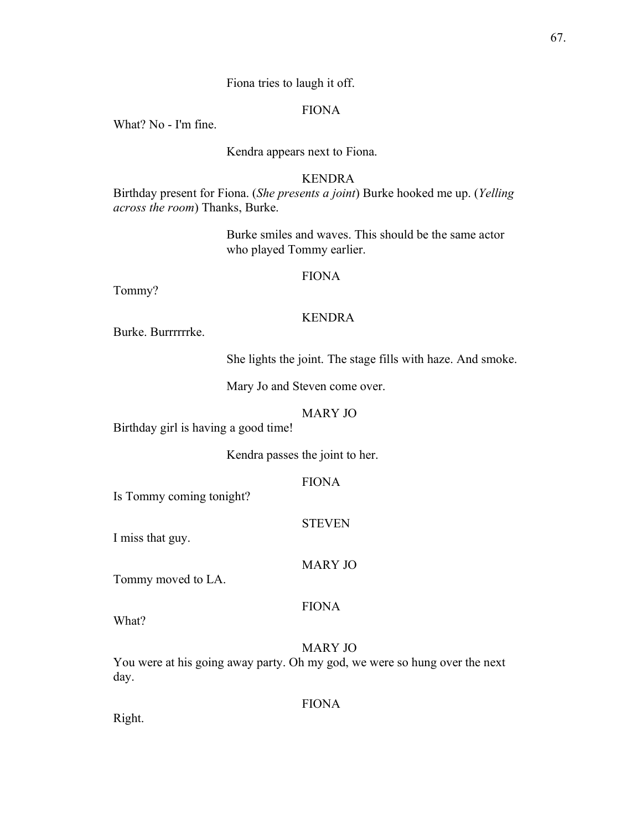## Fiona tries to laugh it off.

## FIONA

What? No - I'm fine.

Kendra appears next to Fiona.

## KENDRA

Birthday present for Fiona. (*She presents a joint*) Burke hooked me up. (*Yelling across the room*) Thanks, Burke.

> Burke smiles and waves. This should be the same actor who played Tommy earlier.

## FIONA

Tommy?

## KENDRA

Burke. Burrrrrrke.

She lights the joint. The stage fills with haze. And smoke.

Mary Jo and Steven come over.

#### MARY JO

Birthday girl is having a good time!

Kendra passes the joint to her.

FIONA

Is Tommy coming tonight?

**STEVEN** 

I miss that guy.

MARY JO

FIONA

Tommy moved to LA.

## MARY JO

You were at his going away party. Oh my god, we were so hung over the next day.

FIONA

Right.

What?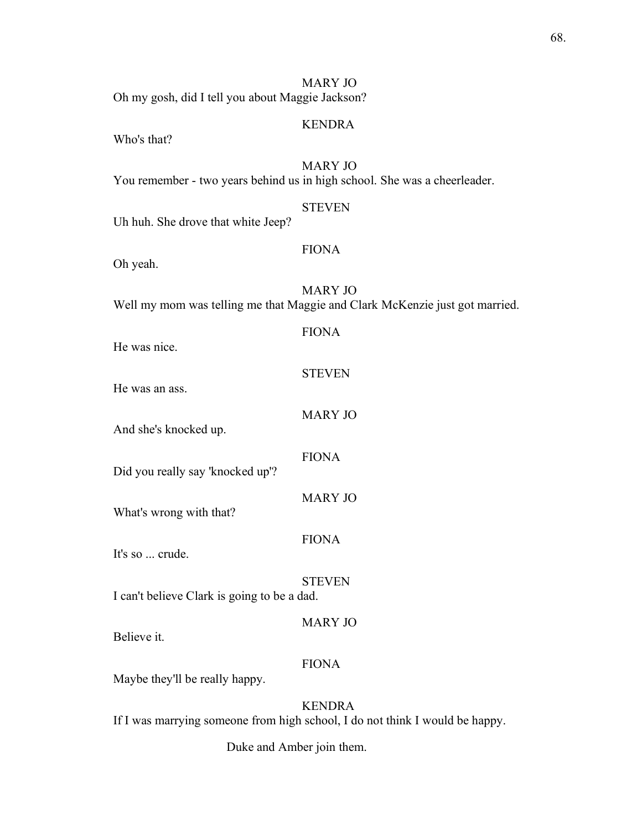| Oh my gosh, did I tell you about Maggie Jackson? | <b>MARY JO</b>                                                                                |
|--------------------------------------------------|-----------------------------------------------------------------------------------------------|
| Who's that?                                      | <b>KENDRA</b>                                                                                 |
|                                                  | <b>MARY JO</b><br>You remember - two years behind us in high school. She was a cheerleader.   |
| Uh huh. She drove that white Jeep?               | <b>STEVEN</b>                                                                                 |
| Oh yeah.                                         | <b>FIONA</b>                                                                                  |
|                                                  | <b>MARY JO</b><br>Well my mom was telling me that Maggie and Clark McKenzie just got married. |
| He was nice.                                     | <b>FIONA</b>                                                                                  |
| He was an ass.                                   | <b>STEVEN</b>                                                                                 |
| And she's knocked up.                            | <b>MARY JO</b>                                                                                |
| Did you really say 'knocked up'?                 | <b>FIONA</b>                                                                                  |
| What's wrong with that?                          | <b>MARY JO</b>                                                                                |
| It's so  crude.                                  | <b>FIONA</b>                                                                                  |
| I can't believe Clark is going to be a dad.      | <b>STEVEN</b>                                                                                 |
| Believe it.                                      | <b>MARY JO</b>                                                                                |
| Maybe they'll be really happy.                   | <b>FIONA</b>                                                                                  |
|                                                  | <b>KENDRA</b><br>If I was marrying someone from high school, I do not think I would be happy. |

Duke and Amber join them.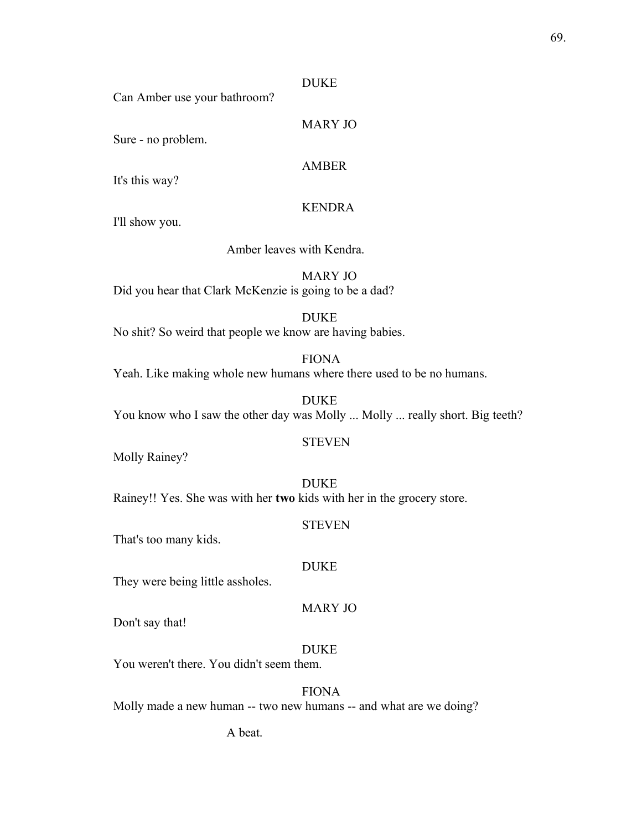#### DUKE

Can Amber use your bathroom?

Sure - no problem.

#### AMBER

MARY JO

It's this way?

#### KENDRA

I'll show you.

## Amber leaves with Kendra.

MARY JO Did you hear that Clark McKenzie is going to be a dad?

DUKE

No shit? So weird that people we know are having babies.

FIONA

Yeah. Like making whole new humans where there used to be no humans.

DUKE You know who I saw the other day was Molly ... Molly ... really short. Big teeth?

#### **STEVEN**

Molly Rainey?

DUKE Rainey!! Yes. She was with her **two** kids with her in the grocery store.

**STEVEN** 

That's too many kids.

#### DUKE

They were being little assholes.

## MARY JO

Don't say that!

#### DUKE

You weren't there. You didn't seem them.

FIONA Molly made a new human -- two new humans -- and what are we doing?

A beat.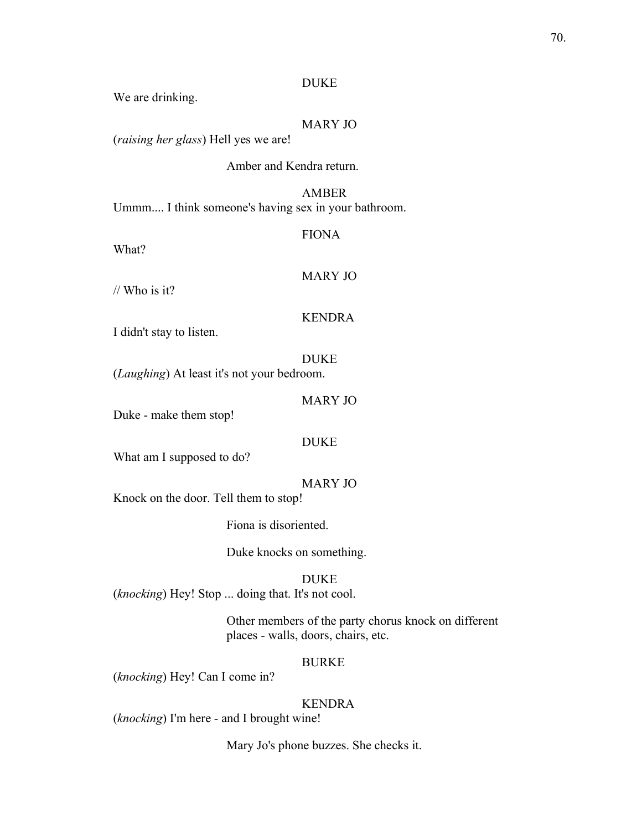#### DUKE

We are drinking.

## MARY JO

(*raising her glass*) Hell yes we are!

#### Amber and Kendra return.

## AMBER Ummm.... I think someone's having sex in your bathroom.

What?

# FIONA

// Who is it?

MARY JO

# KENDRA

I didn't stay to listen.

#### DUKE

(*Laughing*) At least it's not your bedroom.

#### MARY JO

Duke - make them stop!

#### DUKE

What am I supposed to do?

## MARY JO

Knock on the door. Tell them to stop!

Fiona is disoriented.

Duke knocks on something.

#### DUKE

(*knocking*) Hey! Stop ... doing that. It's not cool.

Other members of the party chorus knock on different places - walls, doors, chairs, etc.

## BURKE

(*knocking*) Hey! Can I come in?

## KENDRA

(*knocking*) I'm here - and I brought wine!

Mary Jo's phone buzzes. She checks it.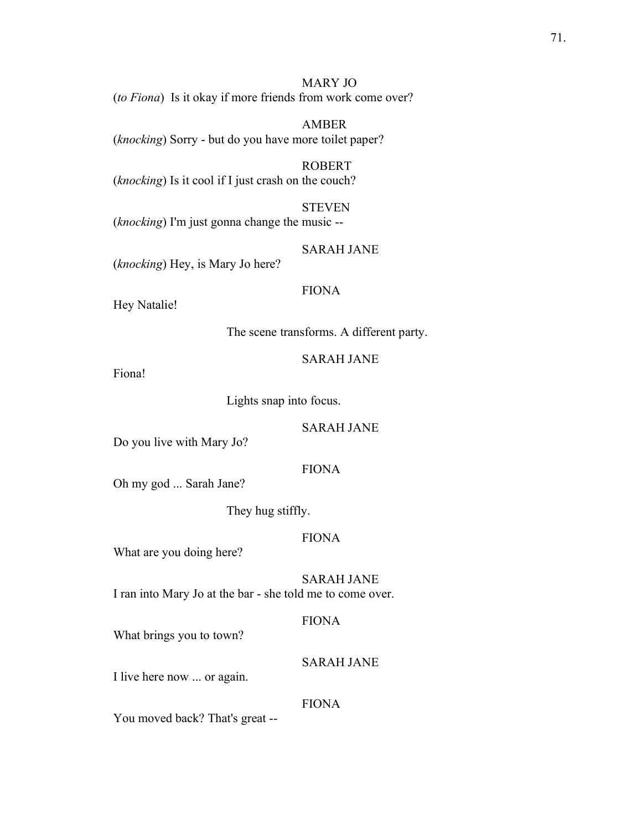MARY JO (*to Fiona*) Is it okay if more friends from work come over?

AMBER (*knocking*) Sorry - but do you have more toilet paper?

ROBERT (*knocking*) Is it cool if I just crash on the couch?

**STEVEN** (*knocking*) I'm just gonna change the music --

SARAH JANE

(*knocking*) Hey, is Mary Jo here?

## FIONA

Hey Natalie!

The scene transforms. A different party.

SARAH JANE

Fiona!

Lights snap into focus.

SARAH JANE

Do you live with Mary Jo?

## FIONA

Oh my god ... Sarah Jane?

They hug stiffly.

## FIONA

What are you doing here?

SARAH JANE I ran into Mary Jo at the bar - she told me to come over.

#### FIONA

What brings you to town?

SARAH JANE

I live here now ... or again.

#### FIONA

You moved back? That's great --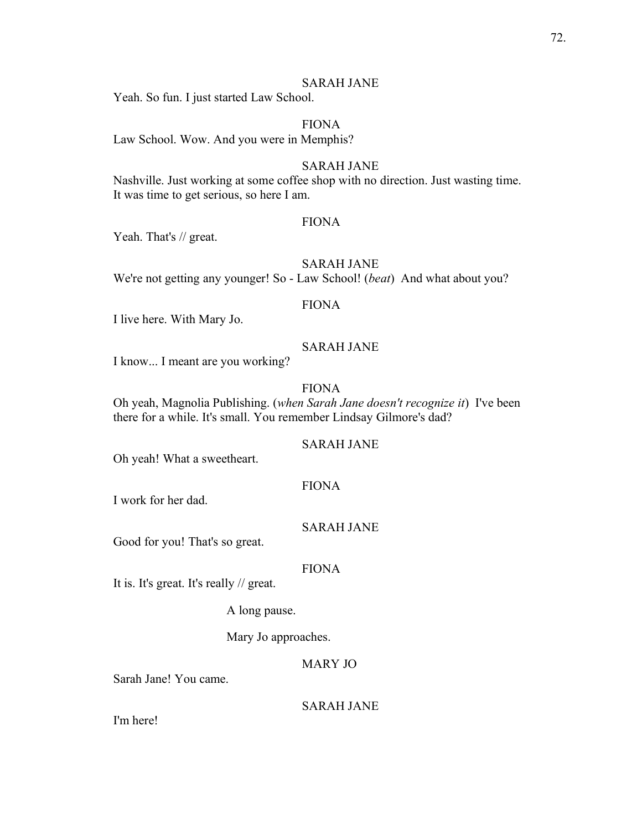#### SARAH JANE

Yeah. So fun. I just started Law School.

#### FIONA

Law School. Wow. And you were in Memphis?

#### SARAH JANE

Nashville. Just working at some coffee shop with no direction. Just wasting time. It was time to get serious, so here I am.

#### FIONA

Yeah. That's // great.

## SARAH JANE

We're not getting any younger! So - Law School! (*beat*) And what about you?

#### FIONA

I live here. With Mary Jo.

## SARAH JANE

I know... I meant are you working?

## FIONA

Oh yeah, Magnolia Publishing. (*when Sarah Jane doesn't recognize it*) I've been there for a while. It's small. You remember Lindsay Gilmore's dad?

## SARAH JANE

Oh yeah! What a sweetheart.

## FIONA

I work for her dad.

#### SARAH JANE

Good for you! That's so great.

#### FIONA

It is. It's great. It's really // great.

A long pause.

Mary Jo approaches.

#### MARY JO

Sarah Jane! You came.

## SARAH JANE

I'm here!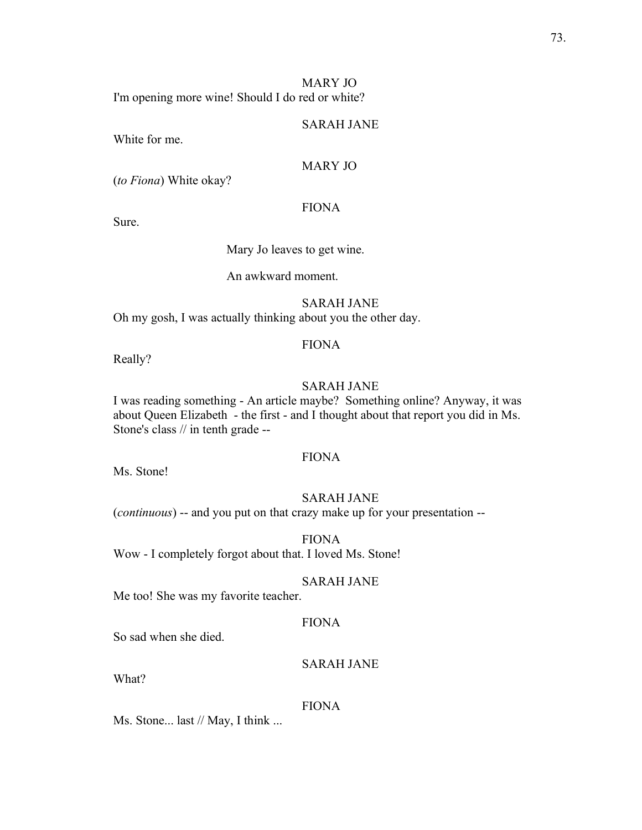73.

#### MARY JO I'm opening more wine! Should I do red or white?

## SARAH JANE

White for me.

## MARY JO

(*to Fiona*) White okay?

## FIONA

Sure.

Mary Jo leaves to get wine.

An awkward moment.

SARAH JANE Oh my gosh, I was actually thinking about you the other day.

## FIONA

Really?

## SARAH JANE

I was reading something - An article maybe? Something online? Anyway, it was about Queen Elizabeth - the first - and I thought about that report you did in Ms. Stone's class // in tenth grade --

#### FIONA

Ms. Stone!

## SARAH JANE

(*continuous*) -- and you put on that crazy make up for your presentation --

FIONA Wow - I completely forgot about that. I loved Ms. Stone!

## SARAH JANE

Me too! She was my favorite teacher.

## FIONA

So sad when she died.

## SARAH JANE

What?

#### FIONA

Ms. Stone... last // May, I think ...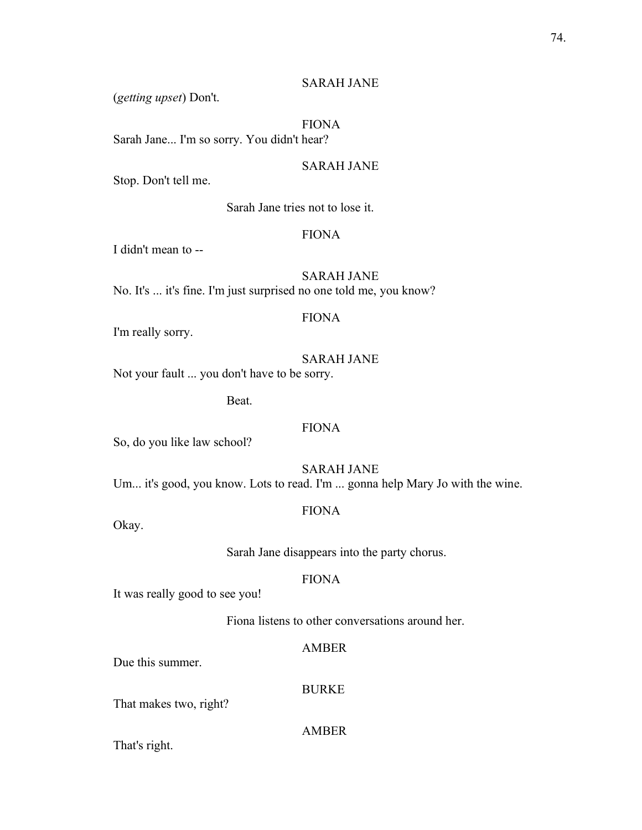## SARAH JANE

(*getting upset*) Don't.

## FIONA

Sarah Jane... I'm so sorry. You didn't hear?

## SARAH JANE

Stop. Don't tell me.

Sarah Jane tries not to lose it.

#### FIONA

I didn't mean to --

SARAH JANE No. It's ... it's fine. I'm just surprised no one told me, you know?

#### FIONA

I'm really sorry.

## SARAH JANE

Not your fault ... you don't have to be sorry.

Beat.

## FIONA

So, do you like law school?

SARAH JANE

Um... it's good, you know. Lots to read. I'm ... gonna help Mary Jo with the wine.

## FIONA

Okay.

Sarah Jane disappears into the party chorus.

#### FIONA

It was really good to see you!

Fiona listens to other conversations around her.

#### AMBER

Due this summer.

#### BURKE

That makes two, right?

#### AMBER

That's right.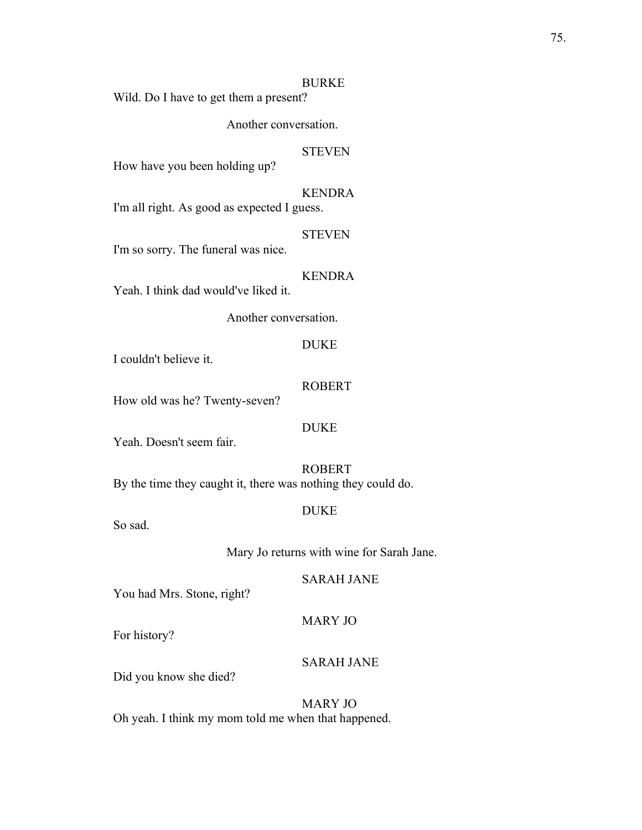#### BURKE

Wild. Do I have to get them a present?

Another conversation.

#### **STEVEN**

How have you been holding up?

## KENDRA

I'm all right. As good as expected I guess.

#### **STEVEN**

I'm so sorry. The funeral was nice.

## KENDRA

Yeah. I think dad would've liked it.

Another conversation.

## DUKE

I couldn't believe it.

## ROBERT

How old was he? Twenty-seven?

#### DUKE

Yeah. Doesn't seem fair.

## ROBERT By the time they caught it, there was nothing they could do.

DUKE

So sad.

#### Mary Jo returns with wine for Sarah Jane.

#### SARAH JANE

You had Mrs. Stone, right?

## For history?

#### SARAH JANE

MARY JO

Did you know she died?

## MARY JO Oh yeah. I think my mom told me when that happened.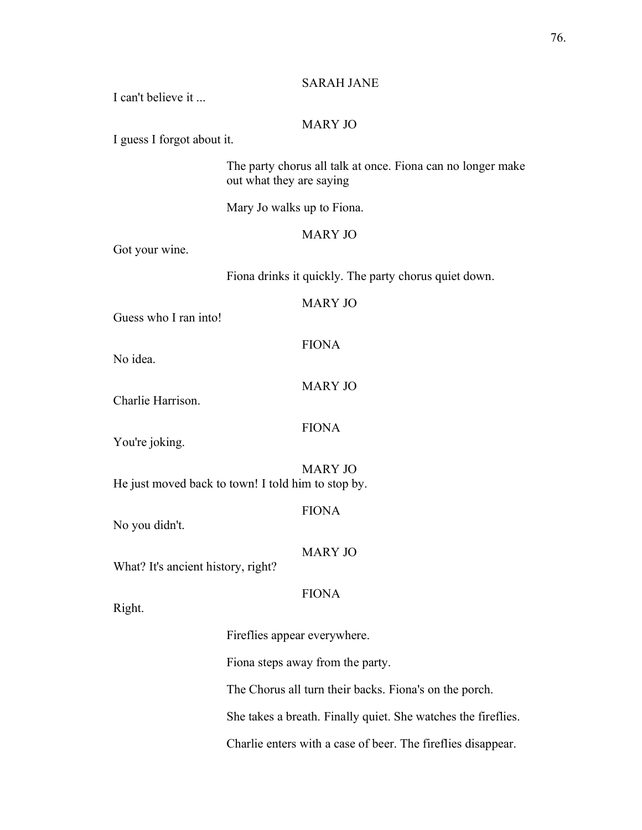#### SARAH JANE

I can't believe it

## MARY JO

I guess I forgot about it.

The party chorus all talk at once. Fiona can no longer make out what they are saying

Mary Jo walks up to Fiona.

## MARY JO

Got your wine.

Fiona drinks it quickly. The party chorus quiet down.

## MARY JO

Guess who I ran into!

No idea.

MARY JO

FIONA

Charlie Harrison.

FIONA

You're joking.

MARY JO He just moved back to town! I told him to stop by.

FIONA

No you didn't.

MARY JO

What? It's ancient history, right?

## FIONA

Right.

Fireflies appear everywhere.

Fiona steps away from the party.

The Chorus all turn their backs. Fiona's on the porch.

She takes a breath. Finally quiet. She watches the fireflies.

Charlie enters with a case of beer. The fireflies disappear.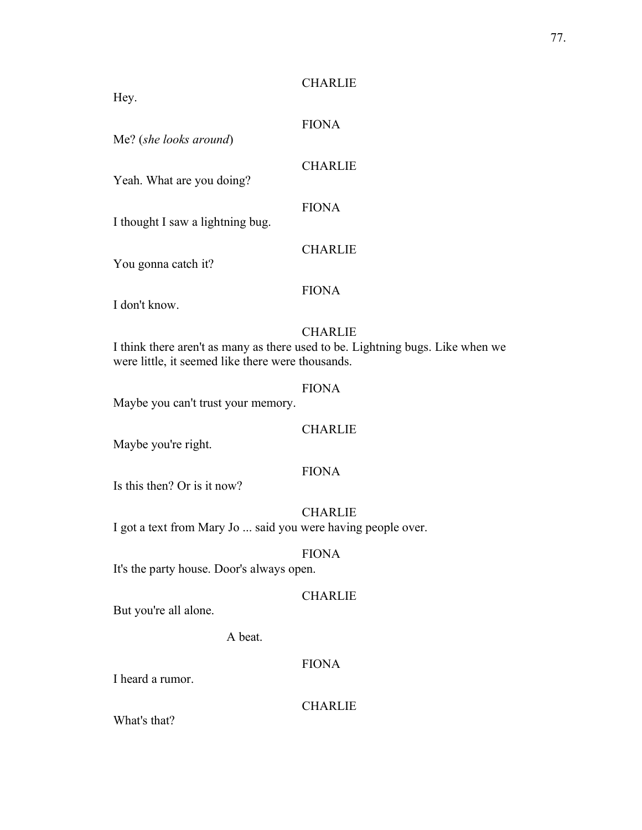## **CHARLIE**

Hey.

FIONA

Me? (*she looks around*)

**CHARLIE** 

Yeah. What are you doing?

FIONA

I thought I saw a lightning bug.

You gonna catch it?

**CHARLIE** 

FIONA

I don't know.

## **CHARLIE**

I think there aren't as many as there used to be. Lightning bugs. Like when we were little, it seemed like there were thousands.

## FIONA

Maybe you can't trust your memory.

## CHARLIE

Maybe you're right.

## FIONA

Is this then? Or is it now?

CHARLIE I got a text from Mary Jo ... said you were having people over.

## FIONA

It's the party house. Door's always open.

## **CHARLIE**

But you're all alone.

A beat.

## FIONA

I heard a rumor.

**CHARLIE** 

What's that?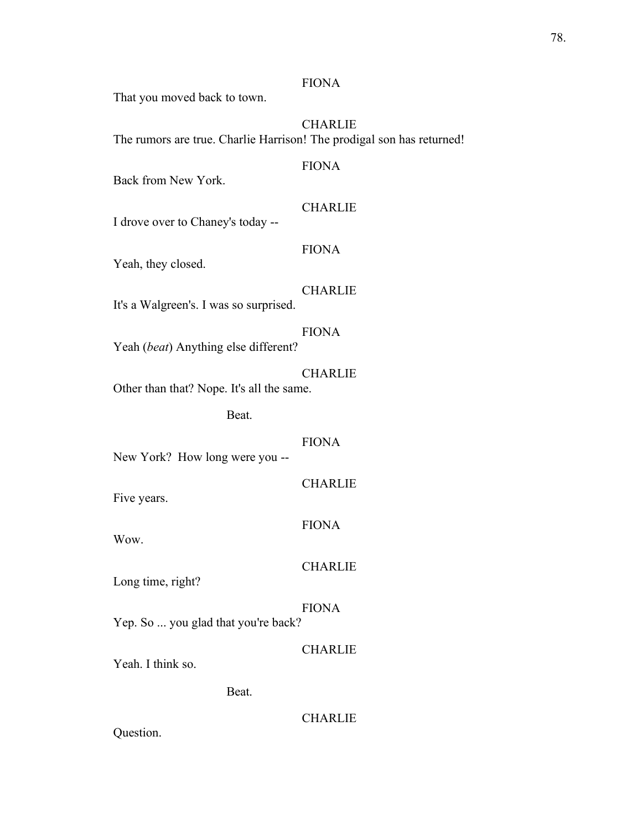#### FIONA

That you moved back to town.

## CHARLIE The rumors are true. Charlie Harrison! The prodigal son has returned!

## FIONA

Back from New York.

## **CHARLIE**

I drove over to Chaney's today --

## FIONA

Yeah, they closed.

#### **CHARLIE**

It's a Walgreen's. I was so surprised.

## FIONA

Yeah (*beat*) Anything else different?

#### CHARLIE

Other than that? Nope. It's all the same.

Beat.

#### FIONA

New York? How long were you --

## CHARLIE

Five years.

#### FIONA

Wow.

#### **CHARLIE**

Long time, right?

## FIONA

Yep. So ... you glad that you're back?

#### CHARLIE

Yeah. I think so.

## Beat.

## CHARLIE

Question.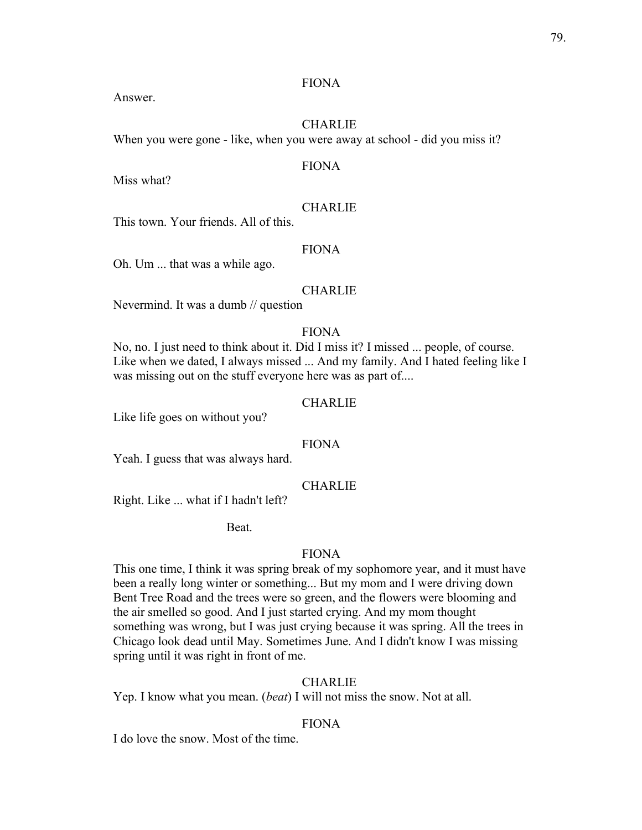#### FIONA

Answer.

## **CHARLIE**

When you were gone - like, when you were away at school - did you miss it?

## FIONA

Miss what?

## **CHARLIE**

This town. Your friends. All of this.

#### FIONA

Oh. Um ... that was a while ago.

#### **CHARLIE**

Nevermind. It was a dumb // question

#### FIONA

No, no. I just need to think about it. Did I miss it? I missed ... people, of course. Like when we dated, I always missed ... And my family. And I hated feeling like I was missing out on the stuff everyone here was as part of....

#### **CHARLIE**

Like life goes on without you?

## FIONA

Yeah. I guess that was always hard.

#### **CHARLIE**

Right. Like ... what if I hadn't left?

Beat.

#### FIONA

This one time, I think it was spring break of my sophomore year, and it must have been a really long winter or something... But my mom and I were driving down Bent Tree Road and the trees were so green, and the flowers were blooming and the air smelled so good. And I just started crying. And my mom thought something was wrong, but I was just crying because it was spring. All the trees in Chicago look dead until May. Sometimes June. And I didn't know I was missing spring until it was right in front of me.

## CHARLIE

Yep. I know what you mean. (*beat*) I will not miss the snow. Not at all.

#### FIONA

I do love the snow. Most of the time.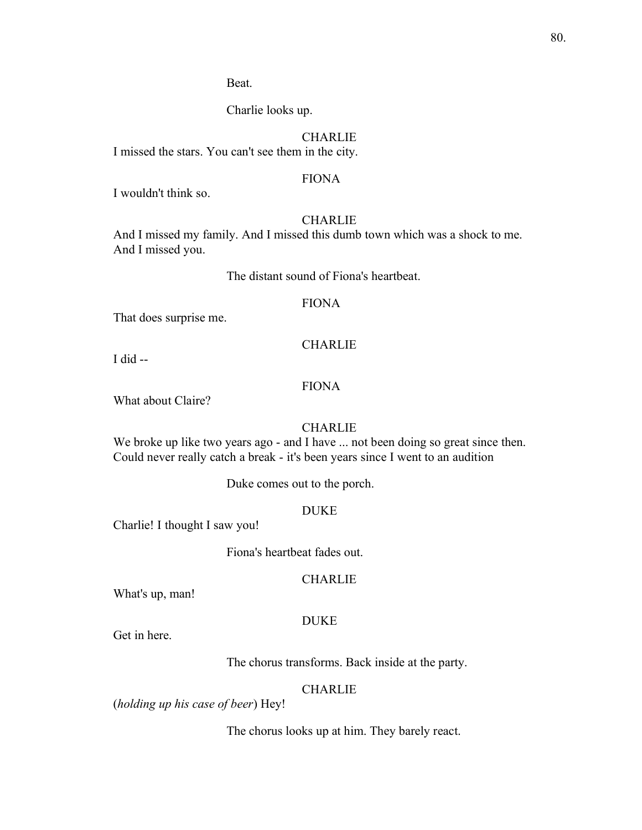Beat.

Charlie looks up.

## CHARLIE

I missed the stars. You can't see them in the city.

## FIONA

I wouldn't think so.

## **CHARLIE**

And I missed my family. And I missed this dumb town which was a shock to me. And I missed you.

The distant sound of Fiona's heartbeat.

#### FIONA

That does surprise me.

#### CHARLIE

I did --

## FIONA

What about Claire?

## **CHARLIE**

We broke up like two years ago - and I have ... not been doing so great since then. Could never really catch a break - it's been years since I went to an audition

Duke comes out to the porch.

#### DUKE

Charlie! I thought I saw you!

Fiona's heartbeat fades out.

#### **CHARLIE**

What's up, man!

#### DUKE

Get in here.

The chorus transforms. Back inside at the party.

#### **CHARLIE**

(*holding up his case of beer*) Hey!

The chorus looks up at him. They barely react.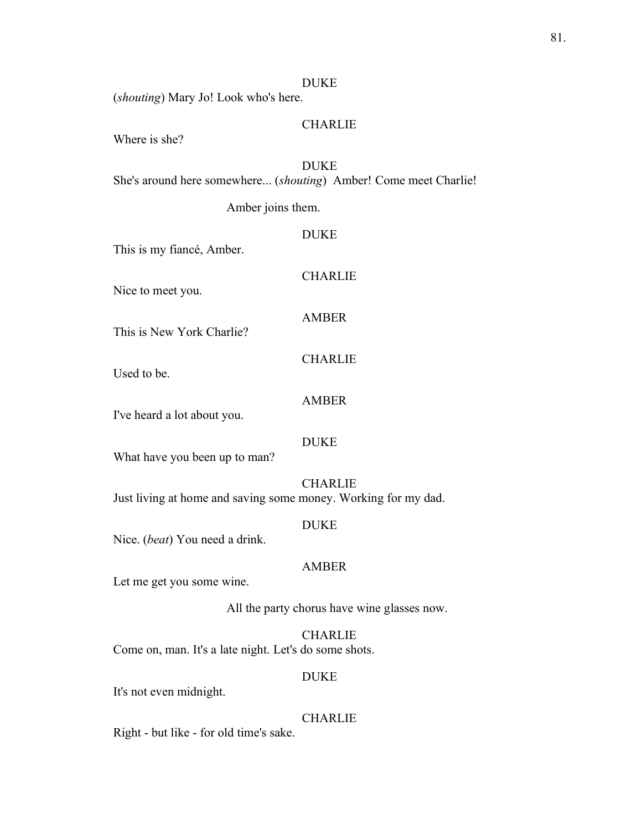#### DUKE

(*shouting*) Mary Jo! Look who's here.

## **CHARLIE**

Where is she?

#### DUKE

She's around here somewhere... (*shouting*) Amber! Come meet Charlie!

Amber joins them.

#### DUKE

This is my fiancé, Amber.

**CHARLIE** 

Nice to meet you.

## AMBER

**CHARLIE** 

This is New York Charlie?

Used to be.

#### AMBER

I've heard a lot about you.

#### DUKE

What have you been up to man?

CHARLIE Just living at home and saving some money. Working for my dad.

#### DUKE

Nice. (*beat*) You need a drink.

#### AMBER

Let me get you some wine.

All the party chorus have wine glasses now.

CHARLIE Come on, man. It's a late night. Let's do some shots.

### DUKE

It's not even midnight.

#### CHARLIE

Right - but like - for old time's sake.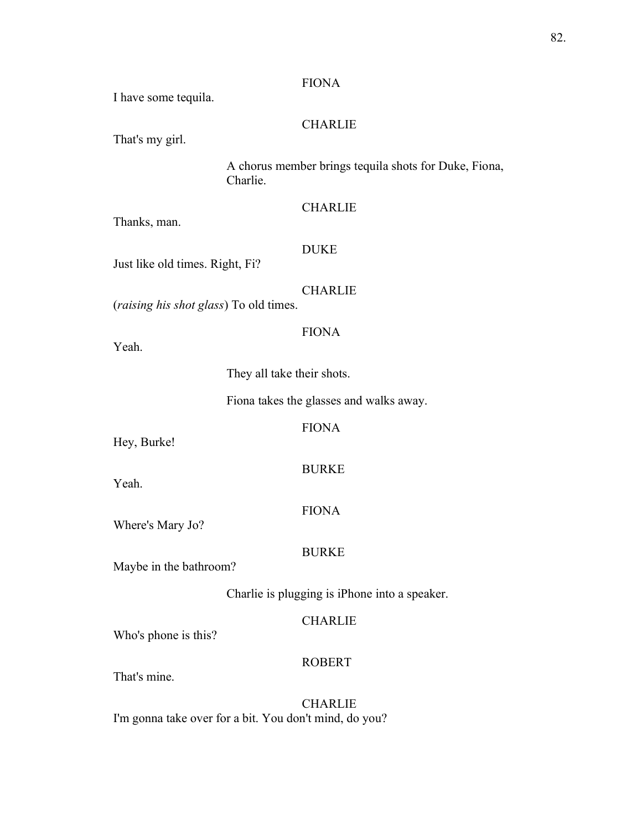#### FIONA

I have some tequila.

## CHARLIE

That's my girl.

A chorus member brings tequila shots for Duke, Fiona, Charlie.

## **CHARLIE**

Thanks, man.

#### DUKE

FIONA

Just like old times. Right, Fi?

#### **CHARLIE**

(*raising his shot glass*) To old times.

They all take their shots.

Fiona takes the glasses and walks away.

FIONA

Hey, Burke!

Yeah.

Yeah.

## BURKE

FIONA

Where's Mary Jo?

## BURKE

Maybe in the bathroom?

Charlie is plugging is iPhone into a speaker.

#### CHARLIE

Who's phone is this?

#### ROBERT

That's mine.

CHARLIE I'm gonna take over for a bit. You don't mind, do you?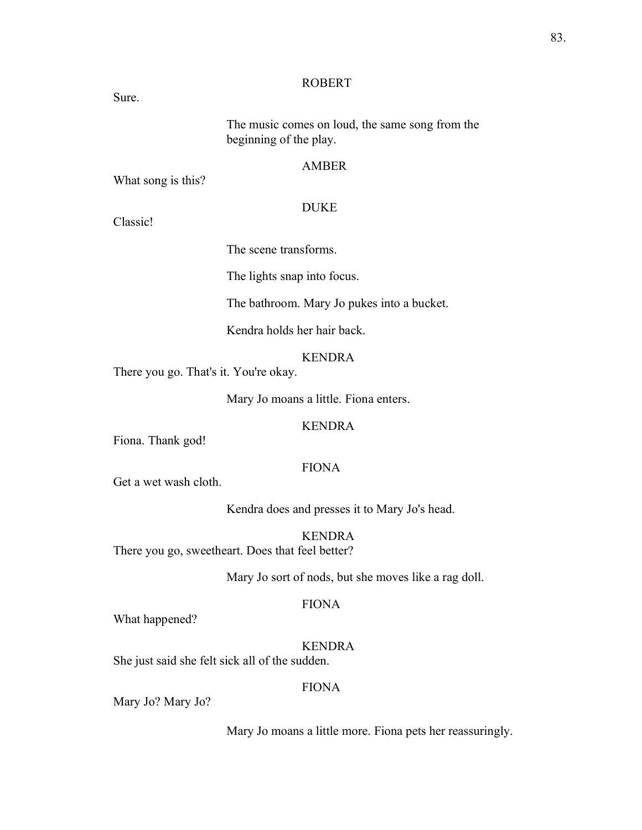#### ROBERT

Sure.

The music comes on loud, the same song from the beginning of the play.

#### AMBER

What song is this?

## DUKE

Classic!

The scene transforms.

The lights snap into focus.

The bathroom. Mary Jo pukes into a bucket.

Kendra holds her hair back.

#### KENDRA

There you go. That's it. You're okay.

Mary Jo moans a little. Fiona enters.

#### KENDRA

Fiona. Thank god!

## FIONA

Get a wet wash cloth.

Kendra does and presses it to Mary Jo's head.

KENDRA There you go, sweetheart. Does that feel better?

Mary Jo sort of nods, but she moves like a rag doll.

#### FIONA

What happened?

## KENDRA

She just said she felt sick all of the sudden.

## FIONA

Mary Jo? Mary Jo?

Mary Jo moans a little more. Fiona pets her reassuringly.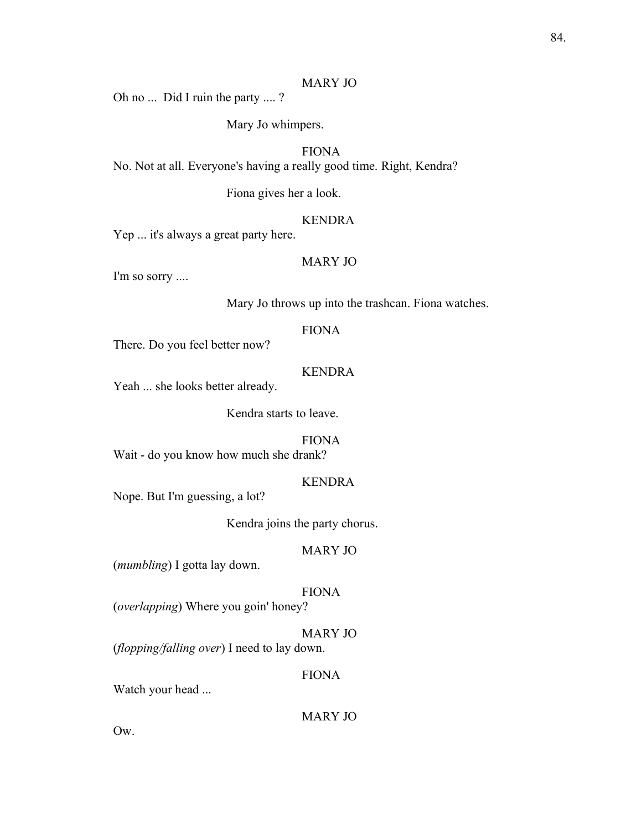#### MARY JO

Oh no ... Did I ruin the party .... ?

Mary Jo whimpers.

## FIONA

No. Not at all. Everyone's having a really good time. Right, Kendra?

Fiona gives her a look.

## KENDRA

Yep ... it's always a great party here.

## MARY JO

I'm so sorry ....

Mary Jo throws up into the trashcan. Fiona watches.

## FIONA

There. Do you feel better now?

#### KENDRA

Yeah ... she looks better already.

Kendra starts to leave.

## FIONA

Wait - do you know how much she drank?

#### KENDRA

Nope. But I'm guessing, a lot?

Kendra joins the party chorus.

#### MARY JO

(*mumbling*) I gotta lay down.

#### FIONA

(*overlapping*) Where you goin' honey?

#### MARY JO

(*flopping/falling over*) I need to lay down.

## FIONA

Watch your head ...

MARY JO

Ow.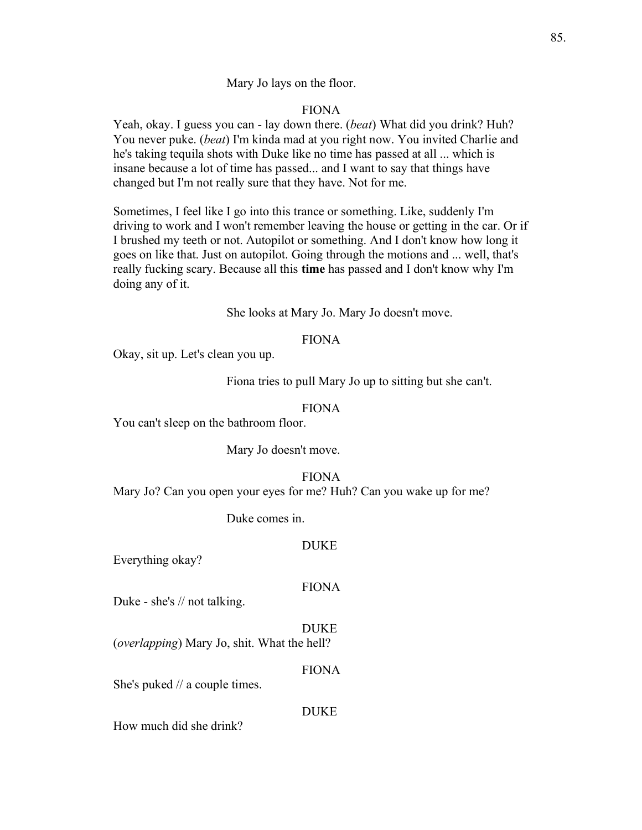#### Mary Jo lays on the floor.

#### FIONA

Yeah, okay. I guess you can - lay down there. (*beat*) What did you drink? Huh? You never puke. (*beat*) I'm kinda mad at you right now. You invited Charlie and he's taking tequila shots with Duke like no time has passed at all ... which is insane because a lot of time has passed... and I want to say that things have changed but I'm not really sure that they have. Not for me.

Sometimes, I feel like I go into this trance or something. Like, suddenly I'm driving to work and I won't remember leaving the house or getting in the car. Or if I brushed my teeth or not. Autopilot or something. And I don't know how long it goes on like that. Just on autopilot. Going through the motions and ... well, that's really fucking scary. Because all this **time** has passed and I don't know why I'm doing any of it.

#### She looks at Mary Jo. Mary Jo doesn't move.

#### FIONA

Okay, sit up. Let's clean you up.

Fiona tries to pull Mary Jo up to sitting but she can't.

#### FIONA

You can't sleep on the bathroom floor.

Mary Jo doesn't move.

#### FIONA

Mary Jo? Can you open your eyes for me? Huh? Can you wake up for me?

Duke comes in.

#### DUKE

Everything okay?

#### FIONA

Duke - she's // not talking.

DUKE (*overlapping*) Mary Jo, shit. What the hell?

#### FIONA

She's puked // a couple times.

#### **DUKE**

How much did she drink?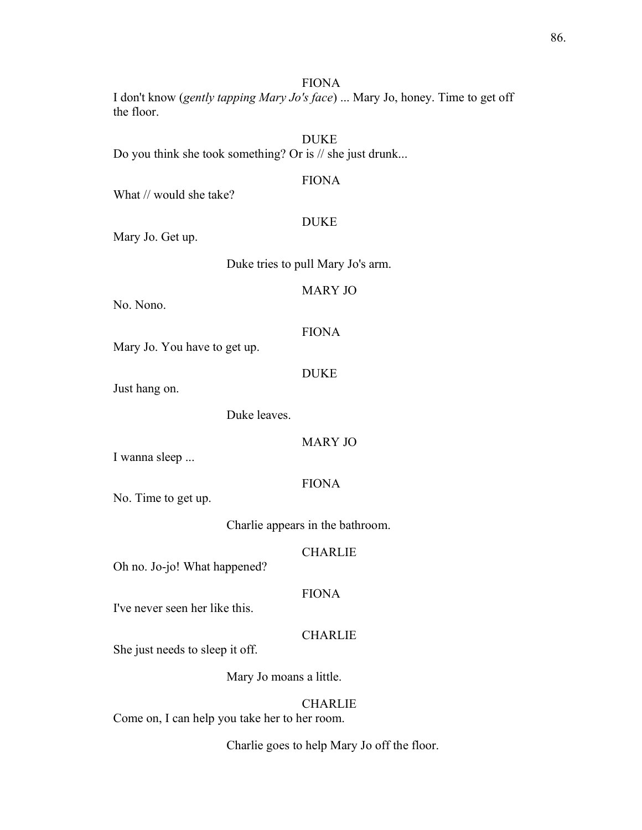FIONA

I don't know (*gently tapping Mary Jo's face*) ... Mary Jo, honey. Time to get off the floor.

DUKE Do you think she took something? Or is // she just drunk...

#### FIONA

What // would she take?

## DUKE

Mary Jo. Get up.

Duke tries to pull Mary Jo's arm.

## MARY JO

No. Nono.

#### FIONA

Mary Jo. You have to get up.

#### DUKE

Just hang on.

Duke leaves.

#### MARY JO

I wanna sleep ...

## FIONA

No. Time to get up.

Charlie appears in the bathroom.

#### CHARLIE

Oh no. Jo-jo! What happened?

## FIONA

I've never seen her like this.

## CHARLIE

She just needs to sleep it off.

Mary Jo moans a little.

#### CHARLIE

Come on, I can help you take her to her room.

Charlie goes to help Mary Jo off the floor.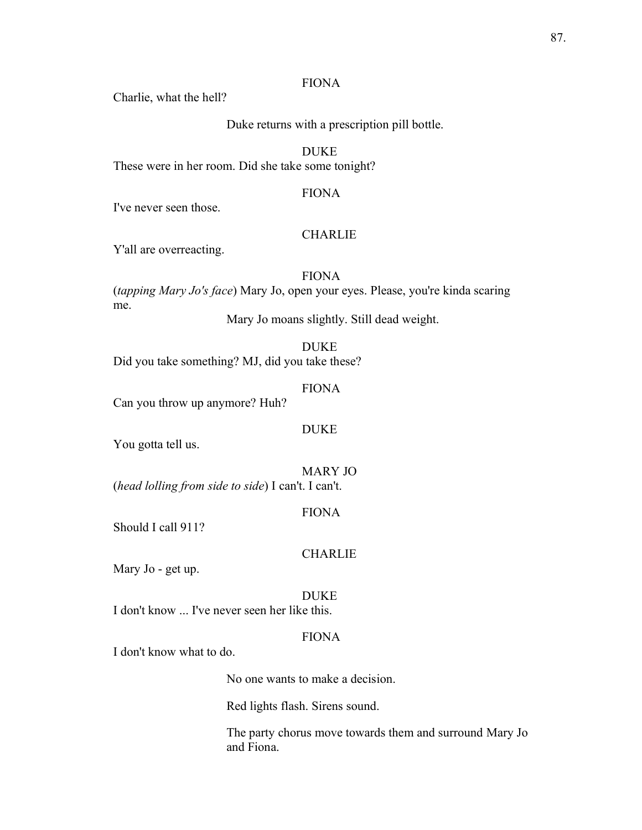#### FIONA

Charlie, what the hell?

Duke returns with a prescription pill bottle.

DUKE

These were in her room. Did she take some tonight?

## FIONA

I've never seen those.

#### **CHARLIE**

Y'all are overreacting.

## FIONA

(*tapping Mary Jo's face*) Mary Jo, open your eyes. Please, you're kinda scaring me.

Mary Jo moans slightly. Still dead weight.

DUKE

Did you take something? MJ, did you take these?

FIONA

Can you throw up anymore? Huh?

#### DUKE

You gotta tell us.

MARY JO (*head lolling from side to side*) I can't. I can't.

#### FIONA

Should I call 911?

## **CHARLIE**

Mary Jo - get up.

#### DUKE

I don't know ... I've never seen her like this.

## FIONA

I don't know what to do.

No one wants to make a decision.

Red lights flash. Sirens sound.

The party chorus move towards them and surround Mary Jo and Fiona.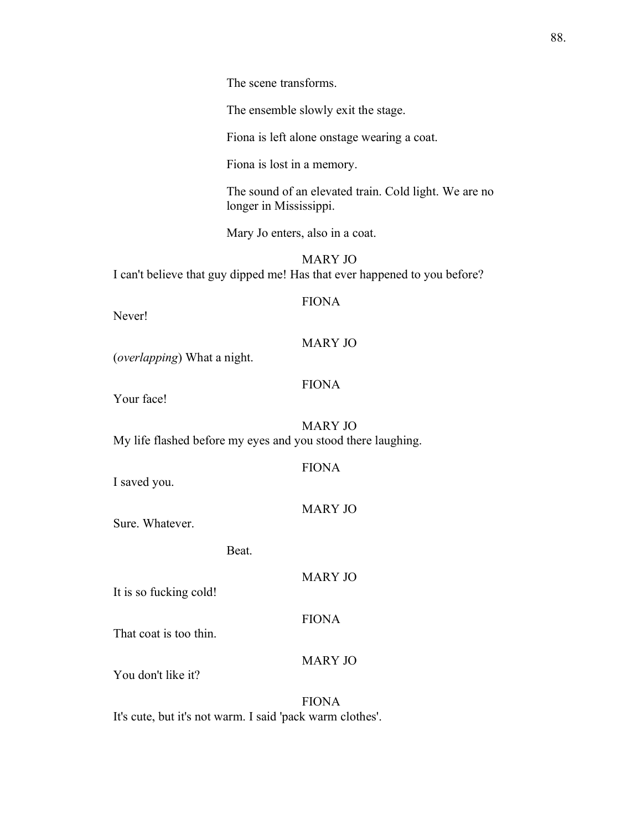The ensemble slowly exit the stage.

Fiona is left alone onstage wearing a coat.

Fiona is lost in a memory.

The sound of an elevated train. Cold light. We are no longer in Mississippi.

Mary Jo enters, also in a coat.

MARY JO I can't believe that guy dipped me! Has that ever happened to you before?

## FIONA

Never!

## MARY JO

(*overlapping*) What a night.

#### FIONA

Your face!

MARY JO My life flashed before my eyes and you stood there laughing.

| I saved you. |
|--------------|
|--------------|

FIONA

MARY JO

Sure. Whatever.

Beat.

It is so fucking cold!

That coat is too thin.

MARY JO

MARY JO

FIONA

You don't like it?

FIONA It's cute, but it's not warm. I said 'pack warm clothes'.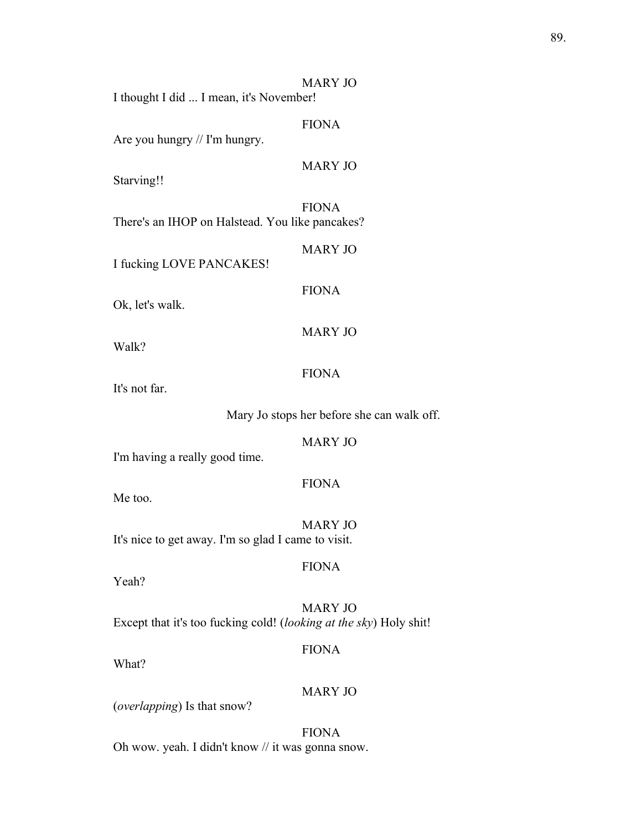MARY JO I thought I did ... I mean, it's November! FIONA Are you hungry // I'm hungry. MARY JO Starving!! FIONA There's an IHOP on Halstead. You like pancakes? MARY JO I fucking LOVE PANCAKES! FIONA Ok, let's walk. MARY JO Walk? FIONA It's not far. Mary Jo stops her before she can walk off. MARY JO I'm having a really good time. FIONA Me too. MARY JO It's nice to get away. I'm so glad I came to visit. FIONA Yeah? MARY JO Except that it's too fucking cold! (*looking at the sky*) Holy shit! FIONA What? MARY JO (*overlapping*) Is that snow?

FIONA Oh wow. yeah. I didn't know // it was gonna snow.

## 89.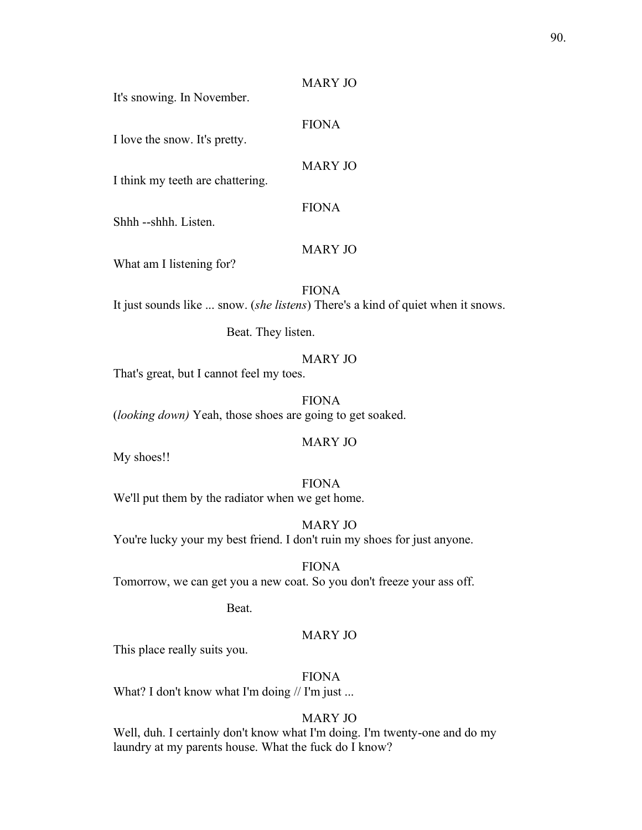## MARY JO

It's snowing. In November.

I love the snow. It's pretty.

## MARY JO

FIONA

I think my teeth are chattering.

FIONA

Shhh --shhh. Listen.

## MARY JO

What am I listening for?

FIONA

It just sounds like ... snow. (*she listens*) There's a kind of quiet when it snows.

Beat. They listen.

## MARY JO

That's great, but I cannot feel my toes.

FIONA (*looking down)* Yeah, those shoes are going to get soaked.

#### MARY JO

My shoes!!

FIONA

We'll put them by the radiator when we get home.

MARY JO You're lucky your my best friend. I don't ruin my shoes for just anyone.

FIONA Tomorrow, we can get you a new coat. So you don't freeze your ass off.

Beat.

## MARY JO

This place really suits you.

FIONA

What? I don't know what I'm doing // I'm just ...

## MARY JO

Well, duh. I certainly don't know what I'm doing. I'm twenty-one and do my laundry at my parents house. What the fuck do I know?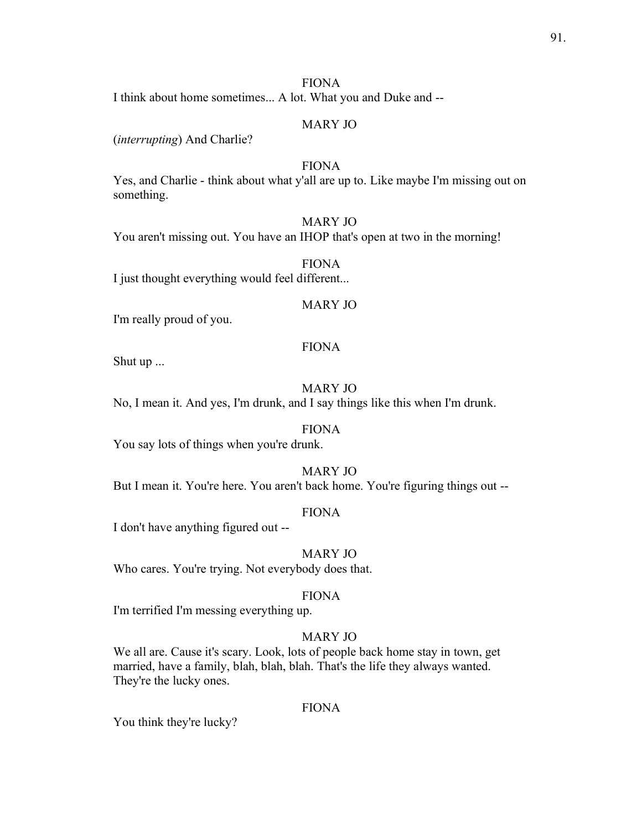#### FIONA

I think about home sometimes... A lot. What you and Duke and --

#### MARY JO

(*interrupting*) And Charlie?

## FIONA

Yes, and Charlie - think about what y'all are up to. Like maybe I'm missing out on something.

#### MARY JO

You aren't missing out. You have an IHOP that's open at two in the morning!

FIONA I just thought everything would feel different...

#### MARY JO

I'm really proud of you.

### FIONA

Shut up ...

## MARY JO

No, I mean it. And yes, I'm drunk, and I say things like this when I'm drunk.

#### FIONA

You say lots of things when you're drunk.

#### MARY JO

But I mean it. You're here. You aren't back home. You're figuring things out --

## FIONA

I don't have anything figured out --

## MARY JO

Who cares. You're trying. Not everybody does that.

#### FIONA

I'm terrified I'm messing everything up.

## MARY JO

We all are. Cause it's scary. Look, lots of people back home stay in town, get married, have a family, blah, blah, blah. That's the life they always wanted. They're the lucky ones.

#### FIONA

You think they're lucky?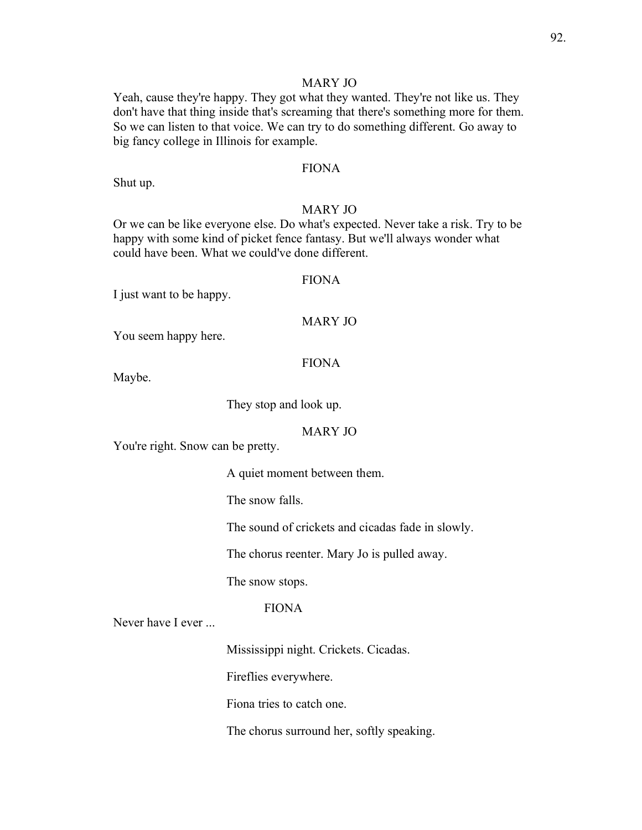#### MARY JO

Yeah, cause they're happy. They got what they wanted. They're not like us. They don't have that thing inside that's screaming that there's something more for them. So we can listen to that voice. We can try to do something different. Go away to big fancy college in Illinois for example.

## FIONA

Shut up.

#### MARY JO

Or we can be like everyone else. Do what's expected. Never take a risk. Try to be happy with some kind of picket fence fantasy. But we'll always wonder what could have been. What we could've done different.

## FIONA

I just want to be happy.

#### MARY JO

You seem happy here.

FIONA

Maybe.

They stop and look up.

## MARY JO

You're right. Snow can be pretty.

A quiet moment between them.

The snow falls.

The sound of crickets and cicadas fade in slowly.

The chorus reenter. Mary Jo is pulled away.

The snow stops.

## FIONA

Never have I ever ...

Mississippi night. Crickets. Cicadas.

Fireflies everywhere.

Fiona tries to catch one.

The chorus surround her, softly speaking.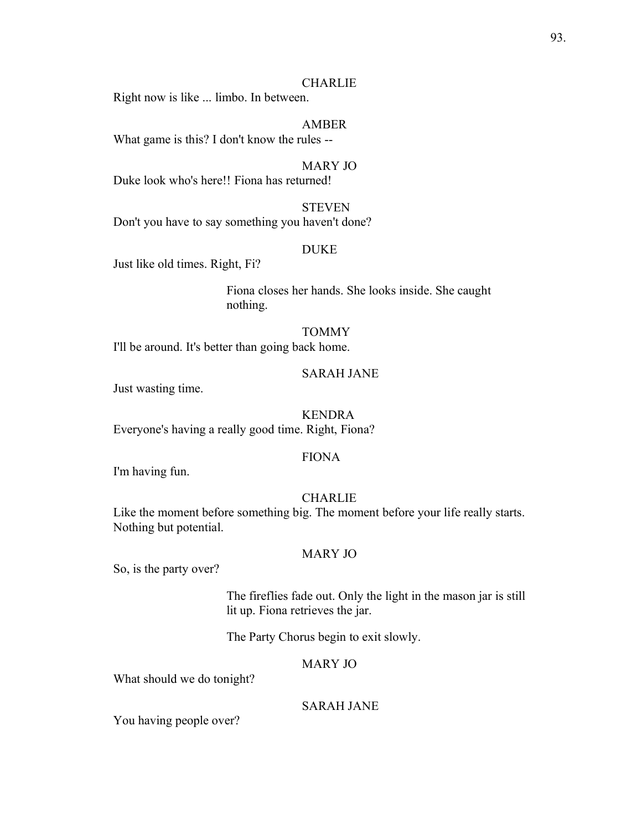#### **CHARLIE**

Right now is like ... limbo. In between.

#### AMBER

What game is this? I don't know the rules --

#### MARY JO

Duke look who's here!! Fiona has returned!

## **STEVEN**

Don't you have to say something you haven't done?

#### DUKE

Just like old times. Right, Fi?

Fiona closes her hands. She looks inside. She caught nothing.

#### TOMMY

I'll be around. It's better than going back home.

#### SARAH JANE

Just wasting time.

#### KENDRA

Everyone's having a really good time. Right, Fiona?

#### FIONA

I'm having fun.

## **CHARLIE**

Like the moment before something big. The moment before your life really starts. Nothing but potential.

#### MARY JO

So, is the party over?

The fireflies fade out. Only the light in the mason jar is still lit up. Fiona retrieves the jar.

The Party Chorus begin to exit slowly.

## MARY JO

What should we do tonight?

## SARAH JANE

You having people over?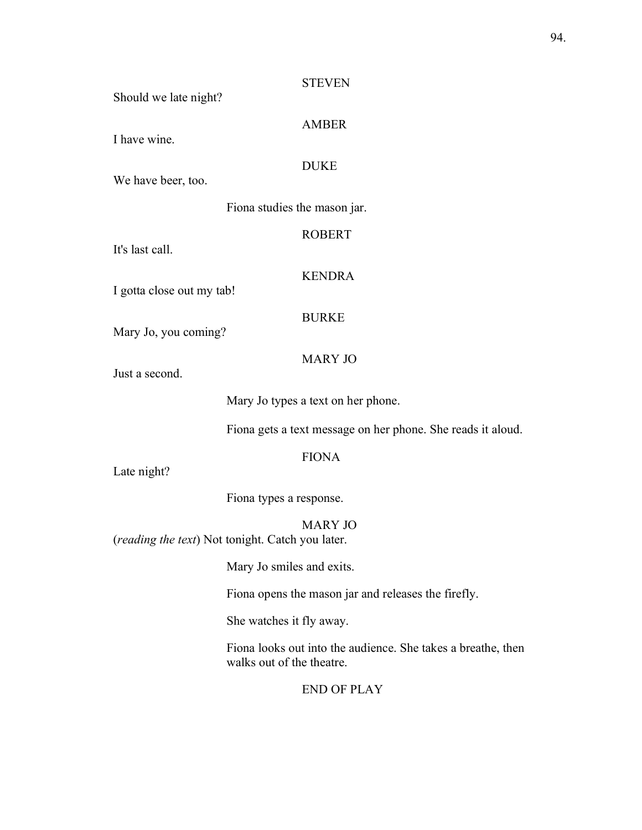# Should we late night? AMBER I have wine. DUKE We have beer, too. Fiona studies the mason jar. ROBERT It's last call. KENDRA I gotta close out my tab! BURKE Mary Jo, you coming? MARY JO Just a second.

**STEVEN** 

Mary Jo types a text on her phone.

Fiona gets a text message on her phone. She reads it aloud.

## FIONA

Late night?

Fiona types a response.

MARY JO

(*reading the text*) Not tonight. Catch you later.

Mary Jo smiles and exits.

Fiona opens the mason jar and releases the firefly.

She watches it fly away.

Fiona looks out into the audience. She takes a breathe, then walks out of the theatre.

END OF PLAY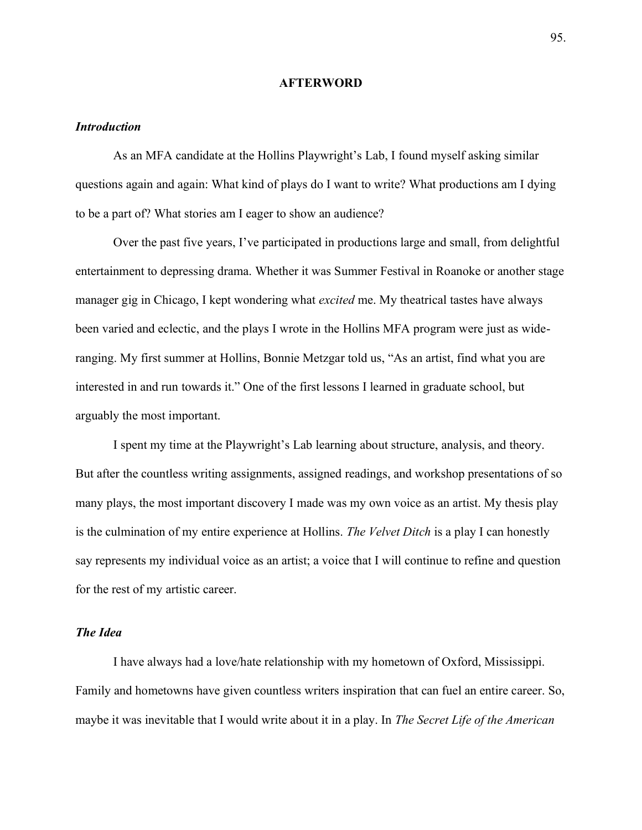#### **AFTERWORD**

#### *Introduction*

As an MFA candidate at the Hollins Playwright's Lab, I found myself asking similar questions again and again: What kind of plays do I want to write? What productions am I dying to be a part of? What stories am I eager to show an audience?

Over the past five years, I've participated in productions large and small, from delightful entertainment to depressing drama. Whether it was Summer Festival in Roanoke or another stage manager gig in Chicago, I kept wondering what *excited* me. My theatrical tastes have always been varied and eclectic, and the plays I wrote in the Hollins MFA program were just as wideranging. My first summer at Hollins, Bonnie Metzgar told us, "As an artist, find what you are interested in and run towards it." One of the first lessons I learned in graduate school, but arguably the most important.

I spent my time at the Playwright's Lab learning about structure, analysis, and theory. But after the countless writing assignments, assigned readings, and workshop presentations of so many plays, the most important discovery I made was my own voice as an artist. My thesis play is the culmination of my entire experience at Hollins. *The Velvet Ditch* is a play I can honestly say represents my individual voice as an artist; a voice that I will continue to refine and question for the rest of my artistic career.

#### *The Idea*

I have always had a love/hate relationship with my hometown of Oxford, Mississippi. Family and hometowns have given countless writers inspiration that can fuel an entire career. So, maybe it was inevitable that I would write about it in a play. In *The Secret Life of the American*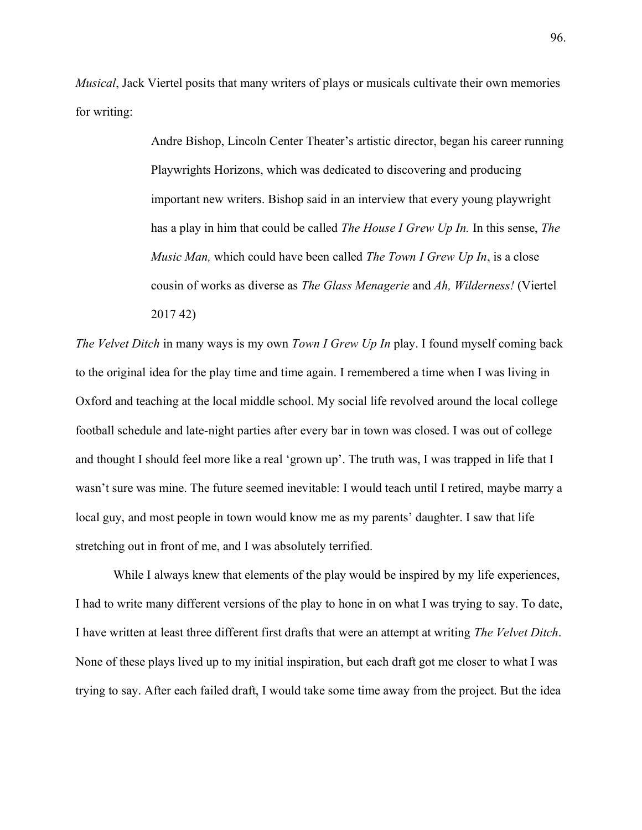*Musical*, Jack Viertel posits that many writers of plays or musicals cultivate their own memories for writing:

> Andre Bishop, Lincoln Center Theater's artistic director, began his career running Playwrights Horizons, which was dedicated to discovering and producing important new writers. Bishop said in an interview that every young playwright has a play in him that could be called *The House I Grew Up In.* In this sense, *The Music Man,* which could have been called *The Town I Grew Up In*, is a close cousin of works as diverse as *The Glass Menagerie* and *Ah, Wilderness!* (Viertel 2017 42)

*The Velvet Ditch* in many ways is my own *Town I Grew Up In* play. I found myself coming back to the original idea for the play time and time again. I remembered a time when I was living in Oxford and teaching at the local middle school. My social life revolved around the local college football schedule and late-night parties after every bar in town was closed. I was out of college and thought I should feel more like a real 'grown up'. The truth was, I was trapped in life that I wasn't sure was mine. The future seemed inevitable: I would teach until I retired, maybe marry a local guy, and most people in town would know me as my parents' daughter. I saw that life stretching out in front of me, and I was absolutely terrified.

While I always knew that elements of the play would be inspired by my life experiences, I had to write many different versions of the play to hone in on what I was trying to say. To date, I have written at least three different first drafts that were an attempt at writing *The Velvet Ditch*. None of these plays lived up to my initial inspiration, but each draft got me closer to what I was trying to say. After each failed draft, I would take some time away from the project. But the idea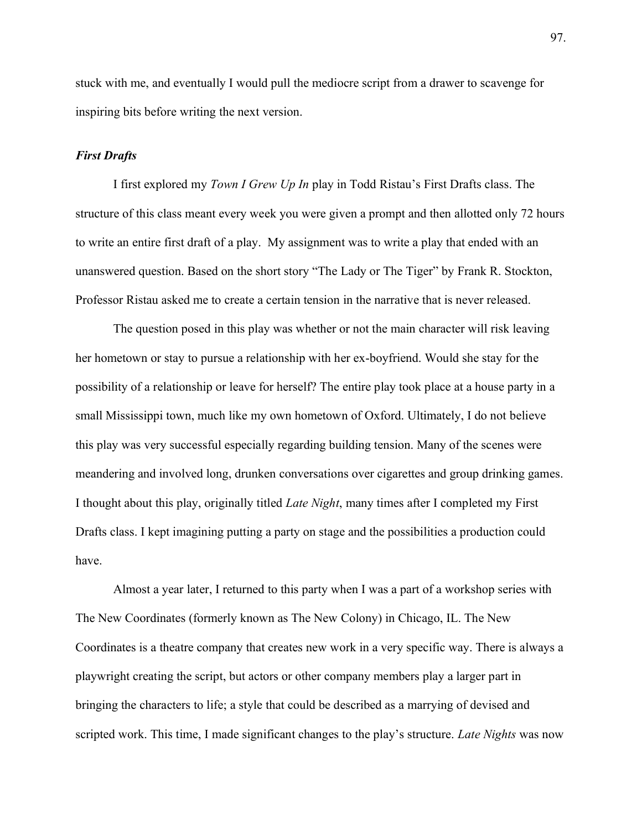stuck with me, and eventually I would pull the mediocre script from a drawer to scavenge for inspiring bits before writing the next version.

## *First Drafts*

I first explored my *Town I Grew Up In* play in Todd Ristau's First Drafts class. The structure of this class meant every week you were given a prompt and then allotted only 72 hours to write an entire first draft of a play. My assignment was to write a play that ended with an unanswered question. Based on the short story "The Lady or The Tiger" by Frank R. Stockton, Professor Ristau asked me to create a certain tension in the narrative that is never released.

The question posed in this play was whether or not the main character will risk leaving her hometown or stay to pursue a relationship with her ex-boyfriend. Would she stay for the possibility of a relationship or leave for herself? The entire play took place at a house party in a small Mississippi town, much like my own hometown of Oxford. Ultimately, I do not believe this play was very successful especially regarding building tension. Many of the scenes were meandering and involved long, drunken conversations over cigarettes and group drinking games. I thought about this play, originally titled *Late Night*, many times after I completed my First Drafts class. I kept imagining putting a party on stage and the possibilities a production could have.

Almost a year later, I returned to this party when I was a part of a workshop series with The New Coordinates (formerly known as The New Colony) in Chicago, IL. The New Coordinates is a theatre company that creates new work in a very specific way. There is always a playwright creating the script, but actors or other company members play a larger part in bringing the characters to life; a style that could be described as a marrying of devised and scripted work. This time, I made significant changes to the play's structure. *Late Nights* was now

97.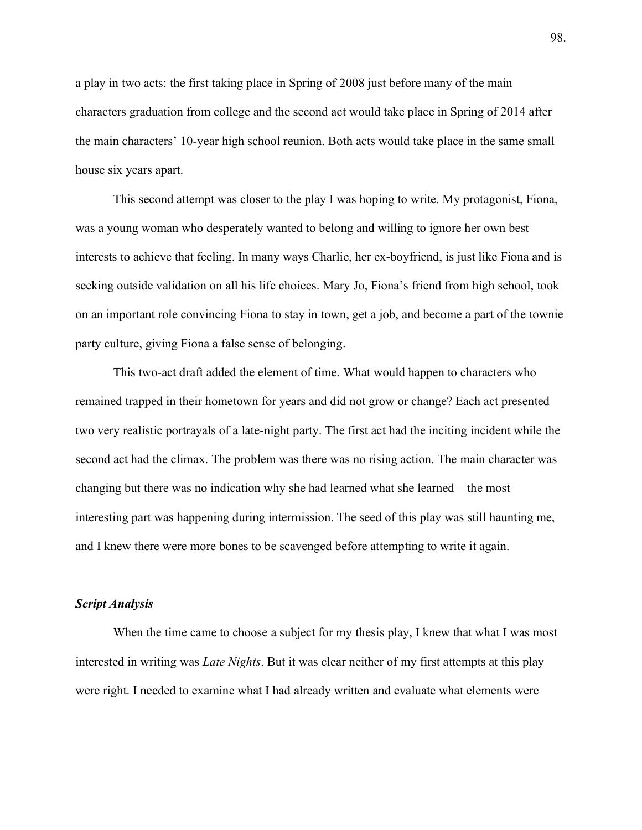a play in two acts: the first taking place in Spring of 2008 just before many of the main characters graduation from college and the second act would take place in Spring of 2014 after the main characters' 10-year high school reunion. Both acts would take place in the same small house six years apart.

This second attempt was closer to the play I was hoping to write. My protagonist, Fiona, was a young woman who desperately wanted to belong and willing to ignore her own best interests to achieve that feeling. In many ways Charlie, her ex-boyfriend, is just like Fiona and is seeking outside validation on all his life choices. Mary Jo, Fiona's friend from high school, took on an important role convincing Fiona to stay in town, get a job, and become a part of the townie party culture, giving Fiona a false sense of belonging.

This two-act draft added the element of time. What would happen to characters who remained trapped in their hometown for years and did not grow or change? Each act presented two very realistic portrayals of a late-night party. The first act had the inciting incident while the second act had the climax. The problem was there was no rising action. The main character was changing but there was no indication why she had learned what she learned – the most interesting part was happening during intermission. The seed of this play was still haunting me, and I knew there were more bones to be scavenged before attempting to write it again.

#### *Script Analysis*

When the time came to choose a subject for my thesis play, I knew that what I was most interested in writing was *Late Nights*. But it was clear neither of my first attempts at this play were right. I needed to examine what I had already written and evaluate what elements were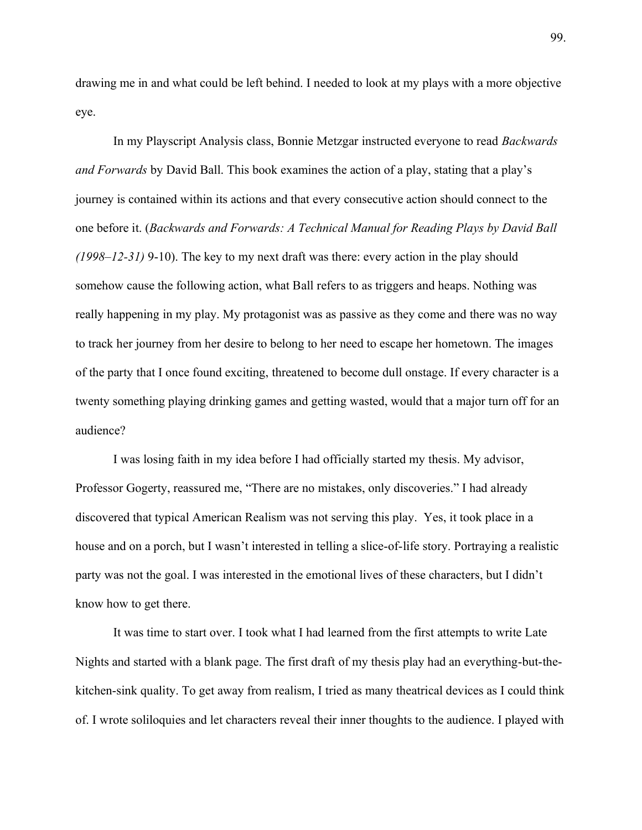drawing me in and what could be left behind. I needed to look at my plays with a more objective eye.

In my Playscript Analysis class, Bonnie Metzgar instructed everyone to read *Backwards and Forwards* by David Ball. This book examines the action of a play, stating that a play's journey is contained within its actions and that every consecutive action should connect to the one before it. (*Backwards and Forwards: A Technical Manual for Reading Plays by David Ball (1998±12-31)* 9-10). The key to my next draft was there: every action in the play should somehow cause the following action, what Ball refers to as triggers and heaps. Nothing was really happening in my play. My protagonist was as passive as they come and there was no way to track her journey from her desire to belong to her need to escape her hometown. The images of the party that I once found exciting, threatened to become dull onstage. If every character is a twenty something playing drinking games and getting wasted, would that a major turn off for an audience?

I was losing faith in my idea before I had officially started my thesis. My advisor, Professor Gogerty, reassured me, "There are no mistakes, only discoveries." I had already discovered that typical American Realism was not serving this play. Yes, it took place in a house and on a porch, but I wasn't interested in telling a slice-of-life story. Portraying a realistic party was not the goal. I was interested in the emotional lives of these characters, but I didn't know how to get there.

It was time to start over. I took what I had learned from the first attempts to write Late Nights and started with a blank page. The first draft of my thesis play had an everything-but-thekitchen-sink quality. To get away from realism, I tried as many theatrical devices as I could think of. I wrote soliloquies and let characters reveal their inner thoughts to the audience. I played with

99.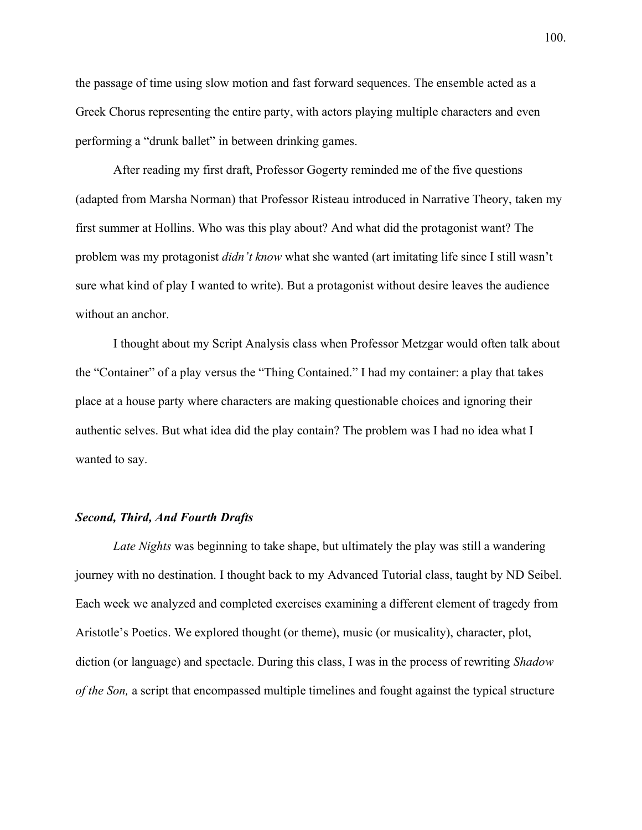the passage of time using slow motion and fast forward sequences. The ensemble acted as a Greek Chorus representing the entire party, with actors playing multiple characters and even performing a "drunk ballet" in between drinking games.

After reading my first draft, Professor Gogerty reminded me of the five questions (adapted from Marsha Norman) that Professor Risteau introduced in Narrative Theory, taken my first summer at Hollins. Who was this play about? And what did the protagonist want? The problem was my protagonist *didn't know* what she wanted (art imitating life since I still wasn't sure what kind of play I wanted to write). But a protagonist without desire leaves the audience without an anchor.

I thought about my Script Analysis class when Professor Metzgar would often talk about the "Container" of a play versus the "Thing Contained." I had my container: a play that takes place at a house party where characters are making questionable choices and ignoring their authentic selves. But what idea did the play contain? The problem was I had no idea what I wanted to say.

#### *Second, Third, And Fourth Drafts*

*Late Nights* was beginning to take shape, but ultimately the play was still a wandering journey with no destination. I thought back to my Advanced Tutorial class, taught by ND Seibel. Each week we analyzed and completed exercises examining a different element of tragedy from Aristotle's Poetics. We explored thought (or theme), music (or musicality), character, plot, diction (or language) and spectacle. During this class, I was in the process of rewriting *Shadow of the Son,* a script that encompassed multiple timelines and fought against the typical structure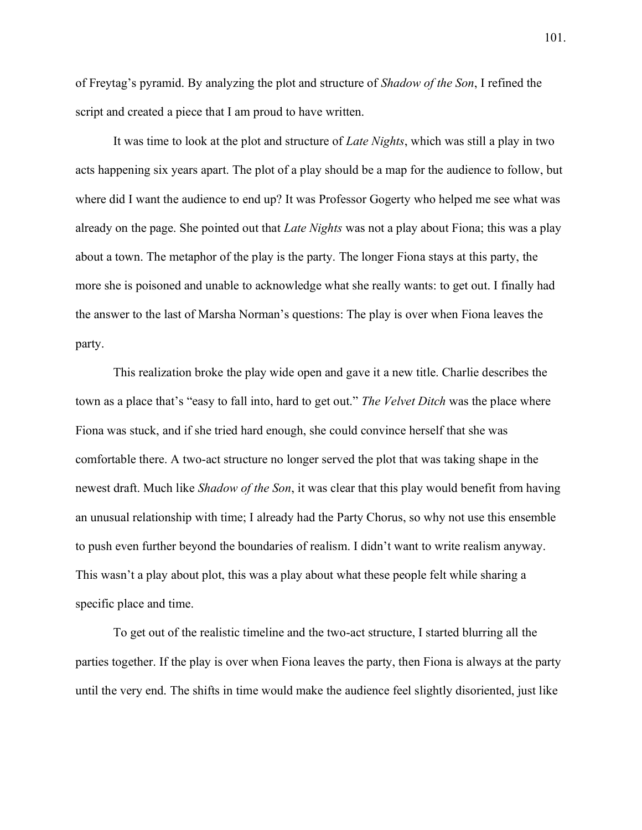of Freytag's pyramid. By analyzing the plot and structure of *Shadow of the Son*, I refined the script and created a piece that I am proud to have written.

It was time to look at the plot and structure of *Late Nights*, which was still a play in two acts happening six years apart. The plot of a play should be a map for the audience to follow, but where did I want the audience to end up? It was Professor Gogerty who helped me see what was already on the page. She pointed out that *Late Nights* was not a play about Fiona; this was a play about a town. The metaphor of the play is the party. The longer Fiona stays at this party, the more she is poisoned and unable to acknowledge what she really wants: to get out. I finally had the answer to the last of Marsha Norman's questions: The play is over when Fiona leaves the party.

This realization broke the play wide open and gave it a new title. Charlie describes the town as a place that's "easy to fall into, hard to get out." *The Velvet Ditch* was the place where Fiona was stuck, and if she tried hard enough, she could convince herself that she was comfortable there. A two-act structure no longer served the plot that was taking shape in the newest draft. Much like *Shadow of the Son*, it was clear that this play would benefit from having an unusual relationship with time; I already had the Party Chorus, so why not use this ensemble to push even further beyond the boundaries of realism. I didn't want to write realism anyway. This wasn't a play about plot, this was a play about what these people felt while sharing a specific place and time.

To get out of the realistic timeline and the two-act structure, I started blurring all the parties together. If the play is over when Fiona leaves the party, then Fiona is always at the party until the very end. The shifts in time would make the audience feel slightly disoriented, just like

101.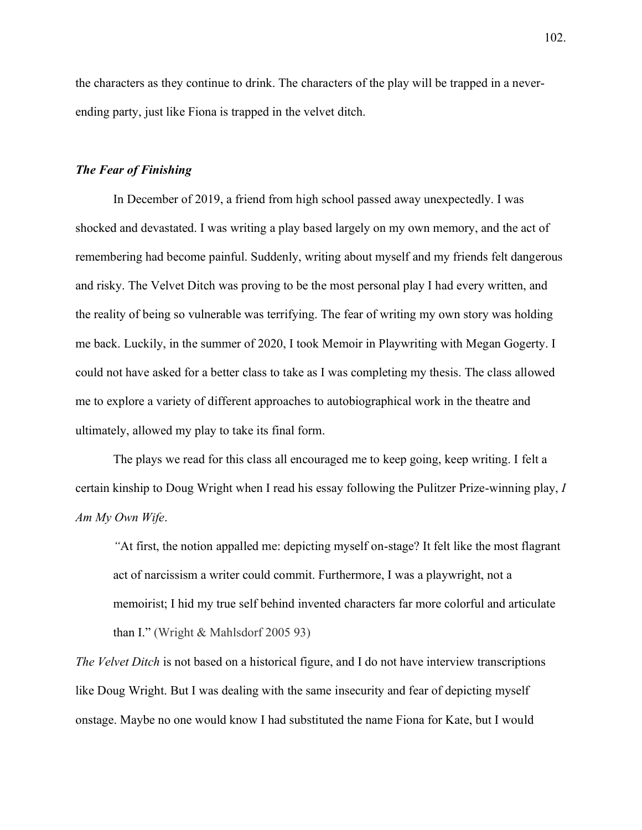the characters as they continue to drink. The characters of the play will be trapped in a neverending party, just like Fiona is trapped in the velvet ditch.

#### *The Fear of Finishing*

In December of 2019, a friend from high school passed away unexpectedly. I was shocked and devastated. I was writing a play based largely on my own memory, and the act of remembering had become painful. Suddenly, writing about myself and my friends felt dangerous and risky. The Velvet Ditch was proving to be the most personal play I had every written, and the reality of being so vulnerable was terrifying. The fear of writing my own story was holding me back. Luckily, in the summer of 2020, I took Memoir in Playwriting with Megan Gogerty. I could not have asked for a better class to take as I was completing my thesis. The class allowed me to explore a variety of different approaches to autobiographical work in the theatre and ultimately, allowed my play to take its final form.

The plays we read for this class all encouraged me to keep going, keep writing. I felt a certain kinship to Doug Wright when I read his essay following the Pulitzer Prize-winning play, *I Am My Own Wife*.

*³*At first, the notion appalled me: depicting myself on-stage? It felt like the most flagrant act of narcissism a writer could commit. Furthermore, I was a playwright, not a memoirist; I hid my true self behind invented characters far more colorful and articulate than I." (Wright  $&$  Mahlsdorf 2005 93)

*The Velvet Ditch* is not based on a historical figure, and I do not have interview transcriptions like Doug Wright. But I was dealing with the same insecurity and fear of depicting myself onstage. Maybe no one would know I had substituted the name Fiona for Kate, but I would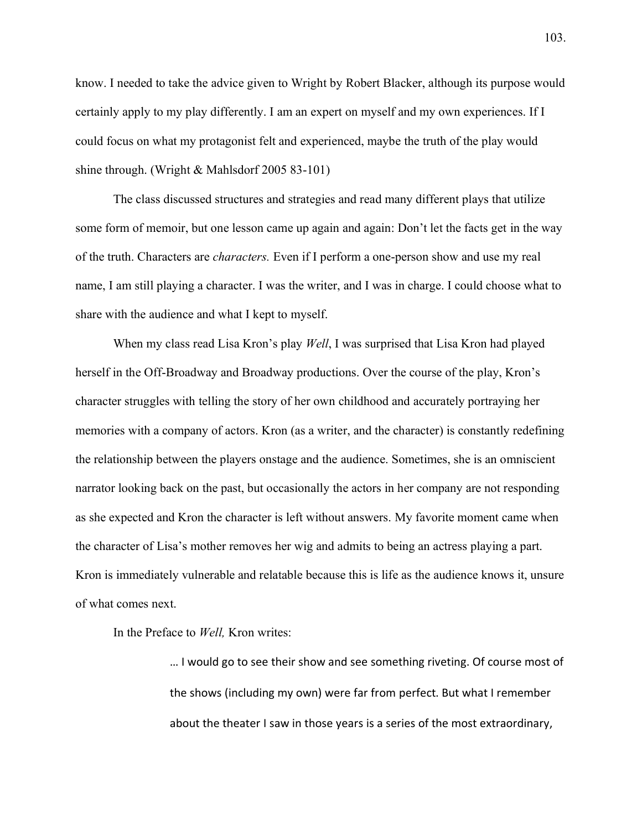know. I needed to take the advice given to Wright by Robert Blacker, although its purpose would certainly apply to my play differently. I am an expert on myself and my own experiences. If I could focus on what my protagonist felt and experienced, maybe the truth of the play would shine through. (Wright & Mahlsdorf 2005 83-101)

The class discussed structures and strategies and read many different plays that utilize some form of memoir, but one lesson came up again and again: Don't let the facts get in the way of the truth. Characters are *characters.* Even if I perform a one-person show and use my real name, I am still playing a character. I was the writer, and I was in charge. I could choose what to share with the audience and what I kept to myself.

When my class read Lisa Kron's play *Well*, I was surprised that Lisa Kron had played herself in the Off-Broadway and Broadway productions. Over the course of the play, Kron's character struggles with telling the story of her own childhood and accurately portraying her memories with a company of actors. Kron (as a writer, and the character) is constantly redefining the relationship between the players onstage and the audience. Sometimes, she is an omniscient narrator looking back on the past, but occasionally the actors in her company are not responding as she expected and Kron the character is left without answers. My favorite moment came when the character of Lisa's mother removes her wig and admits to being an actress playing a part. Kron is immediately vulnerable and relatable because this is life as the audience knows it, unsure of what comes next.

In the Preface to *Well,* Kron writes:

... I would go to see their show and see something riveting. Of course most of the shows (including my own) were far from perfect. But what I remember about the theater I saw in those years is a series of the most extraordinary,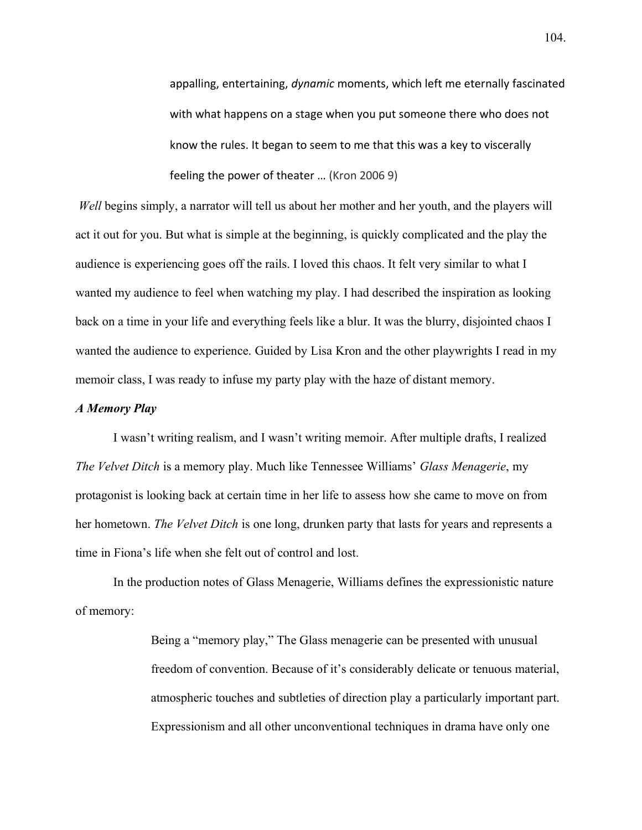appalling, entertaining, *dynamic* moments, which left me eternally fascinated with what happens on a stage when you put someone there who does not know the rules. It began to seem to me that this was a key to viscerally feeling the power of theater ... (Kron 2006 9)

*Well* begins simply, a narrator will tell us about her mother and her youth, and the players will act it out for you. But what is simple at the beginning, is quickly complicated and the play the audience is experiencing goes off the rails. I loved this chaos. It felt very similar to what I wanted my audience to feel when watching my play. I had described the inspiration as looking back on a time in your life and everything feels like a blur. It was the blurry, disjointed chaos I wanted the audience to experience. Guided by Lisa Kron and the other playwrights I read in my memoir class, I was ready to infuse my party play with the haze of distant memory.

## *A Memory Play*

I wasn't writing realism, and I wasn't writing memoir. After multiple drafts, I realized *The Velvet Ditch* is a memory play. Much like Tennessee Williams' *Glass Menagerie*, my protagonist is looking back at certain time in her life to assess how she came to move on from her hometown. *The Velvet Ditch* is one long, drunken party that lasts for years and represents a time in Fiona's life when she felt out of control and lost.

In the production notes of Glass Menagerie, Williams defines the expressionistic nature of memory:

> Being a "memory play," The Glass menagerie can be presented with unusual freedom of convention. Because of it's considerably delicate or tenuous material, atmospheric touches and subtleties of direction play a particularly important part. Expressionism and all other unconventional techniques in drama have only one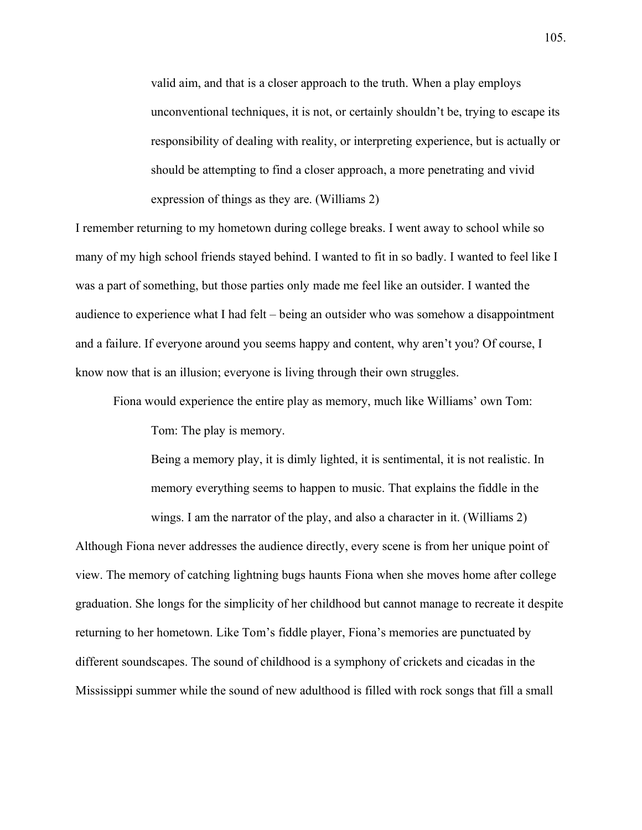valid aim, and that is a closer approach to the truth. When a play employs unconventional techniques, it is not, or certainly shouldn't be, trying to escape its responsibility of dealing with reality, or interpreting experience, but is actually or should be attempting to find a closer approach, a more penetrating and vivid expression of things as they are. (Williams 2)

I remember returning to my hometown during college breaks. I went away to school while so many of my high school friends stayed behind. I wanted to fit in so badly. I wanted to feel like I was a part of something, but those parties only made me feel like an outsider. I wanted the audience to experience what I had felt – being an outsider who was somehow a disappointment and a failure. If everyone around you seems happy and content, why aren't you? Of course, I know now that is an illusion; everyone is living through their own struggles.

Fiona would experience the entire play as memory, much like Williams' own Tom:

Tom: The play is memory.

Being a memory play, it is dimly lighted, it is sentimental, it is not realistic. In memory everything seems to happen to music. That explains the fiddle in the wings. I am the narrator of the play, and also a character in it. (Williams 2)

Although Fiona never addresses the audience directly, every scene is from her unique point of view. The memory of catching lightning bugs haunts Fiona when she moves home after college graduation. She longs for the simplicity of her childhood but cannot manage to recreate it despite returning to her hometown. Like Tom's fiddle player, Fiona's memories are punctuated by different soundscapes. The sound of childhood is a symphony of crickets and cicadas in the Mississippi summer while the sound of new adulthood is filled with rock songs that fill a small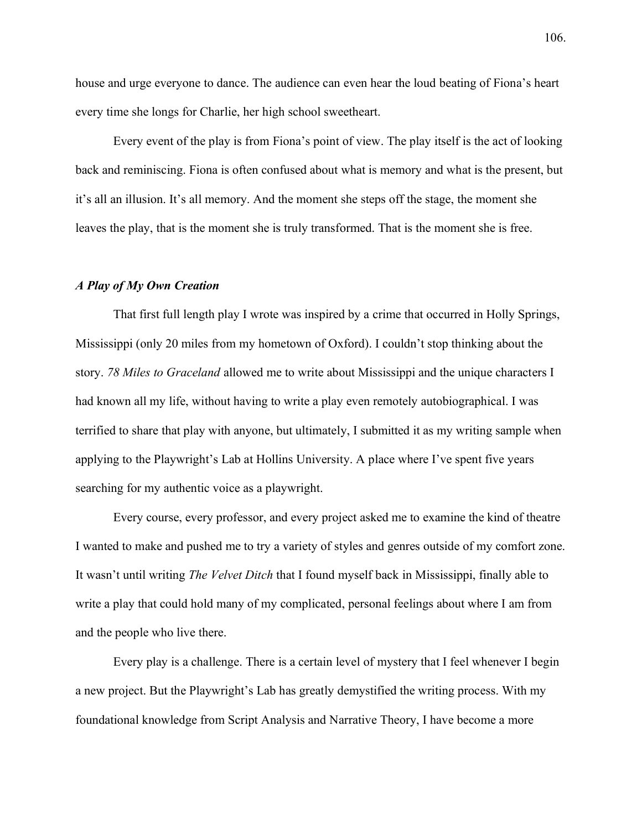house and urge everyone to dance. The audience can even hear the loud beating of Fiona's heart every time she longs for Charlie, her high school sweetheart.

Every event of the play is from Fiona's point of view. The play itself is the act of looking back and reminiscing. Fiona is often confused about what is memory and what is the present, but it's all an illusion. It's all memory. And the moment she steps off the stage, the moment she leaves the play, that is the moment she is truly transformed. That is the moment she is free.

#### *A Play of My Own Creation*

That first full length play I wrote was inspired by a crime that occurred in Holly Springs, Mississippi (only 20 miles from my hometown of Oxford). I couldn't stop thinking about the story. *78 Miles to Graceland* allowed me to write about Mississippi and the unique characters I had known all my life, without having to write a play even remotely autobiographical. I was terrified to share that play with anyone, but ultimately, I submitted it as my writing sample when applying to the Playwright's Lab at Hollins University. A place where I've spent five years searching for my authentic voice as a playwright.

Every course, every professor, and every project asked me to examine the kind of theatre I wanted to make and pushed me to try a variety of styles and genres outside of my comfort zone. It wasn't until writing *The Velvet Ditch* that I found myself back in Mississippi, finally able to write a play that could hold many of my complicated, personal feelings about where I am from and the people who live there.

Every play is a challenge. There is a certain level of mystery that I feel whenever I begin a new project. But the Playwright's Lab has greatly demystified the writing process. With my foundational knowledge from Script Analysis and Narrative Theory, I have become a more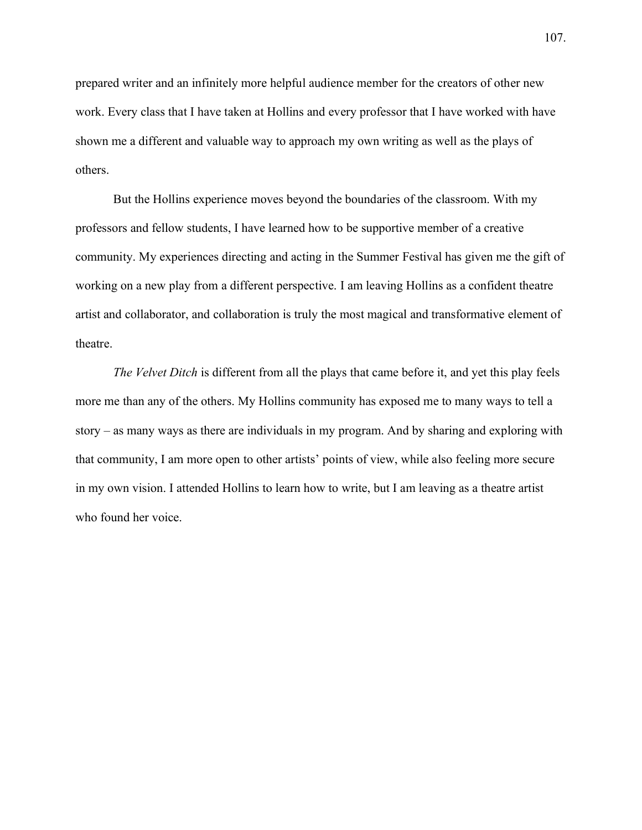prepared writer and an infinitely more helpful audience member for the creators of other new work. Every class that I have taken at Hollins and every professor that I have worked with have shown me a different and valuable way to approach my own writing as well as the plays of others.

But the Hollins experience moves beyond the boundaries of the classroom. With my professors and fellow students, I have learned how to be supportive member of a creative community. My experiences directing and acting in the Summer Festival has given me the gift of working on a new play from a different perspective. I am leaving Hollins as a confident theatre artist and collaborator, and collaboration is truly the most magical and transformative element of theatre.

*The Velvet Ditch* is different from all the plays that came before it, and yet this play feels more me than any of the others. My Hollins community has exposed me to many ways to tell a story  $-$  as many ways as there are individuals in my program. And by sharing and exploring with that community, I am more open to other artists' points of view, while also feeling more secure in my own vision. I attended Hollins to learn how to write, but I am leaving as a theatre artist who found her voice.